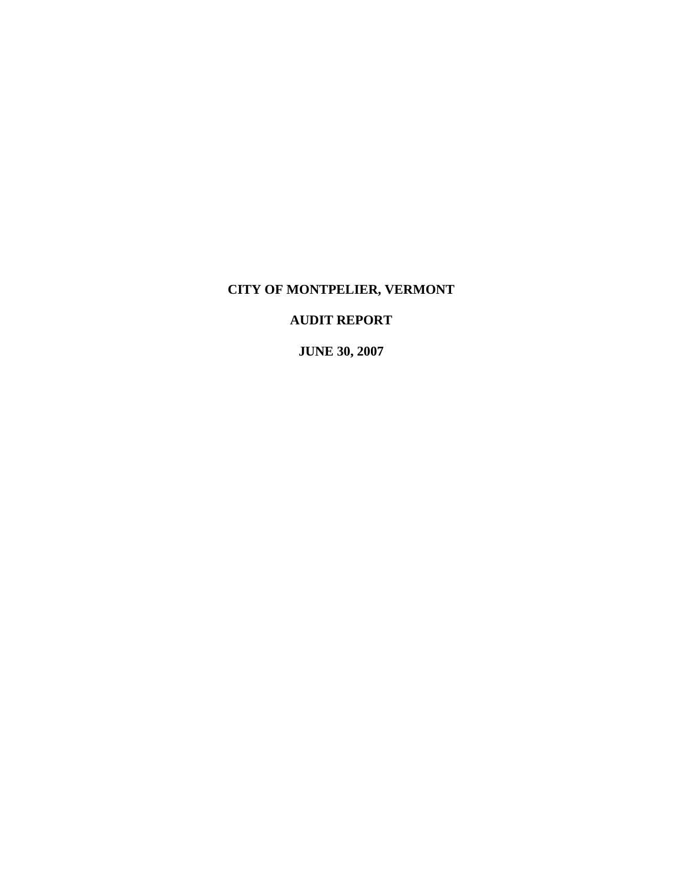# **CITY OF MONTPELIER, VERMONT**

# **AUDIT REPORT**

**JUNE 30, 2007**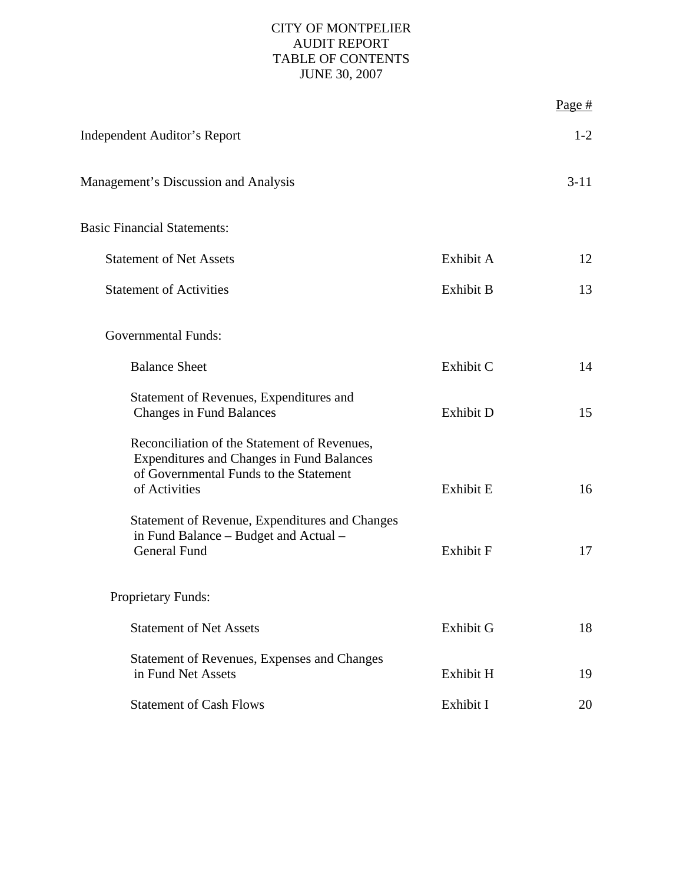# CITY OF MONTPELIER AUDIT REPORT TABLE OF CONTENTS JUNE 30, 2007

|                                                                                                                                                             |           | Page #   |
|-------------------------------------------------------------------------------------------------------------------------------------------------------------|-----------|----------|
| <b>Independent Auditor's Report</b>                                                                                                                         |           | $1-2$    |
| Management's Discussion and Analysis                                                                                                                        |           | $3 - 11$ |
| <b>Basic Financial Statements:</b>                                                                                                                          |           |          |
| <b>Statement of Net Assets</b>                                                                                                                              | Exhibit A | 12       |
| <b>Statement of Activities</b>                                                                                                                              | Exhibit B | 13       |
| <b>Governmental Funds:</b>                                                                                                                                  |           |          |
| <b>Balance Sheet</b>                                                                                                                                        | Exhibit C | 14       |
| Statement of Revenues, Expenditures and<br><b>Changes in Fund Balances</b>                                                                                  | Exhibit D | 15       |
| Reconciliation of the Statement of Revenues,<br><b>Expenditures and Changes in Fund Balances</b><br>of Governmental Funds to the Statement<br>of Activities | Exhibit E | 16       |
| <b>Statement of Revenue, Expenditures and Changes</b><br>in Fund Balance – Budget and Actual –<br><b>General Fund</b>                                       | Exhibit F | 17       |
| <b>Proprietary Funds:</b>                                                                                                                                   |           |          |
| <b>Statement of Net Assets</b>                                                                                                                              | Exhibit G | 18       |
| Statement of Revenues, Expenses and Changes<br>in Fund Net Assets                                                                                           | Exhibit H | 19       |
| <b>Statement of Cash Flows</b>                                                                                                                              | Exhibit I | 20       |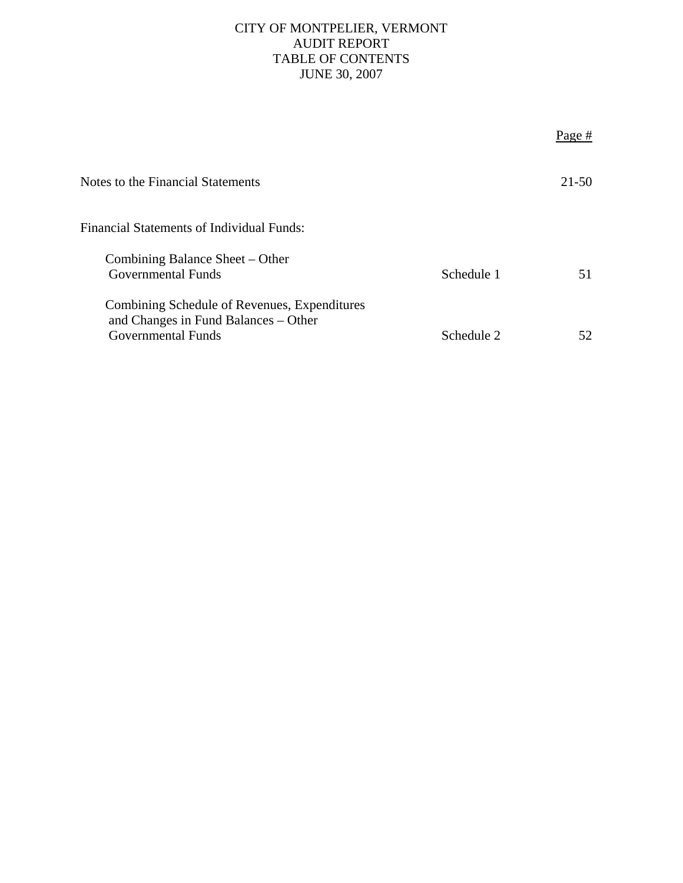# CITY OF MONTPELIER, VERMONT AUDIT REPORT TABLE OF CONTENTS JUNE 30, 2007

|            | Page # |
|------------|--------|
|            | 21-50  |
|            |        |
| Schedule 1 | 51     |
| Schedule 2 | 52     |
|            |        |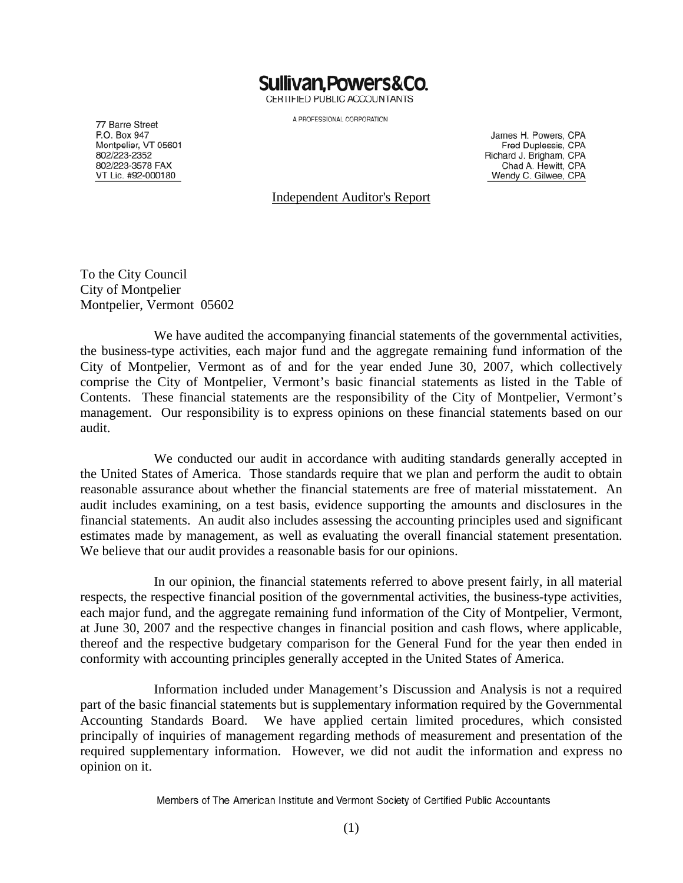Sullivan, Powers&Co.

CERTIFIED PUBLIC ACCOUNTANTS

A PROFESSIONAL CORPORATION

77 Barre Street P.O. Box 947 Montpelier, VT 05601 802/223-2352 802/223-3578 FAX VT Lic. #92-000180

James H. Powers, CPA Fred Duplessis, CPA Richard J. Brigham, CPA Chad A. Hewitt, CPA Wendy C. Gilwee, CPA

Independent Auditor's Report

To the City Council City of Montpelier Montpelier, Vermont 05602

 We have audited the accompanying financial statements of the governmental activities, the business-type activities, each major fund and the aggregate remaining fund information of the City of Montpelier, Vermont as of and for the year ended June 30, 2007, which collectively comprise the City of Montpelier, Vermont's basic financial statements as listed in the Table of Contents. These financial statements are the responsibility of the City of Montpelier, Vermont's management. Our responsibility is to express opinions on these financial statements based on our audit.

 We conducted our audit in accordance with auditing standards generally accepted in the United States of America. Those standards require that we plan and perform the audit to obtain reasonable assurance about whether the financial statements are free of material misstatement. An audit includes examining, on a test basis, evidence supporting the amounts and disclosures in the financial statements. An audit also includes assessing the accounting principles used and significant estimates made by management, as well as evaluating the overall financial statement presentation. We believe that our audit provides a reasonable basis for our opinions.

 In our opinion, the financial statements referred to above present fairly, in all material respects, the respective financial position of the governmental activities, the business-type activities, each major fund, and the aggregate remaining fund information of the City of Montpelier, Vermont, at June 30, 2007 and the respective changes in financial position and cash flows, where applicable, thereof and the respective budgetary comparison for the General Fund for the year then ended in conformity with accounting principles generally accepted in the United States of America.

 Information included under Management's Discussion and Analysis is not a required part of the basic financial statements but is supplementary information required by the Governmental Accounting Standards Board. We have applied certain limited procedures, which consisted principally of inquiries of management regarding methods of measurement and presentation of the required supplementary information. However, we did not audit the information and express no opinion on it.

Members of The American Institute and Vermont Society of Certified Public Accountants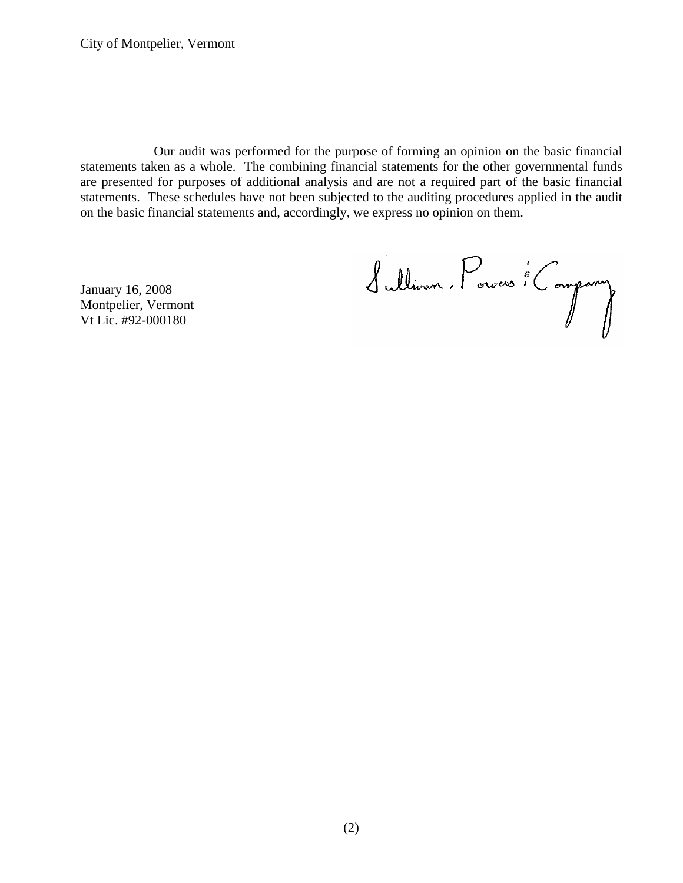City of Montpelier, Vermont

 Our audit was performed for the purpose of forming an opinion on the basic financial statements taken as a whole. The combining financial statements for the other governmental funds are presented for purposes of additional analysis and are not a required part of the basic financial statements. These schedules have not been subjected to the auditing procedures applied in the audit on the basic financial statements and, accordingly, we express no opinion on them.

January 16, 2008 Montpelier, Vermont Vt Lic. #92-000180

Sullivan, Powers : Company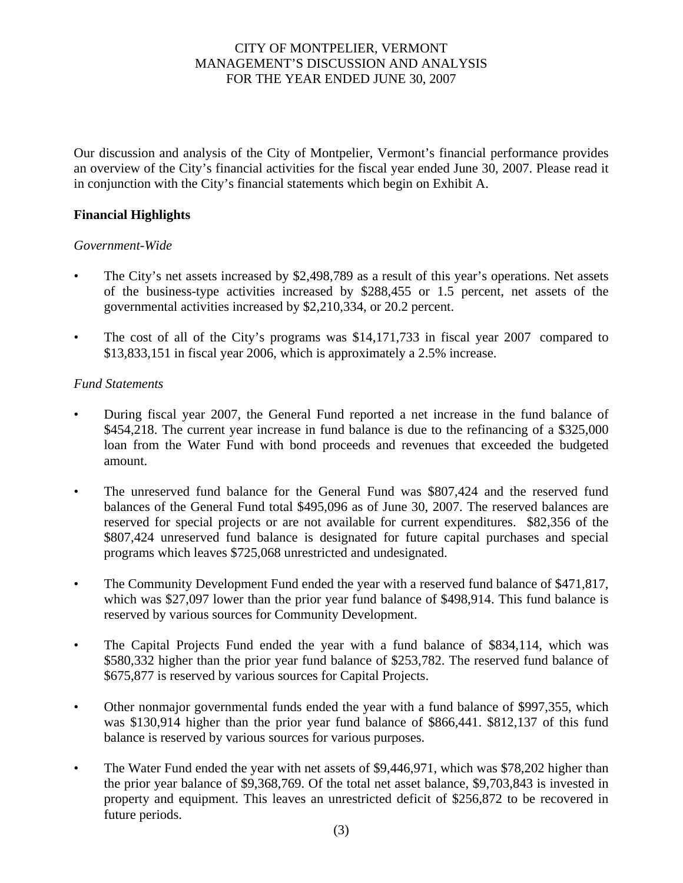Our discussion and analysis of the City of Montpelier, Vermont's financial performance provides an overview of the City's financial activities for the fiscal year ended June 30, 2007. Please read it in conjunction with the City's financial statements which begin on Exhibit A.

# **Financial Highlights**

# *Government-Wide*

- The City's net assets increased by \$2,498,789 as a result of this year's operations. Net assets of the business-type activities increased by \$288,455 or 1.5 percent, net assets of the governmental activities increased by \$2,210,334, or 20.2 percent.
- The cost of all of the City's programs was \$14,171,733 in fiscal year 2007 compared to \$13,833,151 in fiscal year 2006, which is approximately a 2.5% increase.

# *Fund Statements*

- During fiscal year 2007, the General Fund reported a net increase in the fund balance of \$454,218. The current year increase in fund balance is due to the refinancing of a \$325,000 loan from the Water Fund with bond proceeds and revenues that exceeded the budgeted amount.
- The unreserved fund balance for the General Fund was \$807,424 and the reserved fund balances of the General Fund total \$495,096 as of June 30, 2007. The reserved balances are reserved for special projects or are not available for current expenditures. \$82,356 of the \$807,424 unreserved fund balance is designated for future capital purchases and special programs which leaves \$725,068 unrestricted and undesignated.
- The Community Development Fund ended the year with a reserved fund balance of \$471,817, which was \$27,097 lower than the prior year fund balance of \$498,914. This fund balance is reserved by various sources for Community Development.
- The Capital Projects Fund ended the year with a fund balance of \$834,114, which was \$580,332 higher than the prior year fund balance of \$253,782. The reserved fund balance of \$675,877 is reserved by various sources for Capital Projects.
- Other nonmajor governmental funds ended the year with a fund balance of \$997,355, which was \$130,914 higher than the prior year fund balance of \$866,441. \$812,137 of this fund balance is reserved by various sources for various purposes.
- The Water Fund ended the year with net assets of \$9,446,971, which was \$78,202 higher than the prior year balance of \$9,368,769. Of the total net asset balance, \$9,703,843 is invested in property and equipment. This leaves an unrestricted deficit of \$256,872 to be recovered in future periods.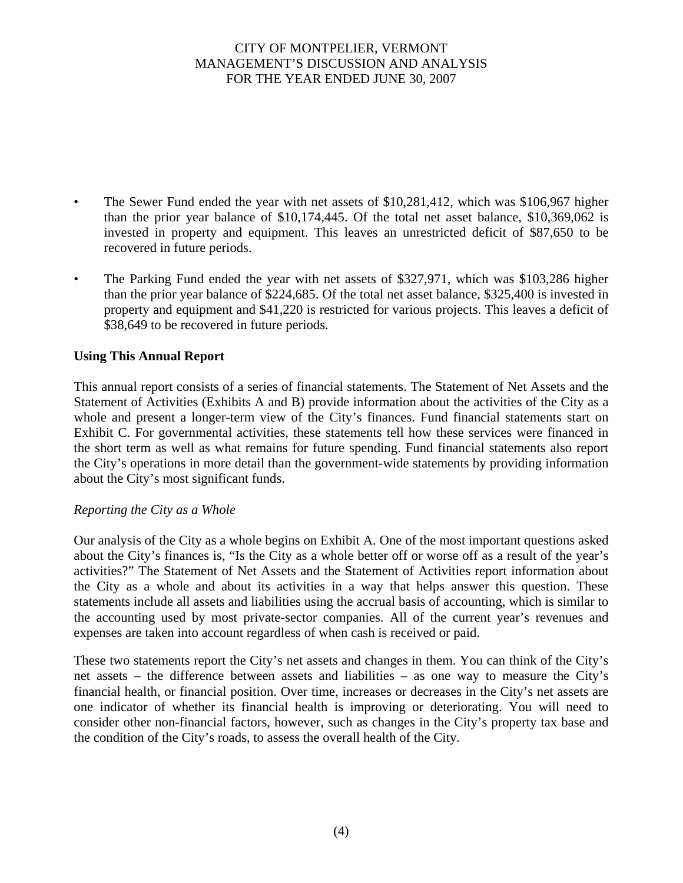- The Sewer Fund ended the year with net assets of \$10,281,412, which was \$106,967 higher than the prior year balance of \$10,174,445. Of the total net asset balance, \$10,369,062 is invested in property and equipment. This leaves an unrestricted deficit of \$87,650 to be recovered in future periods.
- The Parking Fund ended the year with net assets of \$327,971, which was \$103,286 higher than the prior year balance of \$224,685. Of the total net asset balance, \$325,400 is invested in property and equipment and \$41,220 is restricted for various projects. This leaves a deficit of \$38,649 to be recovered in future periods.

#### **Using This Annual Report**

This annual report consists of a series of financial statements. The Statement of Net Assets and the Statement of Activities (Exhibits A and B) provide information about the activities of the City as a whole and present a longer-term view of the City's finances. Fund financial statements start on Exhibit C. For governmental activities, these statements tell how these services were financed in the short term as well as what remains for future spending. Fund financial statements also report the City's operations in more detail than the government-wide statements by providing information about the City's most significant funds.

#### *Reporting the City as a Whole*

Our analysis of the City as a whole begins on Exhibit A. One of the most important questions asked about the City's finances is, "Is the City as a whole better off or worse off as a result of the year's activities?" The Statement of Net Assets and the Statement of Activities report information about the City as a whole and about its activities in a way that helps answer this question. These statements include all assets and liabilities using the accrual basis of accounting, which is similar to the accounting used by most private-sector companies. All of the current year's revenues and expenses are taken into account regardless of when cash is received or paid.

These two statements report the City's net assets and changes in them. You can think of the City's net assets – the difference between assets and liabilities – as one way to measure the City's financial health, or financial position. Over time, increases or decreases in the City's net assets are one indicator of whether its financial health is improving or deteriorating. You will need to consider other non-financial factors, however, such as changes in the City's property tax base and the condition of the City's roads, to assess the overall health of the City.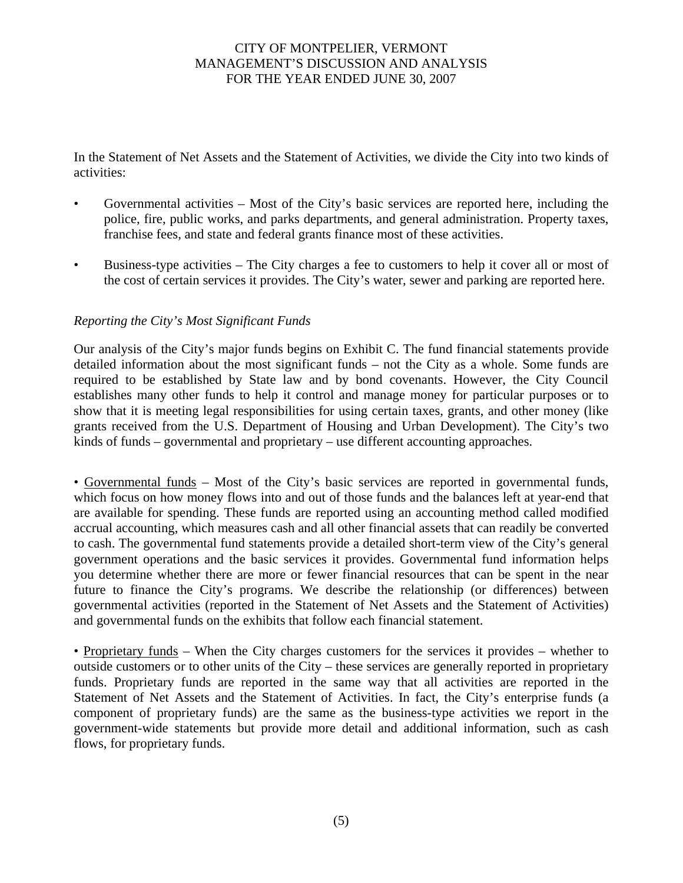In the Statement of Net Assets and the Statement of Activities, we divide the City into two kinds of activities:

- Governmental activities Most of the City's basic services are reported here, including the police, fire, public works, and parks departments, and general administration. Property taxes, franchise fees, and state and federal grants finance most of these activities.
- Business-type activities The City charges a fee to customers to help it cover all or most of the cost of certain services it provides. The City's water, sewer and parking are reported here.

# *Reporting the City's Most Significant Funds*

Our analysis of the City's major funds begins on Exhibit C. The fund financial statements provide detailed information about the most significant funds – not the City as a whole. Some funds are required to be established by State law and by bond covenants. However, the City Council establishes many other funds to help it control and manage money for particular purposes or to show that it is meeting legal responsibilities for using certain taxes, grants, and other money (like grants received from the U.S. Department of Housing and Urban Development). The City's two kinds of funds – governmental and proprietary – use different accounting approaches.

• Governmental funds – Most of the City's basic services are reported in governmental funds, which focus on how money flows into and out of those funds and the balances left at year-end that are available for spending. These funds are reported using an accounting method called modified accrual accounting, which measures cash and all other financial assets that can readily be converted to cash. The governmental fund statements provide a detailed short-term view of the City's general government operations and the basic services it provides. Governmental fund information helps you determine whether there are more or fewer financial resources that can be spent in the near future to finance the City's programs. We describe the relationship (or differences) between governmental activities (reported in the Statement of Net Assets and the Statement of Activities) and governmental funds on the exhibits that follow each financial statement.

• Proprietary funds – When the City charges customers for the services it provides – whether to outside customers or to other units of the City – these services are generally reported in proprietary funds. Proprietary funds are reported in the same way that all activities are reported in the Statement of Net Assets and the Statement of Activities. In fact, the City's enterprise funds (a component of proprietary funds) are the same as the business-type activities we report in the government-wide statements but provide more detail and additional information, such as cash flows, for proprietary funds.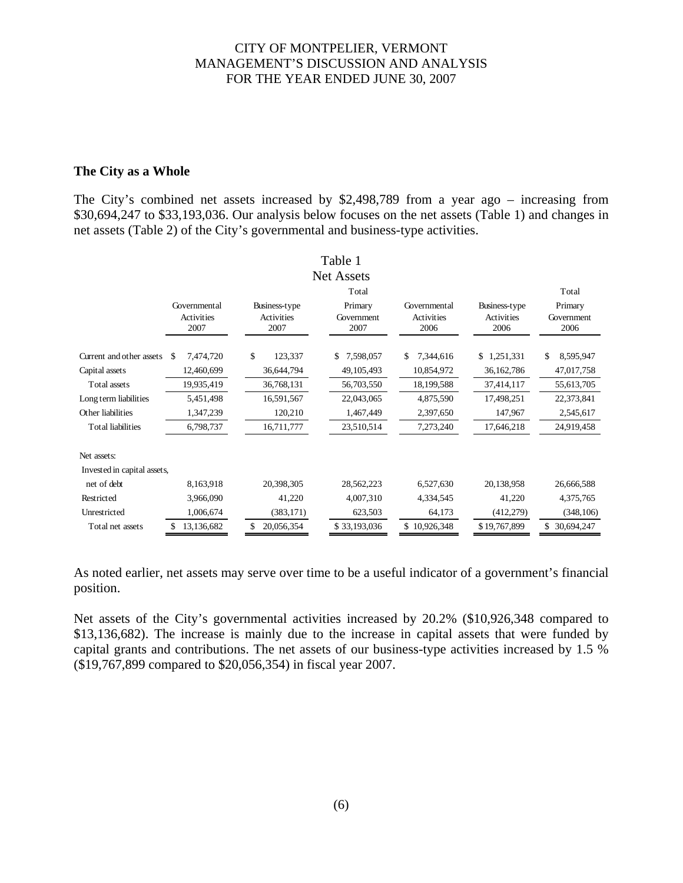#### **The City as a Whole**

The City's combined net assets increased by \$2,498,789 from a year ago – increasing from \$30,694,247 to \$33,193,036. Our analysis below focuses on the net assets (Table 1) and changes in net assets (Table 2) of the City's governmental and business-type activities.

|                             |                                    |                                     | Table 1                       |                                    |                                     |                               |
|-----------------------------|------------------------------------|-------------------------------------|-------------------------------|------------------------------------|-------------------------------------|-------------------------------|
|                             |                                    |                                     | <b>Net Assets</b>             |                                    |                                     |                               |
|                             |                                    |                                     | Total                         |                                    |                                     | Total                         |
|                             | Governmental<br>Activities<br>2007 | Business-type<br>Activities<br>2007 | Primary<br>Government<br>2007 | Governmental<br>Activities<br>2006 | Business-type<br>Activities<br>2006 | Primary<br>Government<br>2006 |
| Current and other assets    | 7,474,720<br>\$.                   | \$<br>123,337                       | 7,598,057<br>\$               | 7,344,616<br>\$                    | \$1,251,331                         | 8,595,947<br>\$.              |
| Capital assets              | 12,460,699                         | 36,644,794                          | 49,105,493                    | 10,854,972                         | 36,162,786                          | 47,017,758                    |
| Total assets                | 19,935,419                         | 36,768,131                          | 56,703,550                    | 18,199,588                         | 37,414,117                          | 55,613,705                    |
| Long term liabilities       | 5,451,498                          | 16,591,567                          | 22,043,065                    | 4,875,590                          | 17,498,251                          | 22,373,841                    |
| Other liabilities           | 1,347,239                          | 120,210                             | 1,467,449                     | 2,397,650                          | 147,967                             | 2,545,617                     |
| <b>Total liabilities</b>    | 6,798,737                          | 16,711,777                          | 23,510,514                    | 7,273,240                          | 17,646,218                          | 24,919,458                    |
| Net assets:                 |                                    |                                     |                               |                                    |                                     |                               |
| Invested in capital assets, |                                    |                                     |                               |                                    |                                     |                               |
| net of debt                 | 8,163,918                          | 20,398,305                          | 28,562,223                    | 6,527,630                          | 20,138,958                          | 26,666,588                    |
| Restricted                  | 3,966,090                          | 41,220                              | 4,007,310                     | 4,334,545                          | 41,220                              | 4,375,765                     |
| Unrestricted                | 1,006,674                          | (383, 171)                          | 623,503                       | 64,173                             | (412, 279)                          | (348, 106)                    |
| Total net assets            | 13,136,682                         | 20,056,354                          | \$33,193,036                  | \$10,926,348                       | \$19,767,899                        | 30,694,247<br>\$              |

As noted earlier, net assets may serve over time to be a useful indicator of a government's financial position.

Net assets of the City's governmental activities increased by 20.2% (\$10,926,348 compared to \$13,136,682). The increase is mainly due to the increase in capital assets that were funded by capital grants and contributions. The net assets of our business-type activities increased by 1.5 % (\$19,767,899 compared to \$20,056,354) in fiscal year 2007.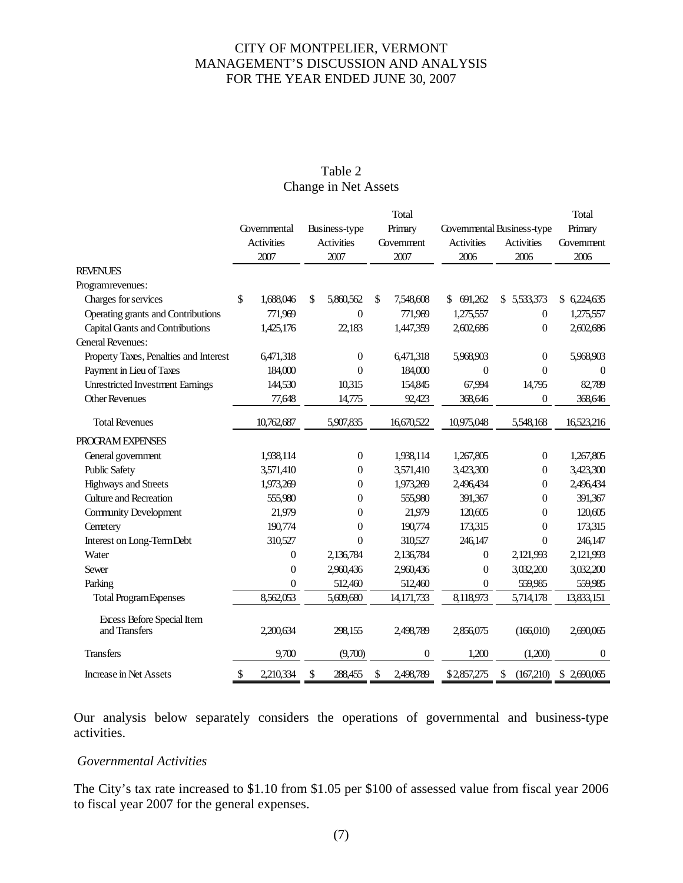|                                         |                   |                  |                   | Total            |                   |                            | Total          |
|-----------------------------------------|-------------------|------------------|-------------------|------------------|-------------------|----------------------------|----------------|
|                                         | Governmental      |                  | Business-type     | Primary          |                   | Governmental Business-type | Primary        |
|                                         | <b>Activities</b> |                  | <b>Activities</b> | Government       | <b>Activities</b> | Activities                 | Government     |
|                                         | 2007              |                  | 2007              | 2007             | 2006              | 2006                       | 2006           |
| <b>REVENUES</b>                         |                   |                  |                   |                  |                   |                            |                |
| Program revenues:                       |                   |                  |                   |                  |                   |                            |                |
| Charges for services                    | \$<br>1,688,046   |                  | \$<br>5,860,562   | \$<br>7,548,608  | 691,262<br>\$     | \$5,533,373                | \$6,224,635    |
| Operating grants and Contributions      | 771,969           |                  | $\overline{0}$    | 771,969          | 1,275,557         | $\mathbf{0}$               | 1,275,557      |
| <b>Capital Grants and Contributions</b> | 1,425,176         |                  | 22,183            | 1,447,359        | 2,602,686         | $\overline{0}$             | 2,602,686      |
| <b>General Revenues:</b>                |                   |                  |                   |                  |                   |                            |                |
| Property Taxes, Penalties and Interest  | 6,471,318         |                  | $\overline{0}$    | 6,471,318        | 5,968,903         | $\overline{0}$             | 5,968,903      |
| Payment in Lieu of Taxes                | 184,000           |                  | $\theta$          | 184,000          | $\overline{0}$    | $\theta$                   | $\Omega$       |
| <b>Unrestricted Investment Earnings</b> | 144,530           |                  | 10,315            | 154,845          | 67,994            | 14,795                     | 82,789         |
| <b>Other Revenues</b>                   | 77,648            |                  | 14,775            | 92,423           | 368,646           | $\boldsymbol{0}$           | 368,646        |
| <b>Total Revenues</b>                   | 10,762,687        |                  | 5,907,835         | 16,670,522       | 10,975,048        | 5,548,168                  | 16,523,216     |
| PROGRAM EXPENSES                        |                   |                  |                   |                  |                   |                            |                |
| General government                      | 1,938,114         |                  | $\boldsymbol{0}$  | 1,938,114        | 1,267,805         | $\boldsymbol{0}$           | 1,267,805      |
| <b>Public Safety</b>                    | 3,571,410         |                  | $\overline{0}$    | 3,571,410        | 3,423,300         | $\overline{0}$             | 3,423,300      |
| <b>Highways and Streets</b>             | 1,973,269         |                  | $\boldsymbol{0}$  | 1,973,269        | 2,496,434         | $\overline{0}$             | 2,496,434      |
| <b>Culture and Recreation</b>           | 555,980           |                  | $\boldsymbol{0}$  | 555,980          | 391,367           | $\overline{0}$             | 391,367        |
| <b>Community Development</b>            | 21,979            |                  | $\overline{0}$    | 21,979           | 120,605           | $\overline{0}$             | 120,605        |
| Cemetery                                | 190,774           |                  | $\overline{0}$    | 190,774          | 173,315           | $\theta$                   | 173,315        |
| Interest on Long-TermDebt               | 310,527           |                  | $\theta$          | 310,527          | 246,147           | $\theta$                   | 246,147        |
| Water                                   |                   | $\boldsymbol{0}$ | 2,136,784         | 2,136,784        | $\boldsymbol{0}$  | 2,121,993                  | 2,121,993      |
| Sewer                                   |                   | $\boldsymbol{0}$ | 2,960,436         | 2,960,436        | $\boldsymbol{0}$  | 3,032,200                  | 3,032,200      |
| Parking                                 |                   | $\boldsymbol{0}$ | 512,460           | 512,460          | $\boldsymbol{0}$  | 559,985                    | 559,985        |
| <b>Total Program Expenses</b>           | 8,562,053         |                  | 5,609,680         | 14,171,733       | 8,118,973         | 5,714,178                  | 13,833,151     |
| Excess Before Special Item              |                   |                  |                   |                  |                   |                            |                |
| and Transfers                           | 2,200,634         |                  | 298,155           | 2,498,789        | 2,856,075         | (166,010)                  | 2,690,065      |
| <b>Transfers</b>                        | 9,700             |                  | (9,700)           | $\boldsymbol{0}$ | 1,200             | (1,200)                    | $\overline{0}$ |
| Increase in Net Assets                  | \$<br>2,210,334   |                  | \$<br>288,455     | \$<br>2,498,789  | \$2,857,275       | (167,210)<br>\$            | \$2,690,065    |

#### Table 2 Change in Net Assets

Our analysis below separately considers the operations of governmental and business-type activities.

#### *Governmental Activities*

The City's tax rate increased to \$1.10 from \$1.05 per \$100 of assessed value from fiscal year 2006 to fiscal year 2007 for the general expenses.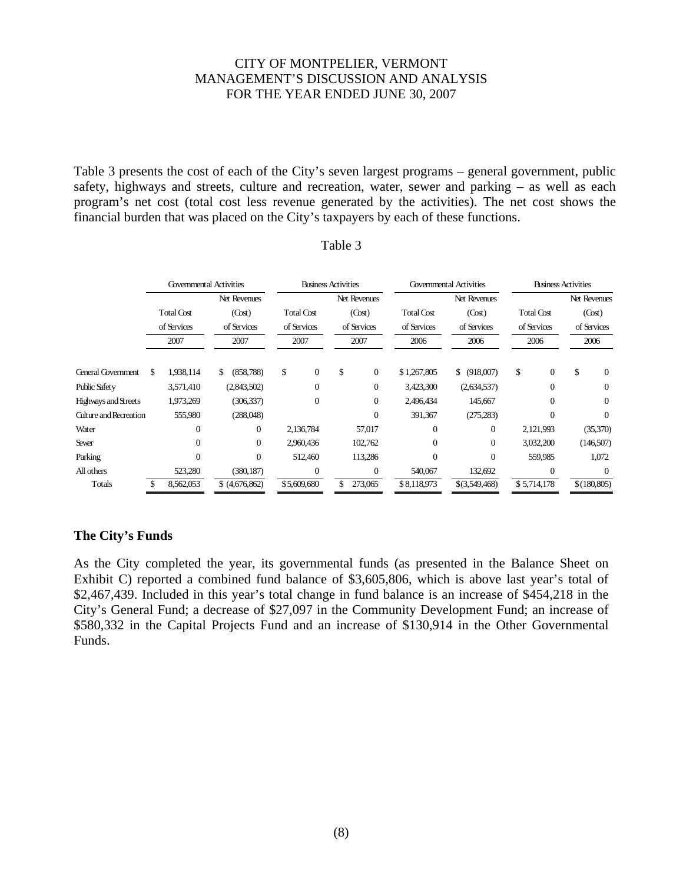Table 3 presents the cost of each of the City's seven largest programs – general government, public safety, highways and streets, culture and recreation, water, sewer and parking – as well as each program's net cost (total cost less revenue generated by the activities). The net cost shows the financial burden that was placed on the City's taxpayers by each of these functions.

|                             |   | <b>Governmental Activities</b> |                  |                   | <b>Business Activities</b> |    |              |                   | <b>Governmental Activities</b> | <b>Business Activities</b> |                |    |              |
|-----------------------------|---|--------------------------------|------------------|-------------------|----------------------------|----|--------------|-------------------|--------------------------------|----------------------------|----------------|----|--------------|
|                             |   |                                | Net Revenues     |                   |                            |    | Net Revenues |                   | Net Revenues                   |                            |                |    | Net Revenues |
|                             |   | <b>Total Cost</b>              | (Cost)           | <b>Total Cost</b> |                            |    | (Cost)       | <b>Total Cost</b> | (Cost)                         | <b>Total Cost</b>          |                |    | (Cost)       |
|                             |   | of Services                    | of Services      |                   | of Services                |    | of Services  | of Services       | of Services                    | of Services                |                |    | of Services  |
|                             |   | 2007                           | 2007             |                   | 2007                       |    | 2007         | 2006              | 2006                           |                            | 2006           |    | 2006         |
| <b>General Government</b>   | S | 1,938,114                      | (858, 788)<br>\$ | \$                | $\overline{0}$             | \$ | $\mathbf{0}$ | \$1,267,805       | \$ (918,007)                   | \$                         | $\mathbf{0}$   | \$ | $\theta$     |
| Public Safety               |   | 3,571,410                      | (2,843,502)      |                   | $\Omega$                   |    | $\Omega$     | 3,423,300         | (2,634,537)                    |                            | $\Omega$       |    | $\Omega$     |
| <b>Highways and Streets</b> |   | 1,973,269                      | (306, 337)       |                   | $\mathbf{0}$               |    | $\mathbf{0}$ | 2,496,434         | 145,667                        |                            | $\overline{0}$ |    | $\theta$     |
| Culture and Recreation      |   | 555,980                        | (288,048)        |                   |                            |    | $\Omega$     | 391,367           | (275, 283)                     |                            | $\Omega$       |    | $\Omega$     |
| Water                       |   | $\Omega$                       | $\Omega$         |                   | 2,136,784                  |    | 57,017       | $\Omega$          | $\Omega$                       |                            | 2,121,993      |    | (35,370)     |
| Sewer                       |   | $\Omega$                       | $\mathbf{0}$     |                   | 2,960,436                  |    | 102,762      | $\Omega$          | $\Omega$                       |                            | 3,032,200      |    | (146, 507)   |
| Parking                     |   | $\Omega$                       | $\Omega$         |                   | 512,460                    |    | 113,286      | $\Omega$          | $\Omega$                       |                            | 559,985        |    | 1,072        |
| All others                  |   | 523,280                        | (380, 187)       |                   | 0                          |    | $\mathbf{0}$ | 540,067           | 132,692                        |                            | $\theta$       |    | $\Omega$     |
| Totals                      |   | 8,562,053                      | (4,676,862)      |                   | \$5,609,680                |    | 273,065      | \$8,118,973       | \$(3,549,468)                  | \$5,714,178                |                |    | \$(180, 805) |

#### Table 3

#### **The City's Funds**

As the City completed the year, its governmental funds (as presented in the Balance Sheet on Exhibit C) reported a combined fund balance of \$3,605,806, which is above last year's total of \$2,467,439. Included in this year's total change in fund balance is an increase of \$454,218 in the City's General Fund; a decrease of \$27,097 in the Community Development Fund; an increase of \$580,332 in the Capital Projects Fund and an increase of \$130,914 in the Other Governmental Funds.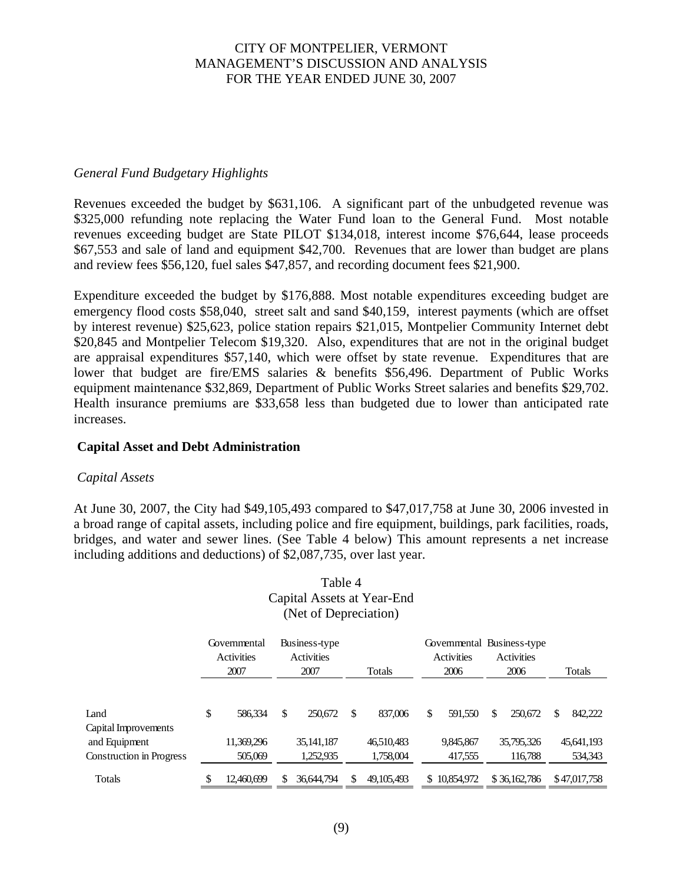#### *General Fund Budgetary Highlights*

Revenues exceeded the budget by \$631,106. A significant part of the unbudgeted revenue was \$325,000 refunding note replacing the Water Fund loan to the General Fund. Most notable revenues exceeding budget are State PILOT \$134,018, interest income \$76,644, lease proceeds \$67,553 and sale of land and equipment \$42,700. Revenues that are lower than budget are plans and review fees \$56,120, fuel sales \$47,857, and recording document fees \$21,900.

Expenditure exceeded the budget by \$176,888. Most notable expenditures exceeding budget are emergency flood costs \$58,040, street salt and sand \$40,159, interest payments (which are offset by interest revenue) \$25,623, police station repairs \$21,015, Montpelier Community Internet debt \$20,845 and Montpelier Telecom \$19,320. Also, expenditures that are not in the original budget are appraisal expenditures \$57,140, which were offset by state revenue. Expenditures that are lower that budget are fire/EMS salaries & benefits \$56,496. Department of Public Works equipment maintenance \$32,869, Department of Public Works Street salaries and benefits \$29,702. Health insurance premiums are \$33,658 less than budgeted due to lower than anticipated rate increases.

#### **Capital Asset and Debt Administration**

#### *Capital Assets*

At June 30, 2007, the City had \$49,105,493 compared to \$47,017,758 at June 30, 2006 invested in a broad range of capital assets, including police and fire equipment, buildings, park facilities, roads, bridges, and water and sewer lines. (See Table 4 below) This amount represents a net increase including additions and deductions) of \$2,087,735, over last year.

| Capital Assets at Year-End<br>(Net of Depreciation) |                                           |            |    |                                     |    |              |     |                           |    |                                                  |   |              |  |
|-----------------------------------------------------|-------------------------------------------|------------|----|-------------------------------------|----|--------------|-----|---------------------------|----|--------------------------------------------------|---|--------------|--|
|                                                     | Governmental<br><b>Activities</b><br>2007 |            |    | Business-type<br>Activities<br>2007 |    | Totals       |     | <b>Activities</b><br>2006 |    | Governmental Business-type<br>Activities<br>2006 |   | Totals       |  |
|                                                     |                                           |            |    |                                     |    |              |     |                           |    |                                                  |   |              |  |
| Land<br>Capital Improvements                        | \$                                        | 586,334    | \$ | 250,672                             | \$ | 837,006      | \$  | 591,550                   | \$ | 250,672                                          | S | 842,222      |  |
| and Equipment                                       |                                           | 11,369,296 |    | 35, 141, 187                        |    | 46,510,483   |     | 9,845,867                 |    | 35,795,326                                       |   | 45,641,193   |  |
| Construction in Progress                            |                                           | 505,069    |    | 1,252,935                           |    | 1,758,004    |     | 417,555                   |    | 116,788                                          |   | 534,343      |  |
| Totals                                              | \$                                        | 12.460.699 |    | 36,644,794                          |    | 49, 105, 493 | \$. | 10,854,972                |    | \$36,162,786                                     |   | \$47,017,758 |  |

# Table 4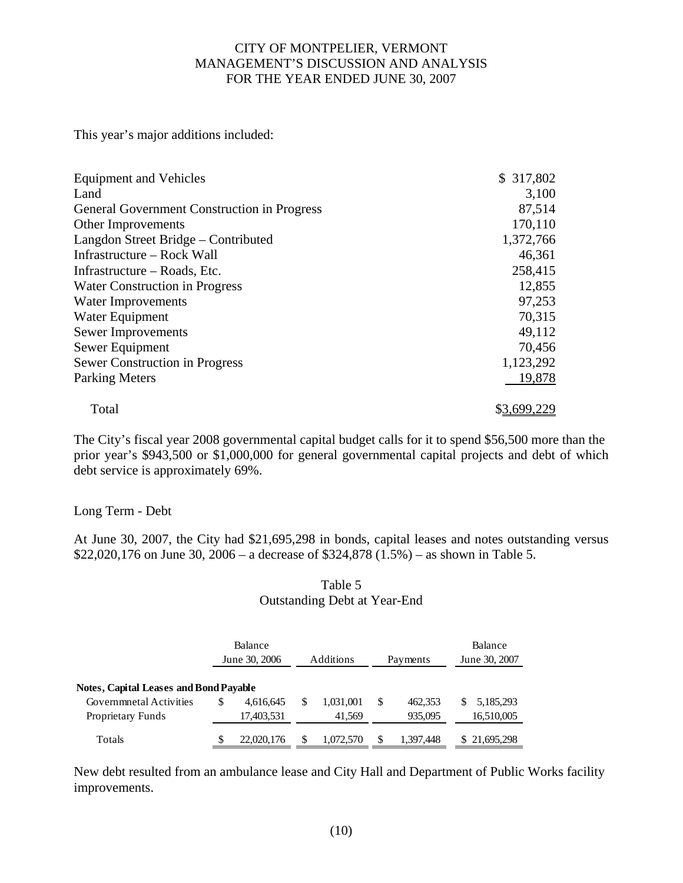This year's major additions included:

| <b>Equipment and Vehicles</b>                      | \$ 317,802         |
|----------------------------------------------------|--------------------|
| Land                                               | 3,100              |
| <b>General Government Construction in Progress</b> | 87,514             |
| Other Improvements                                 | 170,110            |
| Langdon Street Bridge – Contributed                | 1,372,766          |
| Infrastructure – Rock Wall                         | 46,361             |
| Infrastructure – Roads, Etc.                       | 258,415            |
| <b>Water Construction in Progress</b>              | 12,855             |
| Water Improvements                                 | 97,253             |
| Water Equipment                                    | 70,315             |
| Sewer Improvements                                 | 49,112             |
| Sewer Equipment                                    | 70,456             |
| <b>Sewer Construction in Progress</b>              | 1,123,292          |
| <b>Parking Meters</b>                              | 19,878             |
| Total                                              | <u>\$3,699,229</u> |

The City's fiscal year 2008 governmental capital budget calls for it to spend \$56,500 more than the prior year's \$943,500 or \$1,000,000 for general governmental capital projects and debt of which debt service is approximately 69%.

Long Term - Debt

At June 30, 2007, the City had \$21,695,298 in bonds, capital leases and notes outstanding versus \$22,020,176 on June 30, 2006 – a decrease of \$324,878 (1.5%) – as shown in Table 5.

|                                                                         |    | Balance<br>June 30, 2006 |   | <b>Additions</b>    | Payments             | Balance<br>June 30, 2007 |                            |  |
|-------------------------------------------------------------------------|----|--------------------------|---|---------------------|----------------------|--------------------------|----------------------------|--|
| <b>Notes, Capital Leases and Bond Payable</b><br>Governmetal Activities | \$ | 4.616.645                | S | 1,031,001           | 462,353              | S                        | 5,185,293                  |  |
| Proprietary Funds<br>Totals                                             | S  | 17,403,531<br>22,020,176 | S | 41.569<br>1,072,570 | 935,095<br>1.397.448 |                          | 16,510,005<br>\$21,695,298 |  |

# Table 5 Outstanding Debt at Year-End

New debt resulted from an ambulance lease and City Hall and Department of Public Works facility improvements.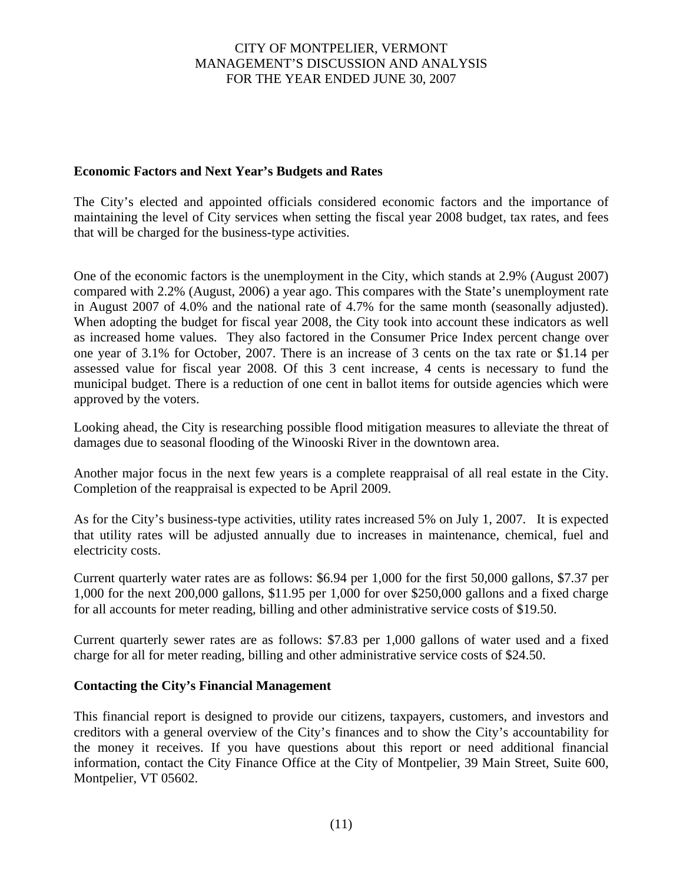#### **Economic Factors and Next Year's Budgets and Rates**

The City's elected and appointed officials considered economic factors and the importance of maintaining the level of City services when setting the fiscal year 2008 budget, tax rates, and fees that will be charged for the business-type activities.

One of the economic factors is the unemployment in the City, which stands at 2.9% (August 2007) compared with 2.2% (August, 2006) a year ago. This compares with the State's unemployment rate in August 2007 of 4.0% and the national rate of 4.7% for the same month (seasonally adjusted). When adopting the budget for fiscal year 2008, the City took into account these indicators as well as increased home values. They also factored in the Consumer Price Index percent change over one year of 3.1% for October, 2007. There is an increase of 3 cents on the tax rate or \$1.14 per assessed value for fiscal year 2008. Of this 3 cent increase, 4 cents is necessary to fund the municipal budget. There is a reduction of one cent in ballot items for outside agencies which were approved by the voters.

Looking ahead, the City is researching possible flood mitigation measures to alleviate the threat of damages due to seasonal flooding of the Winooski River in the downtown area.

Another major focus in the next few years is a complete reappraisal of all real estate in the City. Completion of the reappraisal is expected to be April 2009.

As for the City's business-type activities, utility rates increased 5% on July 1, 2007. It is expected that utility rates will be adjusted annually due to increases in maintenance, chemical, fuel and electricity costs.

Current quarterly water rates are as follows: \$6.94 per 1,000 for the first 50,000 gallons, \$7.37 per 1,000 for the next 200,000 gallons, \$11.95 per 1,000 for over \$250,000 gallons and a fixed charge for all accounts for meter reading, billing and other administrative service costs of \$19.50.

Current quarterly sewer rates are as follows: \$7.83 per 1,000 gallons of water used and a fixed charge for all for meter reading, billing and other administrative service costs of \$24.50.

# **Contacting the City's Financial Management**

This financial report is designed to provide our citizens, taxpayers, customers, and investors and creditors with a general overview of the City's finances and to show the City's accountability for the money it receives. If you have questions about this report or need additional financial information, contact the City Finance Office at the City of Montpelier, 39 Main Street, Suite 600, Montpelier, VT 05602.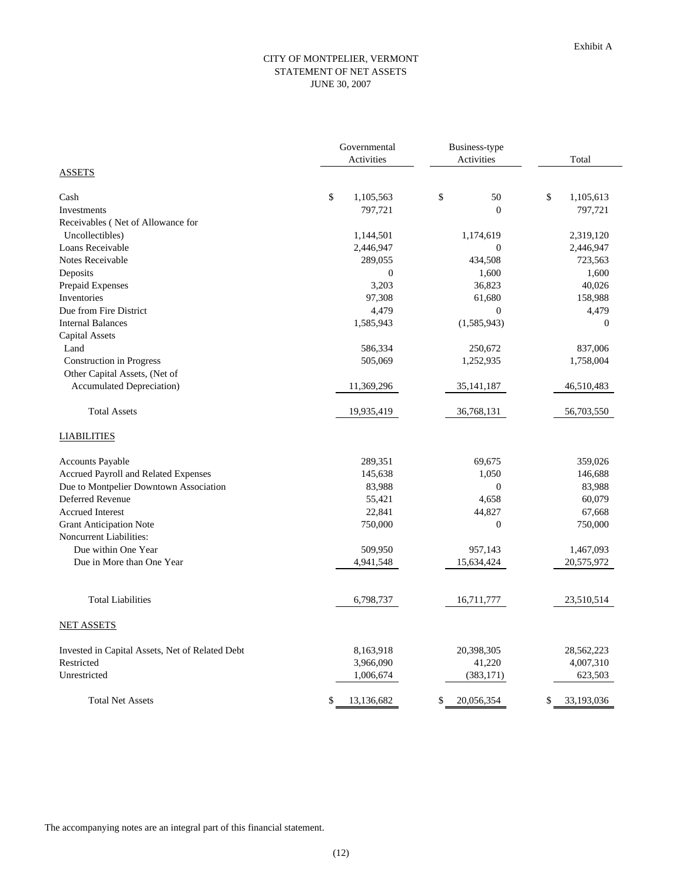#### CITY OF MONTPELIER, VERMONT STATEMENT OF NET ASSETS JUNE 30, 2007

|                                                 | Governmental<br><b>Activities</b> | Business-type<br>Activities | Total            |
|-------------------------------------------------|-----------------------------------|-----------------------------|------------------|
| <b>ASSETS</b>                                   |                                   |                             |                  |
| Cash                                            | \$<br>1,105,563                   | \$<br>50                    | \$<br>1,105,613  |
| Investments                                     | 797,721                           | $\theta$                    | 797,721          |
| Receivables (Net of Allowance for               |                                   |                             |                  |
| Uncollectibles)                                 | 1,144,501                         | 1,174,619                   | 2,319,120        |
| Loans Receivable                                | 2,446,947                         | $\boldsymbol{0}$            | 2,446,947        |
| Notes Receivable                                | 289,055                           | 434,508                     | 723,563          |
| Deposits                                        | $\boldsymbol{0}$                  | 1,600                       | 1,600            |
| Prepaid Expenses                                | 3,203                             | 36,823                      | 40,026           |
| Inventories                                     | 97,308                            | 61,680                      | 158,988          |
| Due from Fire District                          | 4,479                             | $\overline{0}$              | 4,479            |
| <b>Internal Balances</b>                        | 1,585,943                         | (1,585,943)                 | $\mathbf{0}$     |
| <b>Capital Assets</b>                           |                                   |                             |                  |
| Land                                            | 586,334                           | 250,672                     | 837,006          |
| <b>Construction in Progress</b>                 | 505,069                           | 1,252,935                   | 1,758,004        |
| Other Capital Assets, (Net of                   |                                   |                             |                  |
| <b>Accumulated Depreciation</b> )               | 11,369,296                        | 35, 141, 187                | 46,510,483       |
| <b>Total Assets</b>                             | 19,935,419                        | 36,768,131                  | 56,703,550       |
| <b>LIABILITIES</b>                              |                                   |                             |                  |
| <b>Accounts Payable</b>                         | 289,351                           | 69,675                      | 359,026          |
| Accrued Payroll and Related Expenses            | 145,638                           | 1,050                       | 146,688          |
| Due to Montpelier Downtown Association          | 83,988                            | $\overline{0}$              | 83,988           |
| Deferred Revenue                                | 55,421                            | 4,658                       | 60,079           |
| <b>Accrued Interest</b>                         | 22,841                            | 44,827                      | 67,668           |
| <b>Grant Anticipation Note</b>                  | 750,000                           | $\boldsymbol{0}$            | 750,000          |
| <b>Noncurrent Liabilities:</b>                  |                                   |                             |                  |
| Due within One Year                             | 509,950                           | 957,143                     | 1,467,093        |
| Due in More than One Year                       | 4,941,548                         | 15,634,424                  | 20,575,972       |
| <b>Total Liabilities</b>                        | 6,798,737                         | 16,711,777                  | 23,510,514       |
| <b>NET ASSETS</b>                               |                                   |                             |                  |
| Invested in Capital Assets, Net of Related Debt | 8,163,918                         | 20,398,305                  | 28,562,223       |
| Restricted                                      | 3,966,090                         | 41,220                      | 4,007,310        |
| Unrestricted                                    | 1,006,674                         | (383, 171)                  | 623,503          |
| <b>Total Net Assets</b>                         | \$<br>13,136,682                  | \$<br>20,056,354            | \$<br>33,193,036 |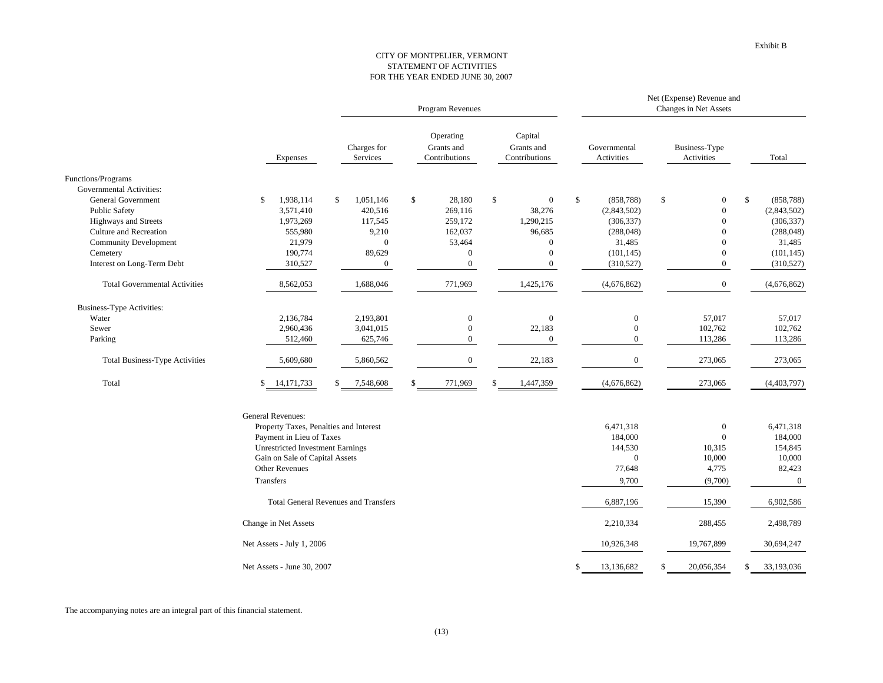#### CITY OF MONTPELIER, VERMONT STATEMENT OF ACTIVITIES FOR THE YEAR ENDED JUNE 30, 2007

|                                                       |                                         |                                             | Program Revenues                         |                  |                                        |                  |                            |                  | Net (Expense) Revenue and<br>Changes in Net Assets |                  |                  |
|-------------------------------------------------------|-----------------------------------------|---------------------------------------------|------------------------------------------|------------------|----------------------------------------|------------------|----------------------------|------------------|----------------------------------------------------|------------------|------------------|
|                                                       | Expenses                                | Charges for<br>Services                     | Operating<br>Grants and<br>Contributions |                  | Capital<br>Grants and<br>Contributions |                  | Governmental<br>Activities |                  | Business-Type<br>Activities                        |                  | Total            |
| <b>Functions/Programs</b><br>Governmental Activities: |                                         |                                             |                                          |                  |                                        |                  |                            |                  |                                                    |                  |                  |
| General Government                                    | 1,938,114<br>\$                         | \$<br>1,051,146                             | \$                                       | 28,180           | \$                                     | $\boldsymbol{0}$ | \$                         | (858, 788)       | \$                                                 | $\boldsymbol{0}$ | \$<br>(858, 788) |
| Public Safety                                         | 3,571,410                               | 420,516                                     |                                          | 269,116          |                                        | 38,276           |                            | (2,843,502)      |                                                    | $\mathbf{0}$     | (2,843,502)      |
| <b>Highways and Streets</b>                           | 1,973,269                               | 117,545                                     |                                          | 259,172          |                                        | 1,290,215        |                            | (306, 337)       |                                                    | $\mathbf{0}$     | (306, 337)       |
| Culture and Recreation                                | 555,980                                 | 9,210                                       |                                          | 162,037          |                                        | 96,685           |                            | (288, 048)       |                                                    | $\mathbf{0}$     | (288, 048)       |
| <b>Community Development</b>                          | 21,979                                  | $\boldsymbol{0}$                            |                                          | 53,464           |                                        | $\boldsymbol{0}$ |                            | 31,485           |                                                    | $\boldsymbol{0}$ | 31,485           |
| Cemetery                                              | 190,774                                 | 89,629                                      |                                          | $\mathbf{0}$     |                                        | $\mathbf{0}$     |                            | (101, 145)       |                                                    | $\boldsymbol{0}$ | (101, 145)       |
| Interest on Long-Term Debt                            | 310,527                                 | $\boldsymbol{0}$                            |                                          | $\boldsymbol{0}$ |                                        | $\boldsymbol{0}$ |                            | (310, 527)       |                                                    | $\boldsymbol{0}$ | (310, 527)       |
|                                                       |                                         |                                             |                                          |                  |                                        |                  |                            |                  |                                                    |                  |                  |
| <b>Total Governmental Activities</b>                  | 8,562,053                               | 1,688,046                                   |                                          | 771,969          |                                        | 1,425,176        |                            | (4,676,862)      |                                                    | $\mathbf{0}$     | (4,676,862)      |
| <b>Business-Type Activities:</b>                      |                                         |                                             |                                          |                  |                                        |                  |                            |                  |                                                    |                  |                  |
| Water                                                 | 2,136,784                               | 2,193,801                                   |                                          | $\boldsymbol{0}$ |                                        | $\mathbf{0}$     |                            | $\boldsymbol{0}$ |                                                    | 57,017           | 57,017           |
| Sewer                                                 | 2,960,436                               | 3,041,015                                   |                                          | $\mathbf{0}$     |                                        | 22,183           |                            | $\overline{0}$   |                                                    | 102,762          | 102,762          |
| Parking                                               | 512,460                                 | 625,746                                     |                                          | $\mathbf{0}$     |                                        | $\mathbf{0}$     |                            | $\overline{0}$   |                                                    | 113,286          | 113,286          |
| <b>Total Business-Type Activities</b>                 | 5,609,680                               | 5,860,562                                   |                                          | $\mathbf{0}$     |                                        | 22,183           |                            | $\mathbf{0}$     |                                                    | 273,065          | 273,065          |
| Total                                                 | \$<br>14, 171, 733                      | 7,548,608<br>\$                             | \$                                       | 771,969          | \$                                     | 1,447,359        |                            | (4,676,862)      |                                                    | 273,065          | (4,403,797)      |
|                                                       | General Revenues:                       |                                             |                                          |                  |                                        |                  |                            |                  |                                                    |                  |                  |
|                                                       | Property Taxes, Penalties and Interest  |                                             |                                          |                  |                                        |                  |                            | 6,471,318        |                                                    | $\boldsymbol{0}$ | 6,471,318        |
|                                                       | Payment in Lieu of Taxes                |                                             |                                          |                  |                                        |                  |                            | 184,000          |                                                    | $\mathbf{0}$     | 184,000          |
|                                                       | <b>Unrestricted Investment Earnings</b> |                                             |                                          |                  |                                        |                  |                            | 144,530          |                                                    | 10,315           | 154,845          |
|                                                       | Gain on Sale of Capital Assets          |                                             |                                          |                  |                                        |                  |                            | $\theta$         |                                                    | 10,000           | 10,000           |
|                                                       | Other Revenues                          |                                             |                                          |                  |                                        |                  |                            | 77,648           |                                                    | 4,775            | 82,423           |
|                                                       | Transfers                               |                                             |                                          |                  |                                        |                  |                            | 9,700            |                                                    | (9,700)          | $\mathbf{0}$     |
|                                                       |                                         | <b>Total General Revenues and Transfers</b> |                                          |                  |                                        |                  |                            | 6,887,196        |                                                    | 15,390           | 6,902,586        |
|                                                       | Change in Net Assets                    |                                             |                                          |                  |                                        |                  |                            | 2,210,334        |                                                    | 288,455          | 2,498,789        |
|                                                       | Net Assets - July 1, 2006               |                                             |                                          |                  |                                        |                  |                            | 10,926,348       |                                                    | 19,767,899       | 30,694,247       |
|                                                       | Net Assets - June 30, 2007              |                                             |                                          |                  |                                        |                  | S                          | 13,136,682       | \$                                                 | 20,056,354       | \$<br>33,193,036 |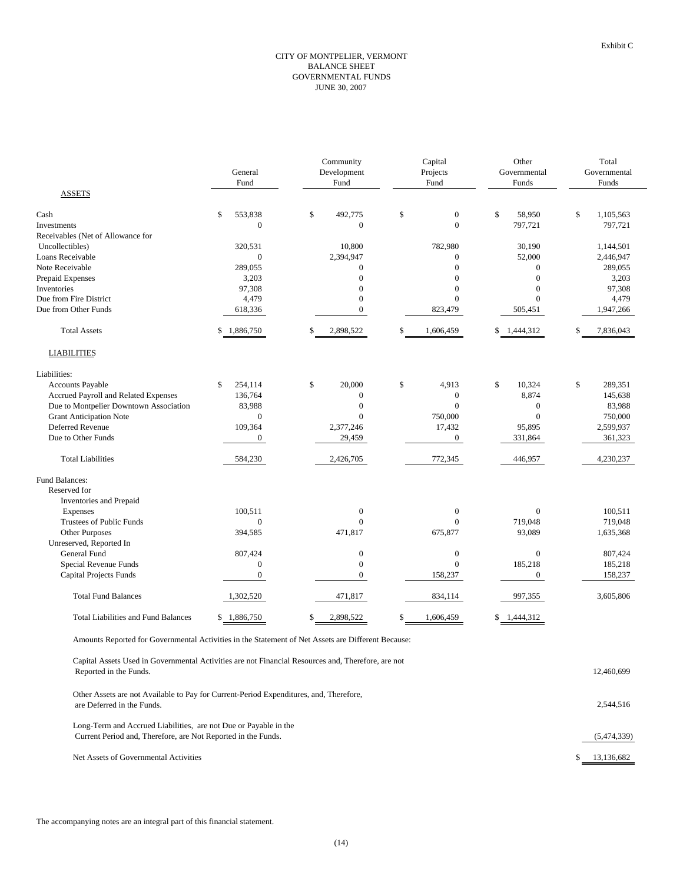#### CITY OF MONTPELIER, VERMONT BALANCE SHEET GOVERNMENTAL FUNDS JUNE 30, 2007

|                                                                                                    | General<br>Fund  | Community<br>Development<br>Fund | Capital<br>Projects<br>Fund | Other<br>Governmental<br>Funds | Total<br>Governmental<br>Funds |
|----------------------------------------------------------------------------------------------------|------------------|----------------------------------|-----------------------------|--------------------------------|--------------------------------|
| <b>ASSETS</b>                                                                                      |                  |                                  |                             |                                |                                |
| Cash                                                                                               | \$<br>553,838    | \$<br>492,775                    | \$<br>$\boldsymbol{0}$      | \$<br>58,950                   | \$<br>1,105,563                |
| Investments                                                                                        | $\boldsymbol{0}$ | $\mathbf{0}$                     | $\mathbf{0}$                | 797,721                        | 797,721                        |
| Receivables (Net of Allowance for                                                                  |                  |                                  |                             |                                |                                |
| Uncollectibles)                                                                                    | 320,531          | 10.800                           | 782,980                     | 30,190                         | 1,144,501                      |
| Loans Receivable                                                                                   | $\overline{0}$   | 2,394,947                        | $\boldsymbol{0}$            | 52,000                         | 2,446,947                      |
| Note Receivable                                                                                    | 289,055          | $\mathbf{0}$                     | $\boldsymbol{0}$            | $\boldsymbol{0}$               | 289,055                        |
| Prepaid Expenses                                                                                   | 3,203            | $\mathbf{0}$                     | $\mathbf{0}$                | $\mathbf{0}$                   | 3,203                          |
| Inventories                                                                                        | 97,308           | $\mathbf{0}$                     | $\overline{0}$              | $\Omega$                       | 97,308                         |
| Due from Fire District                                                                             | 4,479            | $\boldsymbol{0}$                 | $\theta$                    | $\theta$                       | 4,479                          |
| Due from Other Funds                                                                               | 618,336          | $\mathbf{0}$                     | 823,479                     | 505,451                        | 1,947,266                      |
| <b>Total Assets</b>                                                                                | \$<br>1,886,750  | 2,898,522<br>\$                  | \$<br>1,606,459             | 1,444,312<br>\$                | \$<br>7,836,043                |
| <b>LIABILITIES</b>                                                                                 |                  |                                  |                             |                                |                                |
| Liabilities:                                                                                       |                  |                                  |                             |                                |                                |
| Accounts Payable                                                                                   | \$<br>254,114    | \$<br>20,000                     | \$<br>4,913                 | \$<br>10,324                   | \$<br>289,351                  |
| Accrued Payroll and Related Expenses                                                               | 136,764          | $\theta$                         | $\boldsymbol{0}$            | 8,874                          | 145,638                        |
| Due to Montpelier Downtown Association                                                             | 83,988           | $\Omega$                         | $\Omega$                    | $\mathbf{0}$                   | 83,988                         |
| <b>Grant Anticipation Note</b>                                                                     | $\overline{0}$   | $\Omega$                         | 750,000                     | $\overline{0}$                 | 750,000                        |
| Deferred Revenue                                                                                   | 109,364          | 2,377,246                        | 17,432                      | 95,895                         | 2,599,937                      |
| Due to Other Funds                                                                                 | $\mathbf{0}$     | 29,459                           | $\mathbf{0}$                | 331,864                        | 361,323                        |
| <b>Total Liabilities</b>                                                                           | 584,230          | 2,426,705                        | 772,345                     | 446,957                        | 4,230,237                      |
| Fund Balances:                                                                                     |                  |                                  |                             |                                |                                |
| Reserved for                                                                                       |                  |                                  |                             |                                |                                |
| Inventories and Prepaid                                                                            |                  |                                  |                             |                                |                                |
| Expenses                                                                                           | 100,511          | $\mathbf{0}$                     | $\boldsymbol{0}$            | $\mathbf{0}$                   | 100,511                        |
| Trustees of Public Funds                                                                           | $\overline{0}$   | $\Omega$                         | $\overline{0}$              | 719,048                        | 719,048                        |
| Other Purposes                                                                                     | 394,585          | 471,817                          | 675,877                     | 93,089                         | 1,635,368                      |
| Unreserved, Reported In                                                                            |                  |                                  |                             |                                |                                |
| General Fund                                                                                       | 807,424          | $\mathbf{0}$                     | $\boldsymbol{0}$            | $\boldsymbol{0}$               | 807,424                        |
| Special Revenue Funds                                                                              | $\boldsymbol{0}$ | $\mathbf{0}$                     | $\mathbf{0}$                | 185,218                        | 185,218                        |
| <b>Capital Projects Funds</b>                                                                      | $\mathbf{0}$     | $\mathbf{0}$                     | 158,237                     | $\mathbf{0}$                   | 158,237                        |
| <b>Total Fund Balances</b>                                                                         | 1,302,520        | 471,817                          | 834,114                     | 997,355                        | 3,605,806                      |
| <b>Total Liabilities and Fund Balances</b>                                                         | 1,886,750<br>\$  | 2,898,522                        | \$<br>1,606,459             | \$1,444,312                    |                                |
| Amounts Reported for Governmental Activities in the Statement of Net Assets are Different Because: |                  |                                  |                             |                                |                                |

| Capital Assets Used in Governmental Activities are not Financial Resources and, Therefore, are not<br>Reported in the Funds. | 12,460,699  |
|------------------------------------------------------------------------------------------------------------------------------|-------------|
| Other Assets are not Available to Pay for Current-Period Expenditures, and, Therefore,<br>are Deferred in the Funds.         | 2.544.516   |
| Long-Term and Accrued Liabilities, are not Due or Payable in the                                                             |             |
| Current Period and, Therefore, are Not Reported in the Funds.                                                                | (5,474,339) |
| Net Assets of Governmental Activities                                                                                        | 13.136.682  |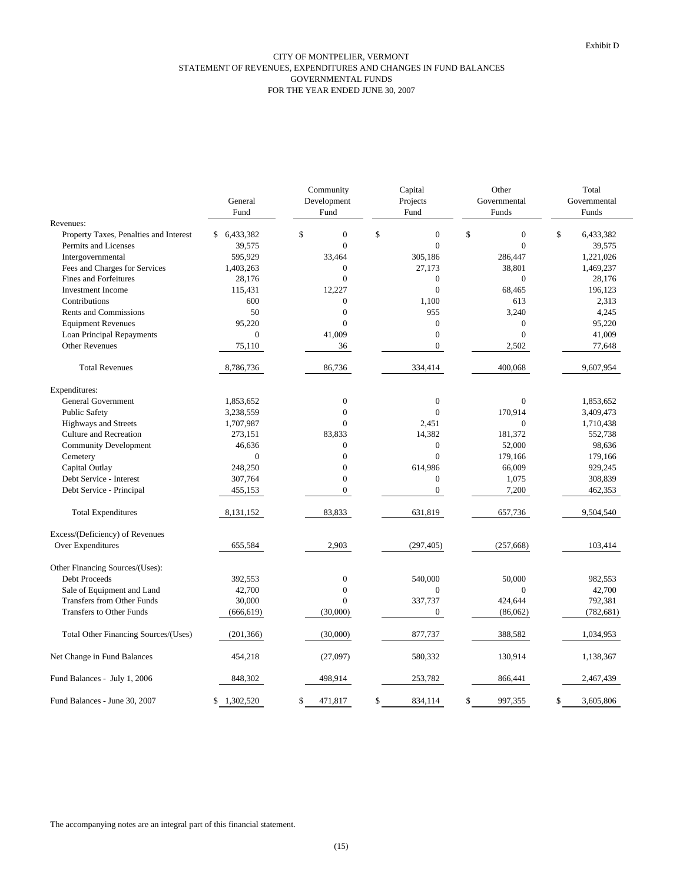#### CITY OF MONTPELIER, VERMONT STATEMENT OF REVENUES, EXPENDITURES AND CHANGES IN FUND BALANCES GOVERNMENTAL FUNDS FOR THE YEAR ENDED JUNE 30, 2007

|                                        |              | Community                      | Capital              | Other                                | Total                    |  |
|----------------------------------------|--------------|--------------------------------|----------------------|--------------------------------------|--------------------------|--|
|                                        | General      | Development                    | Projects             |                                      | Governmental             |  |
|                                        | Fund         | Fund                           | Fund                 | Funds                                | Funds                    |  |
| Revenues:                              |              |                                |                      |                                      |                          |  |
| Property Taxes, Penalties and Interest | \$ 6,433,382 | $\mathbb{S}$<br>$\overline{0}$ | \$<br>$\overline{0}$ | $\mathbf{\hat{S}}$<br>$\overline{0}$ | $\mathbf S$<br>6,433,382 |  |
| Permits and Licenses                   | 39,575       | $\theta$                       | $\theta$             | $\theta$                             | 39,575                   |  |
| Intergovernmental                      | 595,929      | 33,464                         | 305,186              | 286,447                              | 1,221,026                |  |
| Fees and Charges for Services          | 1,403,263    | $\mathbf{0}$                   | 27,173               | 38,801                               | 1,469,237                |  |
| <b>Fines and Forfeitures</b>           | 28,176       | $\overline{0}$                 | $\boldsymbol{0}$     | $\mathbf{0}$                         | 28,176                   |  |
| <b>Investment Income</b>               | 115,431      | 12,227                         | $\theta$             | 68,465                               | 196,123                  |  |
| Contributions                          | 600          | $\theta$                       | 1,100                | 613                                  | 2,313                    |  |
| <b>Rents and Commissions</b>           | 50           | $\overline{0}$                 | 955                  | 3,240                                | 4,245                    |  |
| <b>Equipment Revenues</b>              | 95,220       | $\overline{0}$                 | $\mathbf{0}$         | $\overline{0}$                       | 95,220                   |  |
| Loan Principal Repayments              | $\mathbf{0}$ | 41,009                         | $\mathbf{0}$         | $\overline{0}$                       | 41,009                   |  |
| <b>Other Revenues</b>                  | 75,110       | 36                             | $\boldsymbol{0}$     | 2,502                                | 77,648                   |  |
| <b>Total Revenues</b>                  | 8,786,736    | 86,736                         | 334,414              | 400,068                              | 9,607,954                |  |
| Expenditures:                          |              |                                |                      |                                      |                          |  |
| <b>General Government</b>              | 1,853,652    | $\mathbf{0}$                   | $\boldsymbol{0}$     | $\boldsymbol{0}$                     | 1,853,652                |  |
| <b>Public Safety</b>                   | 3,238,559    | $\overline{0}$                 | $\theta$             | 170,914                              | 3,409,473                |  |
| Highways and Streets                   | 1,707,987    | $\overline{0}$                 | 2,451                | $\mathbf{0}$                         | 1,710,438                |  |
| <b>Culture and Recreation</b>          | 273,151      | 83,833                         | 14,382               | 181,372                              | 552,738                  |  |
| <b>Community Development</b>           | 46,636       | $\mathbf{0}$                   | $\boldsymbol{0}$     | 52,000                               | 98,636                   |  |
| Cemetery                               | $\mathbf{0}$ | $\overline{0}$                 | $\mathbf{0}$         | 179,166                              | 179,166                  |  |
| Capital Outlay                         | 248,250      | $\overline{0}$                 | 614,986              | 66,009                               | 929,245                  |  |
| Debt Service - Interest                | 307,764      | $\boldsymbol{0}$               | $\boldsymbol{0}$     | 1,075                                | 308,839                  |  |
|                                        |              | $\boldsymbol{0}$               | $\boldsymbol{0}$     |                                      |                          |  |
| Debt Service - Principal               | 455,153      |                                |                      | 7,200                                | 462,353                  |  |
| <b>Total Expenditures</b>              | 8,131,152    | 83,833                         | 631,819              | 657,736                              | 9,504,540                |  |
| Excess/(Deficiency) of Revenues        |              |                                |                      |                                      |                          |  |
| Over Expenditures                      | 655,584      | 2,903                          | (297, 405)           | (257, 668)                           | 103,414                  |  |
| Other Financing Sources/(Uses):        |              |                                |                      |                                      |                          |  |
| <b>Debt Proceeds</b>                   | 392,553      | $\mathbf{0}$                   | 540,000              | 50,000                               | 982,553                  |  |
| Sale of Equipment and Land             | 42,700       | $\mathbf{0}$                   | $\mathbf{0}$         | $\Omega$                             | 42,700                   |  |
| <b>Transfers from Other Funds</b>      | 30,000       | $\theta$                       | 337,737              | 424,644                              | 792,381                  |  |
| <b>Transfers to Other Funds</b>        | (666, 619)   | (30,000)                       | $\boldsymbol{0}$     | (86,062)                             | (782, 681)               |  |
| Total Other Financing Sources/(Uses)   | (201, 366)   | (30,000)                       | 877,737              | 388,582                              | 1,034,953                |  |
| Net Change in Fund Balances            | 454,218      | (27,097)                       | 580,332              | 130,914                              | 1,138,367                |  |
| Fund Balances - July 1, 2006           | 848,302      | 498,914                        | 253,782              | 866,441                              | 2,467,439                |  |
| Fund Balances - June 30, 2007          | \$1,302,520  | \$<br>471,817                  | \$<br>834,114        | \$<br>997,355                        | \$<br>3,605,806          |  |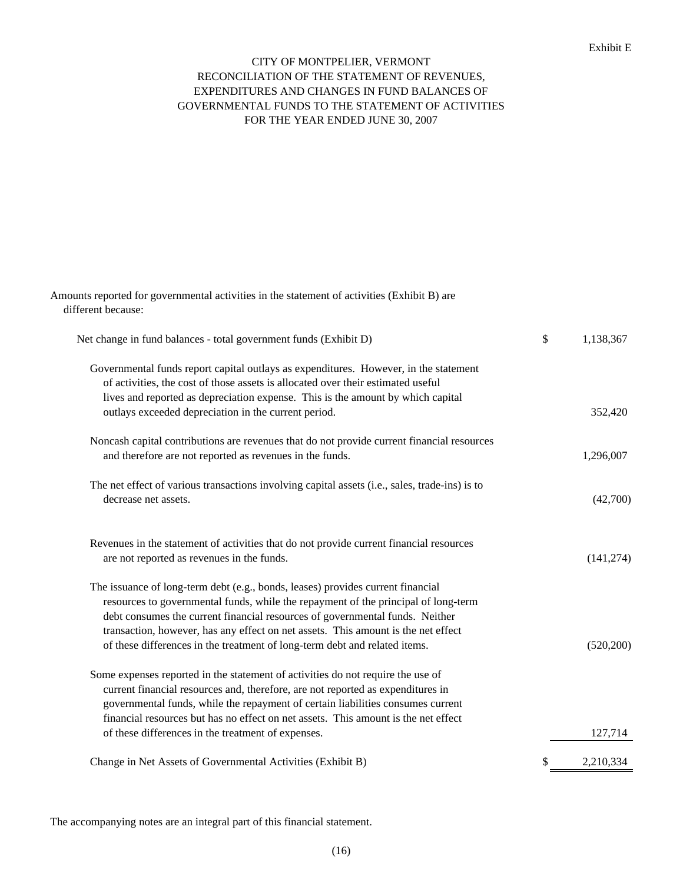#### FOR THE YEAR ENDED JUNE 30, 2007 CITY OF MONTPELIER, VERMONT RECONCILIATION OF THE STATEMENT OF REVENUES, EXPENDITURES AND CHANGES IN FUND BALANCES OF GOVERNMENTAL FUNDS TO THE STATEMENT OF ACTIVITIES

| Amounts reported for governmental activities in the statement of activities (Exhibit B) are<br>different because:                                                                                                                                                                                                                                                                                                        |                 |
|--------------------------------------------------------------------------------------------------------------------------------------------------------------------------------------------------------------------------------------------------------------------------------------------------------------------------------------------------------------------------------------------------------------------------|-----------------|
| Net change in fund balances - total government funds (Exhibit D)                                                                                                                                                                                                                                                                                                                                                         | \$<br>1,138,367 |
| Governmental funds report capital outlays as expenditures. However, in the statement<br>of activities, the cost of those assets is allocated over their estimated useful<br>lives and reported as depreciation expense. This is the amount by which capital<br>outlays exceeded depreciation in the current period.                                                                                                      | 352,420         |
| Noncash capital contributions are revenues that do not provide current financial resources<br>and therefore are not reported as revenues in the funds.                                                                                                                                                                                                                                                                   | 1,296,007       |
| The net effect of various transactions involving capital assets (i.e., sales, trade-ins) is to<br>decrease net assets.                                                                                                                                                                                                                                                                                                   | (42,700)        |
| Revenues in the statement of activities that do not provide current financial resources<br>are not reported as revenues in the funds.                                                                                                                                                                                                                                                                                    | (141, 274)      |
| The issuance of long-term debt (e.g., bonds, leases) provides current financial<br>resources to governmental funds, while the repayment of the principal of long-term<br>debt consumes the current financial resources of governmental funds. Neither<br>transaction, however, has any effect on net assets. This amount is the net effect<br>of these differences in the treatment of long-term debt and related items. | (520, 200)      |
| Some expenses reported in the statement of activities do not require the use of<br>current financial resources and, therefore, are not reported as expenditures in<br>governmental funds, while the repayment of certain liabilities consumes current<br>financial resources but has no effect on net assets. This amount is the net effect<br>of these differences in the treatment of expenses.                        | 127,714         |
| Change in Net Assets of Governmental Activities (Exhibit B)                                                                                                                                                                                                                                                                                                                                                              | \$<br>2,210,334 |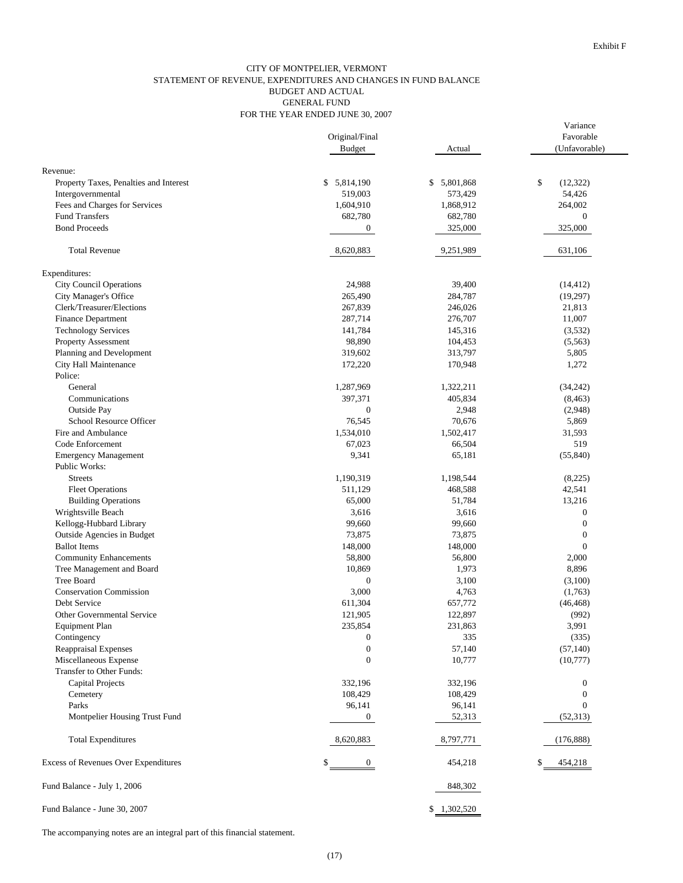#### CITY OF MONTPELIER, VERMONT STATEMENT OF REVENUE, EXPENDITURES AND CHANGES IN FUND BALANCE BUDGET AND ACTUAL GENERAL FUND FOR THE YEAR ENDED JUNE 30, 2007

|                                              | Original/Final     |             | Variance<br>Favorable |
|----------------------------------------------|--------------------|-------------|-----------------------|
|                                              | <b>Budget</b>      | Actual      | (Unfavorable)         |
| Revenue:                                     |                    |             |                       |
| Property Taxes, Penalties and Interest       | \$5,814,190        | \$5,801,868 | \$<br>(12, 322)       |
| Intergovernmental                            | 519,003            | 573,429     | 54,426                |
| Fees and Charges for Services                | 1,604,910          | 1,868,912   | 264,002               |
| <b>Fund Transfers</b>                        | 682,780            | 682,780     | $\boldsymbol{0}$      |
| <b>Bond Proceeds</b>                         | $\boldsymbol{0}$   | 325,000     | 325,000               |
| <b>Total Revenue</b>                         | 8,620,883          | 9,251,989   | 631,106               |
| Expenditures:                                |                    |             |                       |
| <b>City Council Operations</b>               | 24,988             | 39,400      | (14, 412)             |
| City Manager's Office                        | 265,490            | 284,787     | (19,297)              |
| Clerk/Treasurer/Elections                    | 267,839            | 246,026     | 21,813                |
| <b>Finance Department</b>                    | 287,714            | 276,707     | 11,007                |
| <b>Technology Services</b>                   | 141,784            | 145,316     | (3,532)               |
| Property Assessment                          | 98,890             | 104,453     | (5,563)               |
| Planning and Development                     | 319,602            | 313,797     | 5,805                 |
| City Hall Maintenance                        | 172,220            | 170,948     | 1,272                 |
| Police:                                      |                    |             |                       |
| General                                      | 1,287,969          | 1,322,211   | (34,242)              |
| Communications                               | 397,371            | 405,834     | (8, 463)              |
| Outside Pay                                  | $\mathbf{0}$       | 2,948       | (2,948)               |
| School Resource Officer                      | 76,545             | 70,676      | 5,869                 |
| Fire and Ambulance                           | 1,534,010          | 1,502,417   | 31,593                |
| Code Enforcement                             | 67,023             | 66,504      | 519                   |
| <b>Emergency Management</b><br>Public Works: | 9,341              | 65,181      | (55, 840)             |
| <b>Streets</b>                               | 1,190,319          | 1,198,544   | (8,225)               |
| <b>Fleet Operations</b>                      | 511,129            | 468,588     | 42,541                |
| <b>Building Operations</b>                   | 65,000             | 51,784      | 13,216                |
| Wrightsville Beach                           | 3,616              | 3,616       | $\mathbf{0}$          |
| Kellogg-Hubbard Library                      | 99,660             | 99,660      | $\boldsymbol{0}$      |
| Outside Agencies in Budget                   | 73,875             | 73,875      | $\boldsymbol{0}$      |
| <b>Ballot</b> Items                          | 148,000            | 148,000     | $\mathbf{0}$          |
| <b>Community Enhancements</b>                | 58,800             | 56,800      | 2,000                 |
| Tree Management and Board                    | 10,869             | 1,973       | 8,896                 |
| Tree Board                                   | $\boldsymbol{0}$   | 3,100       | (3,100)               |
| <b>Conservation Commission</b>               | 3,000              | 4,763       | (1,763)               |
| Debt Service                                 | 611,304            | 657,772     | (46, 468)             |
| Other Governmental Service                   | 121,905            | 122,897     | (992)                 |
| <b>Equipment Plan</b>                        | 235,854            | 231,863     | 3,991                 |
| Contingency                                  | 0                  | 335         | (335)                 |
| Reappraisal Expenses                         | $\boldsymbol{0}$   | 57,140      | (57, 140)             |
| Miscellaneous Expense                        | $\boldsymbol{0}$   | 10,777      | (10,777)              |
| Transfer to Other Funds:                     |                    |             |                       |
| Capital Projects                             | 332,196            | 332,196     | $\boldsymbol{0}$      |
| Cemetery                                     | 108,429            | 108,429     | 0                     |
| Parks                                        | 96,141             | 96,141      | $\overline{0}$        |
| Montpelier Housing Trust Fund                | $\mathbf{0}$       | 52,313      | (52,313)              |
| <b>Total Expenditures</b>                    | 8,620,883          | 8,797,771   | (176, 888)            |
| Excess of Revenues Over Expenditures         | \$<br>$\mathbf{0}$ | 454,218     | 454,218               |
| Fund Balance - July 1, 2006                  |                    | 848,302     |                       |
| Fund Balance - June 30, 2007                 |                    | \$1,302,520 |                       |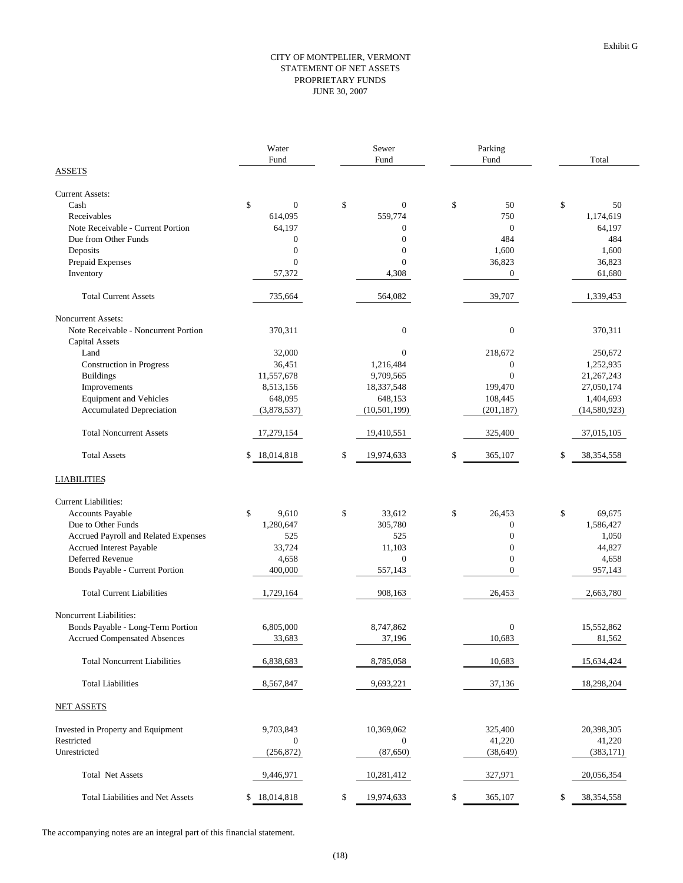#### CITY OF MONTPELIER, VERMONT STATEMENT OF NET ASSETS PROPRIETARY FUNDS JUNE 30, 2007

|                                      | Water<br>Fund      | Sewer<br>Fund |                  | Parking<br>Fund |                | Total |              |
|--------------------------------------|--------------------|---------------|------------------|-----------------|----------------|-------|--------------|
| <b>ASSETS</b>                        |                    |               |                  |                 |                |       |              |
| <b>Current Assets:</b>               |                    |               |                  |                 |                |       |              |
| Cash                                 | \$<br>$\mathbf{0}$ | \$            | $\boldsymbol{0}$ | \$              | 50             | \$    | 50           |
| Receivables                          | 614,095            |               | 559,774          |                 | 750            |       | 1,174,619    |
| Note Receivable - Current Portion    | 64,197             |               | $\overline{0}$   |                 | $\mathbf{0}$   |       | 64,197       |
| Due from Other Funds                 | $\boldsymbol{0}$   |               | $\mathbf{0}$     |                 | 484            |       | 484          |
| Deposits                             | $\overline{0}$     |               | $\overline{0}$   |                 | 1,600          |       | 1,600        |
| Prepaid Expenses                     | $\mathbf{0}$       |               | $\overline{0}$   |                 | 36,823         |       | 36,823       |
| Inventory                            | 57,372             |               | 4,308            |                 | $\overline{0}$ |       | 61,680       |
| <b>Total Current Assets</b>          | 735,664            |               | 564,082          |                 | 39,707         |       | 1,339,453    |
| <b>Noncurrent Assets:</b>            |                    |               |                  |                 |                |       |              |
| Note Receivable - Noncurrent Portion | 370,311            |               | $\boldsymbol{0}$ |                 | $\mathbf{0}$   |       | 370,311      |
| <b>Capital Assets</b>                |                    |               |                  |                 |                |       |              |
| Land                                 | 32,000             |               | $\mathbf{0}$     |                 | 218,672        |       | 250,672      |
| <b>Construction</b> in Progress      | 36,451             |               | 1,216,484        |                 | $\Omega$       |       | 1,252,935    |
| <b>Buildings</b>                     | 11,557,678         |               | 9,709,565        |                 | $\Omega$       |       | 21, 267, 243 |
| Improvements                         | 8,513,156          |               | 18,337,548       |                 | 199,470        |       | 27,050,174   |
| <b>Equipment and Vehicles</b>        | 648,095            |               | 648,153          |                 | 108,445        |       | 1,404,693    |
| <b>Accumulated Depreciation</b>      | (3,878,537)        |               | (10, 501, 199)   |                 | (201, 187)     |       | (14,580,923) |
| <b>Total Noncurrent Assets</b>       | 17,279,154         |               | 19,410,551       |                 | 325,400        |       | 37,015,105   |
| <b>Total Assets</b>                  | \$18,014,818       | \$            | 19,974,633       | \$              | 365,107        | \$    | 38, 354, 558 |
| <b>LIABILITIES</b>                   |                    |               |                  |                 |                |       |              |
| <b>Current Liabilities:</b>          |                    |               |                  |                 |                |       |              |
| <b>Accounts Payable</b>              | \$<br>9,610        | \$            | 33,612           | \$              | 26,453         | \$    | 69,675       |
| Due to Other Funds                   | 1,280,647          |               | 305,780          |                 | $\mathbf{0}$   |       | 1,586,427    |
| Accrued Payroll and Related Expenses | 525                |               | 525              |                 | $\mathbf{0}$   |       | 1,050        |
| Accrued Interest Payable             | 33,724             |               | 11,103           |                 | $\mathbf{0}$   |       | 44,827       |
| Deferred Revenue                     | 4,658              |               | $\overline{0}$   |                 | $\Omega$       |       | 4,658        |
| Bonds Payable - Current Portion      | 400,000            |               | 557,143          |                 | 0              |       | 957,143      |
| <b>Total Current Liabilities</b>     | 1,729,164          |               | 908,163          |                 | 26,453         |       | 2,663,780    |
| Noncurrent Liabilities:              |                    |               |                  |                 |                |       |              |
| Bonds Payable - Long-Term Portion    | 6,805,000          |               | 8,747,862        |                 | $\mathbf{0}$   |       | 15,552,862   |
| <b>Accrued Compensated Absences</b>  | 33,683             |               | 37,196           |                 | 10,683         |       | 81,562       |
| <b>Total Noncurrent Liabilities</b>  | 6,838,683          |               | 8,785,058        |                 | 10,683         |       | 15,634,424   |
| <b>Total Liabilities</b>             | 8,567,847          |               | 9,693,221        |                 | 37,136         |       | 18,298,204   |
| <b>NET ASSETS</b>                    |                    |               |                  |                 |                |       |              |
| Invested in Property and Equipment   | 9,703,843          |               | 10,369,062       |                 | 325,400        |       | 20,398,305   |
| Restricted                           | $\boldsymbol{0}$   |               | $\mathbf{0}$     |                 | 41,220         |       | 41,220       |
| Unrestricted                         | (256, 872)         |               | (87, 650)        |                 | (38, 649)      |       | (383, 171)   |
| <b>Total Net Assets</b>              | 9,446,971          |               | 10,281,412       |                 | 327,971        |       | 20,056,354   |
| Total Liabilities and Net Assets     | \$18,014,818       | \$            | 19,974,633       | \$              | 365,107        | \$    | 38, 354, 558 |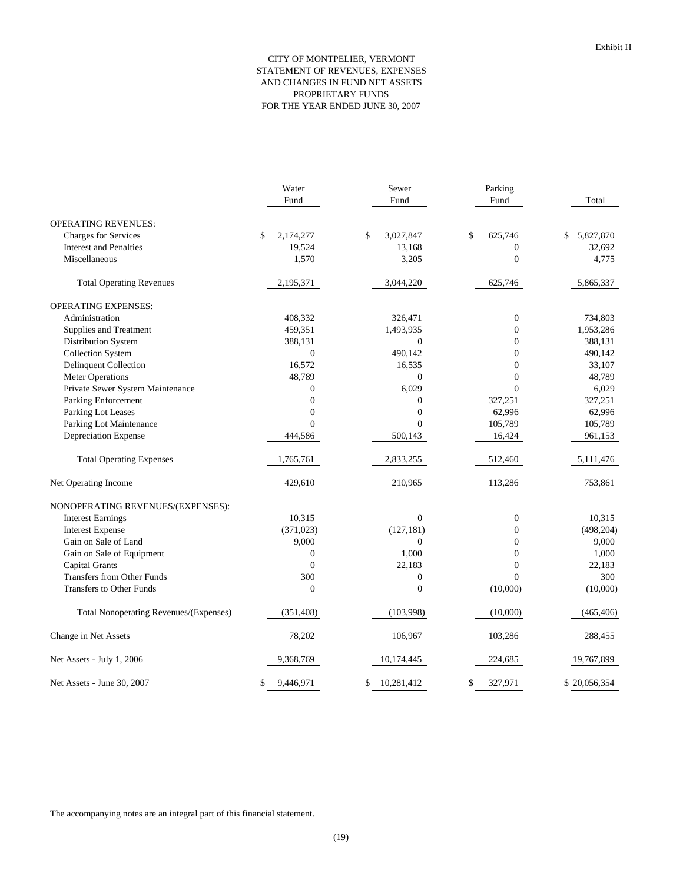#### CITY OF MONTPELIER, VERMONT STATEMENT OF REVENUES, EXPENSES AND CHANGES IN FUND NET ASSETS PROPRIETARY FUNDS FOR THE YEAR ENDED JUNE 30, 2007

|                                        | Water            | Sewer            | Parking          |                 |
|----------------------------------------|------------------|------------------|------------------|-----------------|
|                                        | Fund             | Fund             | Fund             | Total           |
| <b>OPERATING REVENUES:</b>             |                  |                  |                  |                 |
| <b>Charges for Services</b>            | \$<br>2,174,277  | \$<br>3,027,847  | 625,746<br>\$    | \$<br>5,827,870 |
| <b>Interest and Penalties</b>          | 19,524           | 13,168           | $\overline{0}$   | 32,692          |
| Miscellaneous                          | 1,570            | 3,205            | 0                | 4,775           |
| <b>Total Operating Revenues</b>        | 2,195,371        | 3,044,220        | 625,746          | 5,865,337       |
| <b>OPERATING EXPENSES:</b>             |                  |                  |                  |                 |
| Administration                         | 408,332          | 326,471          | $\boldsymbol{0}$ | 734,803         |
| Supplies and Treatment                 | 459,351          | 1,493,935        | $\overline{0}$   | 1,953,286       |
| Distribution System                    | 388,131          | $\boldsymbol{0}$ | $\boldsymbol{0}$ | 388,131         |
| <b>Collection System</b>               | $\boldsymbol{0}$ | 490,142          | $\overline{0}$   | 490,142         |
| <b>Delinquent Collection</b>           | 16,572           | 16,535           | $\overline{0}$   | 33,107          |
| <b>Meter Operations</b>                | 48,789           | $\overline{0}$   | $\theta$         | 48,789          |
| Private Sewer System Maintenance       | $\boldsymbol{0}$ | 6,029            | $\overline{0}$   | 6,029           |
| Parking Enforcement                    | $\boldsymbol{0}$ | $\boldsymbol{0}$ | 327,251          | 327,251         |
| Parking Lot Leases                     | $\boldsymbol{0}$ | $\boldsymbol{0}$ | 62,996           | 62,996          |
| Parking Lot Maintenance                | $\theta$         | $\theta$         | 105,789          | 105,789         |
| <b>Depreciation Expense</b>            | 444,586          | 500,143          | 16,424           | 961,153         |
| <b>Total Operating Expenses</b>        | 1,765,761        | 2,833,255        | 512,460          | 5,111,476       |
| Net Operating Income                   | 429,610          | 210,965          | 113,286          | 753,861         |
| NONOPERATING REVENUES/(EXPENSES):      |                  |                  |                  |                 |
| <b>Interest Earnings</b>               | 10,315           | $\mathbf{0}$     | $\boldsymbol{0}$ | 10,315          |
| <b>Interest Expense</b>                | (371, 023)       | (127, 181)       | $\overline{0}$   | (498, 204)      |
| Gain on Sale of Land                   | 9,000            | $\mathbf{0}$     | $\boldsymbol{0}$ | 9,000           |
| Gain on Sale of Equipment              | $\boldsymbol{0}$ | 1,000            | $\overline{0}$   | 1,000           |
| Capital Grants                         | $\mathbf{0}$     | 22,183           | $\theta$         | 22,183          |
| <b>Transfers from Other Funds</b>      | 300              | $\mathbf{0}$     | $\Omega$         | 300             |
| Transfers to Other Funds               | $\boldsymbol{0}$ | $\boldsymbol{0}$ | (10,000)         | (10,000)        |
| Total Nonoperating Revenues/(Expenses) | (351, 408)       | (103,998)        | (10,000)         | (465, 406)      |
| Change in Net Assets                   | 78,202           | 106,967          | 103,286          | 288,455         |
| Net Assets - July 1, 2006              | 9,368,769        | 10,174,445       | 224,685          | 19,767,899      |
| Net Assets - June 30, 2007             | \$<br>9,446,971  | 10,281,412<br>\$ | \$<br>327,971    | \$20,056,354    |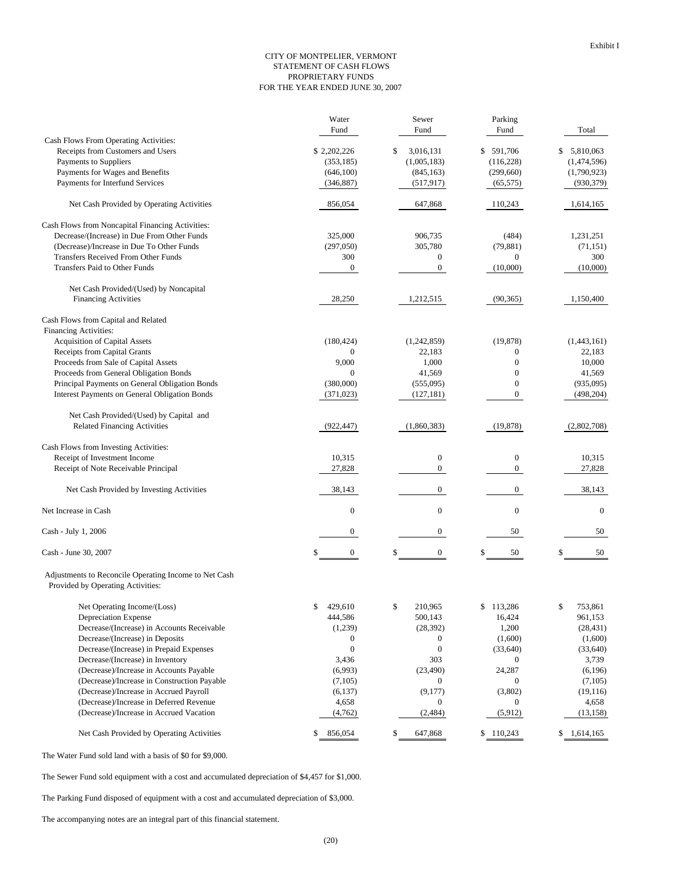|                                                                                            | Water                | Sewer              | Parking          |                  |
|--------------------------------------------------------------------------------------------|----------------------|--------------------|------------------|------------------|
|                                                                                            | Fund                 | Fund               | Fund             | Total            |
| Cash Flows From Operating Activities:                                                      |                      |                    |                  |                  |
| Receipts from Customers and Users                                                          | \$2,202,226          | \$<br>3,016,131    | 591,706<br>\$    | 5,810,063<br>\$  |
| Payments to Suppliers                                                                      | (353, 185)           | (1,005,183)        | (116, 228)       | (1,474,596)      |
| Payments for Wages and Benefits                                                            | (646,100)            | (845, 163)         | (299, 660)       | (1,790,923)      |
| Payments for Interfund Services                                                            | (346, 887)           | (517, 917)         | (65, 575)        | (930, 379)       |
| Net Cash Provided by Operating Activities                                                  | 856,054              | 647,868            | 110,243          | 1,614,165        |
| Cash Flows from Noncapital Financing Activities:                                           |                      |                    |                  |                  |
| Decrease/(Increase) in Due From Other Funds                                                | 325,000              | 906,735            | (484)            | 1,231,251        |
| (Decrease)/Increase in Due To Other Funds                                                  | (297,050)            | 305,780            | (79, 881)        | (71, 151)        |
| Transfers Received From Other Funds                                                        | 300                  | $\boldsymbol{0}$   | $\boldsymbol{0}$ | 300              |
| Transfers Paid to Other Funds                                                              | $\boldsymbol{0}$     | $\boldsymbol{0}$   | (10,000)         | (10,000)         |
| Net Cash Provided/(Used) by Noncapital                                                     |                      |                    |                  |                  |
| <b>Financing Activities</b>                                                                | 28,250               | 1,212,515          | (90, 365)        | 1,150,400        |
| Cash Flows from Capital and Related                                                        |                      |                    |                  |                  |
| Financing Activities:                                                                      |                      |                    |                  |                  |
| <b>Acquisition of Capital Assets</b>                                                       | (180, 424)           | (1,242,859)        | (19, 878)        | (1,443,161)      |
| Receipts from Capital Grants                                                               | $\boldsymbol{0}$     | 22,183             | $\boldsymbol{0}$ | 22,183           |
| Proceeds from Sale of Capital Assets                                                       | 9,000                | 1,000              | $\boldsymbol{0}$ | 10,000           |
| Proceeds from General Obligation Bonds                                                     | $\mathbf{0}$         | 41,569             | $\boldsymbol{0}$ | 41,569           |
| Principal Payments on General Obligation Bonds                                             | (380,000)            | (555,095)          | $\boldsymbol{0}$ | (935,095)        |
| Interest Payments on General Obligation Bonds                                              | (371, 023)           | (127, 181)         | $\boldsymbol{0}$ | (498, 204)       |
| Net Cash Provided/(Used) by Capital and                                                    |                      |                    |                  |                  |
| <b>Related Financing Activities</b>                                                        | (922,447)            | (1,860,383)        | (19, 878)        | (2,802,708)      |
| Cash Flows from Investing Activities:                                                      |                      |                    |                  |                  |
| Receipt of Investment Income                                                               | 10,315               | $\boldsymbol{0}$   | $\boldsymbol{0}$ | 10,315           |
| Receipt of Note Receivable Principal                                                       | 27,828               | $\boldsymbol{0}$   | $\boldsymbol{0}$ | 27,828           |
| Net Cash Provided by Investing Activities                                                  | 38,143               | $\mathbf{0}$       | $\boldsymbol{0}$ | 38,143           |
| Net Increase in Cash                                                                       | $\boldsymbol{0}$     | $\boldsymbol{0}$   | $\boldsymbol{0}$ | $\boldsymbol{0}$ |
| Cash - July 1, 2006                                                                        | 0                    | $\boldsymbol{0}$   | 50               | 50               |
| Cash - June 30, 2007                                                                       | \$<br>$\overline{0}$ | $\mathbf{0}$<br>\$ | \$<br>50         | \$<br>50         |
|                                                                                            |                      |                    |                  |                  |
| Adjustments to Reconcile Operating Income to Net Cash<br>Provided by Operating Activities: |                      |                    |                  |                  |
| Net Operating Income/(Loss)                                                                | \$<br>429,610        | \$<br>210,965      | \$113,286        | \$<br>753,861    |
| Depreciation Expense                                                                       | 444,586              | 500,143            | 16,424           | 961,153          |
| Decrease/(Increase) in Accounts Receivable                                                 | (1,239)              | (28, 392)          | 1,200            | (28, 431)        |
| Decrease/(Increase) in Deposits                                                            | 0                    | $\boldsymbol{0}$   | (1,600)          | (1,600)          |
| Decrease/(Increase) in Prepaid Expenses                                                    | $\boldsymbol{0}$     | $\boldsymbol{0}$   | (33, 640)        | (33, 640)        |
| Decrease/(Increase) in Inventory                                                           | 3,436                | 303                | $\boldsymbol{0}$ | 3,739            |
| (Decrease)/Increase in Accounts Payable                                                    | (6,993)              | (23, 490)          | 24,287           | (6,196)          |
| (Decrease)/Increase in Construction Payable                                                | (7,105)              | $\mathbf{0}$       | $\mathbf{0}$     | (7,105)          |
| (Decrease)/Increase in Accrued Payroll                                                     | (6,137)              | (9,177)            | (3,802)          | (19, 116)        |
| (Decrease)/Increase in Deferred Revenue                                                    | 4,658                | $\boldsymbol{0}$   | $\mathbf{0}$     | 4,658            |
| (Decrease)/Increase in Accrued Vacation                                                    | (4,762)              | (2,484)            | (5,912)          | (13, 158)        |
| Net Cash Provided by Operating Activities                                                  | \$<br>856,054        | 647,868<br>\$      | \$110,243        | \$1,614,165      |

The Water Fund sold land with a basis of \$0 for \$9,000.

The Sewer Fund sold equipment with a cost and accumulated depreciation of \$4,457 for \$1,000.

The Parking Fund disposed of equipment with a cost and accumulated depreciation of \$3,000.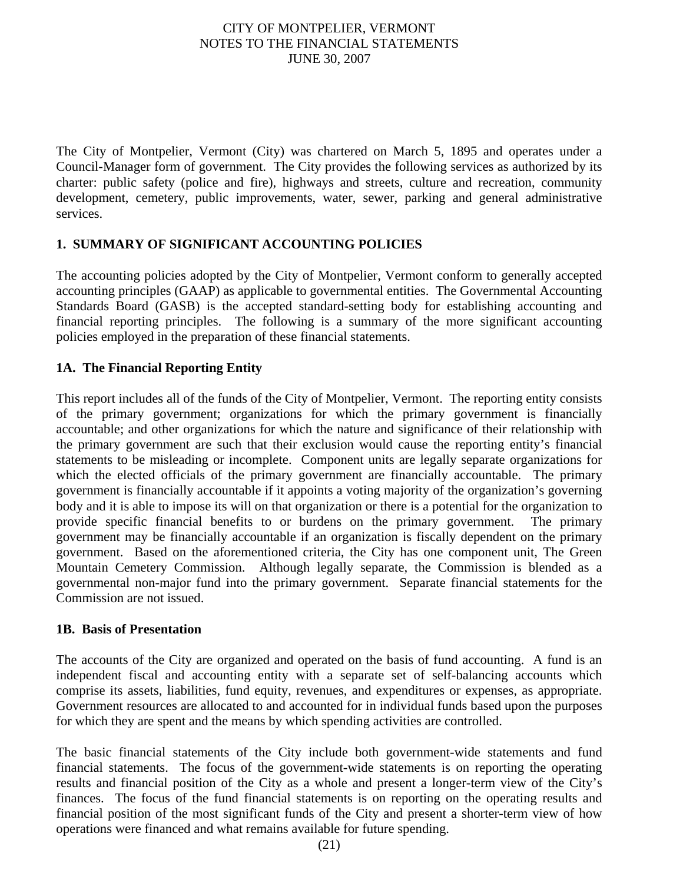The City of Montpelier, Vermont (City) was chartered on March 5, 1895 and operates under a Council-Manager form of government. The City provides the following services as authorized by its charter: public safety (police and fire), highways and streets, culture and recreation, community development, cemetery, public improvements, water, sewer, parking and general administrative services.

# **1. SUMMARY OF SIGNIFICANT ACCOUNTING POLICIES**

The accounting policies adopted by the City of Montpelier, Vermont conform to generally accepted accounting principles (GAAP) as applicable to governmental entities. The Governmental Accounting Standards Board (GASB) is the accepted standard-setting body for establishing accounting and financial reporting principles. The following is a summary of the more significant accounting policies employed in the preparation of these financial statements.

# **1A. The Financial Reporting Entity**

This report includes all of the funds of the City of Montpelier, Vermont. The reporting entity consists of the primary government; organizations for which the primary government is financially accountable; and other organizations for which the nature and significance of their relationship with the primary government are such that their exclusion would cause the reporting entity's financial statements to be misleading or incomplete. Component units are legally separate organizations for which the elected officials of the primary government are financially accountable. The primary government is financially accountable if it appoints a voting majority of the organization's governing body and it is able to impose its will on that organization or there is a potential for the organization to provide specific financial benefits to or burdens on the primary government. The primary government may be financially accountable if an organization is fiscally dependent on the primary government. Based on the aforementioned criteria, the City has one component unit, The Green Mountain Cemetery Commission. Although legally separate, the Commission is blended as a governmental non-major fund into the primary government. Separate financial statements for the Commission are not issued.

# **1B. Basis of Presentation**

The accounts of the City are organized and operated on the basis of fund accounting. A fund is an independent fiscal and accounting entity with a separate set of self-balancing accounts which comprise its assets, liabilities, fund equity, revenues, and expenditures or expenses, as appropriate. Government resources are allocated to and accounted for in individual funds based upon the purposes for which they are spent and the means by which spending activities are controlled.

The basic financial statements of the City include both government-wide statements and fund financial statements. The focus of the government-wide statements is on reporting the operating results and financial position of the City as a whole and present a longer-term view of the City's finances. The focus of the fund financial statements is on reporting on the operating results and financial position of the most significant funds of the City and present a shorter-term view of how operations were financed and what remains available for future spending.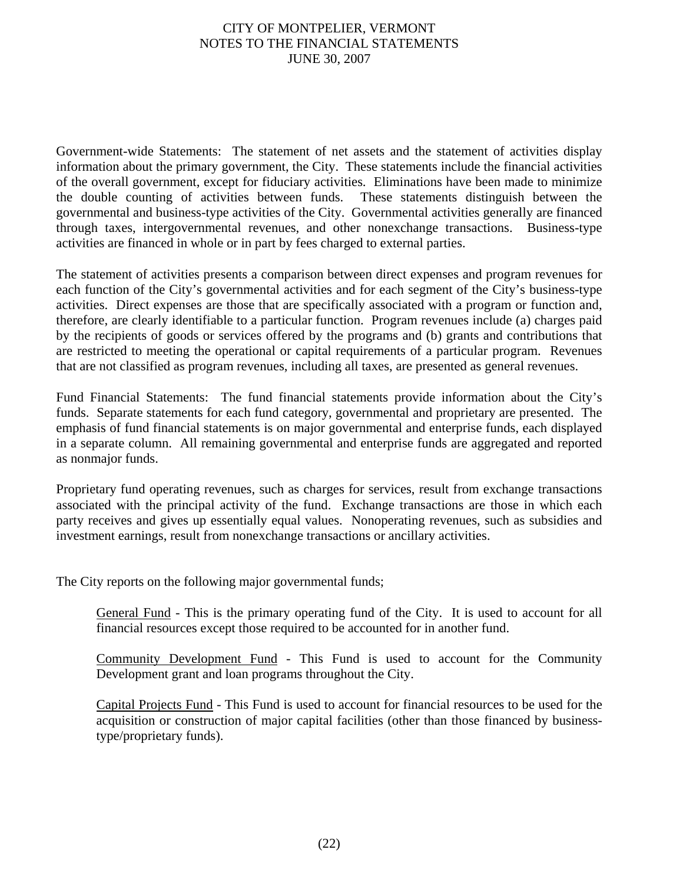Government-wide Statements: The statement of net assets and the statement of activities display information about the primary government, the City. These statements include the financial activities of the overall government, except for fiduciary activities. Eliminations have been made to minimize the double counting of activities between funds. These statements distinguish between the governmental and business-type activities of the City. Governmental activities generally are financed through taxes, intergovernmental revenues, and other nonexchange transactions. Business-type activities are financed in whole or in part by fees charged to external parties.

The statement of activities presents a comparison between direct expenses and program revenues for each function of the City's governmental activities and for each segment of the City's business-type activities. Direct expenses are those that are specifically associated with a program or function and, therefore, are clearly identifiable to a particular function. Program revenues include (a) charges paid by the recipients of goods or services offered by the programs and (b) grants and contributions that are restricted to meeting the operational or capital requirements of a particular program. Revenues that are not classified as program revenues, including all taxes, are presented as general revenues.

Fund Financial Statements: The fund financial statements provide information about the City's funds. Separate statements for each fund category, governmental and proprietary are presented. The emphasis of fund financial statements is on major governmental and enterprise funds, each displayed in a separate column. All remaining governmental and enterprise funds are aggregated and reported as nonmajor funds.

Proprietary fund operating revenues, such as charges for services, result from exchange transactions associated with the principal activity of the fund. Exchange transactions are those in which each party receives and gives up essentially equal values. Nonoperating revenues, such as subsidies and investment earnings, result from nonexchange transactions or ancillary activities.

The City reports on the following major governmental funds;

General Fund - This is the primary operating fund of the City. It is used to account for all financial resources except those required to be accounted for in another fund.

Community Development Fund - This Fund is used to account for the Community Development grant and loan programs throughout the City.

Capital Projects Fund - This Fund is used to account for financial resources to be used for the acquisition or construction of major capital facilities (other than those financed by businesstype/proprietary funds).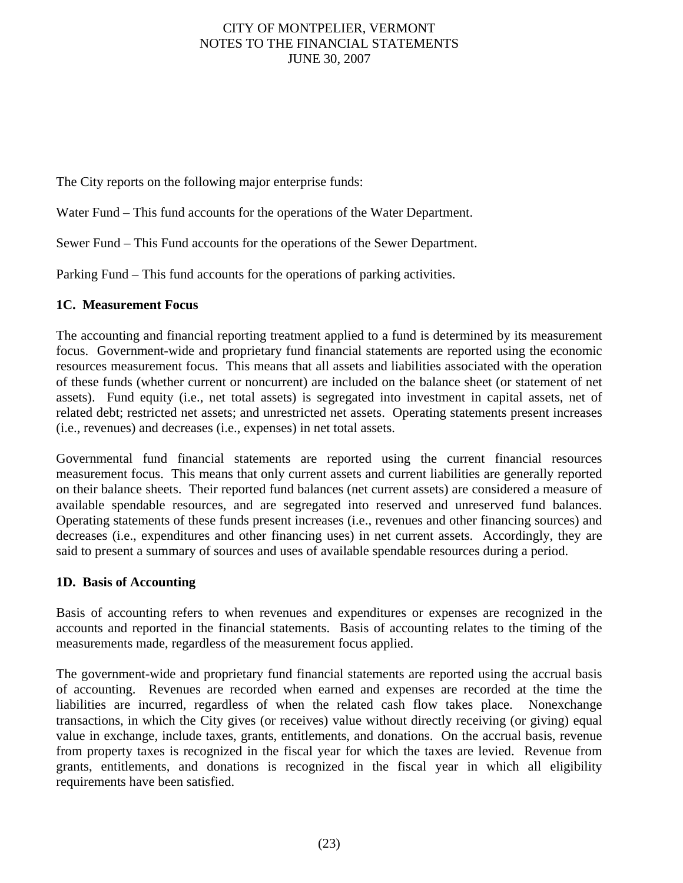The City reports on the following major enterprise funds:

Water Fund – This fund accounts for the operations of the Water Department.

Sewer Fund – This Fund accounts for the operations of the Sewer Department.

Parking Fund – This fund accounts for the operations of parking activities.

#### **1C. Measurement Focus**

The accounting and financial reporting treatment applied to a fund is determined by its measurement focus. Government-wide and proprietary fund financial statements are reported using the economic resources measurement focus. This means that all assets and liabilities associated with the operation of these funds (whether current or noncurrent) are included on the balance sheet (or statement of net assets). Fund equity (i.e., net total assets) is segregated into investment in capital assets, net of related debt; restricted net assets; and unrestricted net assets. Operating statements present increases (i.e., revenues) and decreases (i.e., expenses) in net total assets.

Governmental fund financial statements are reported using the current financial resources measurement focus. This means that only current assets and current liabilities are generally reported on their balance sheets. Their reported fund balances (net current assets) are considered a measure of available spendable resources, and are segregated into reserved and unreserved fund balances. Operating statements of these funds present increases (i.e., revenues and other financing sources) and decreases (i.e., expenditures and other financing uses) in net current assets. Accordingly, they are said to present a summary of sources and uses of available spendable resources during a period.

# **1D. Basis of Accounting**

Basis of accounting refers to when revenues and expenditures or expenses are recognized in the accounts and reported in the financial statements. Basis of accounting relates to the timing of the measurements made, regardless of the measurement focus applied.

The government-wide and proprietary fund financial statements are reported using the accrual basis of accounting. Revenues are recorded when earned and expenses are recorded at the time the liabilities are incurred, regardless of when the related cash flow takes place. Nonexchange transactions, in which the City gives (or receives) value without directly receiving (or giving) equal value in exchange, include taxes, grants, entitlements, and donations. On the accrual basis, revenue from property taxes is recognized in the fiscal year for which the taxes are levied. Revenue from grants, entitlements, and donations is recognized in the fiscal year in which all eligibility requirements have been satisfied.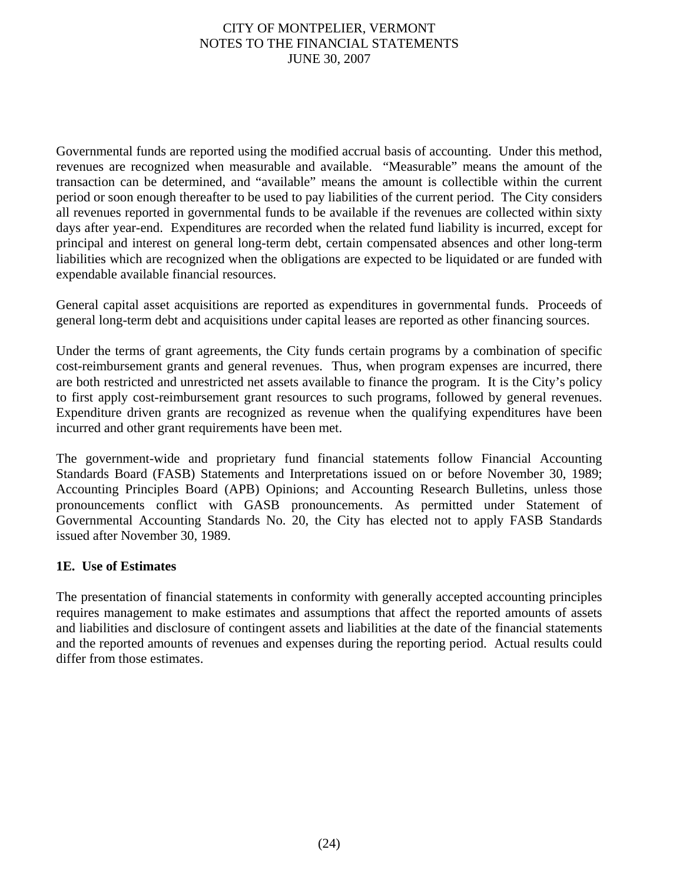Governmental funds are reported using the modified accrual basis of accounting. Under this method, revenues are recognized when measurable and available. "Measurable" means the amount of the transaction can be determined, and "available" means the amount is collectible within the current period or soon enough thereafter to be used to pay liabilities of the current period. The City considers all revenues reported in governmental funds to be available if the revenues are collected within sixty days after year-end. Expenditures are recorded when the related fund liability is incurred, except for principal and interest on general long-term debt, certain compensated absences and other long-term liabilities which are recognized when the obligations are expected to be liquidated or are funded with expendable available financial resources.

General capital asset acquisitions are reported as expenditures in governmental funds. Proceeds of general long-term debt and acquisitions under capital leases are reported as other financing sources.

Under the terms of grant agreements, the City funds certain programs by a combination of specific cost-reimbursement grants and general revenues. Thus, when program expenses are incurred, there are both restricted and unrestricted net assets available to finance the program. It is the City's policy to first apply cost-reimbursement grant resources to such programs, followed by general revenues. Expenditure driven grants are recognized as revenue when the qualifying expenditures have been incurred and other grant requirements have been met.

The government-wide and proprietary fund financial statements follow Financial Accounting Standards Board (FASB) Statements and Interpretations issued on or before November 30, 1989; Accounting Principles Board (APB) Opinions; and Accounting Research Bulletins, unless those pronouncements conflict with GASB pronouncements. As permitted under Statement of Governmental Accounting Standards No. 20, the City has elected not to apply FASB Standards issued after November 30, 1989.

#### **1E. Use of Estimates**

The presentation of financial statements in conformity with generally accepted accounting principles requires management to make estimates and assumptions that affect the reported amounts of assets and liabilities and disclosure of contingent assets and liabilities at the date of the financial statements and the reported amounts of revenues and expenses during the reporting period. Actual results could differ from those estimates.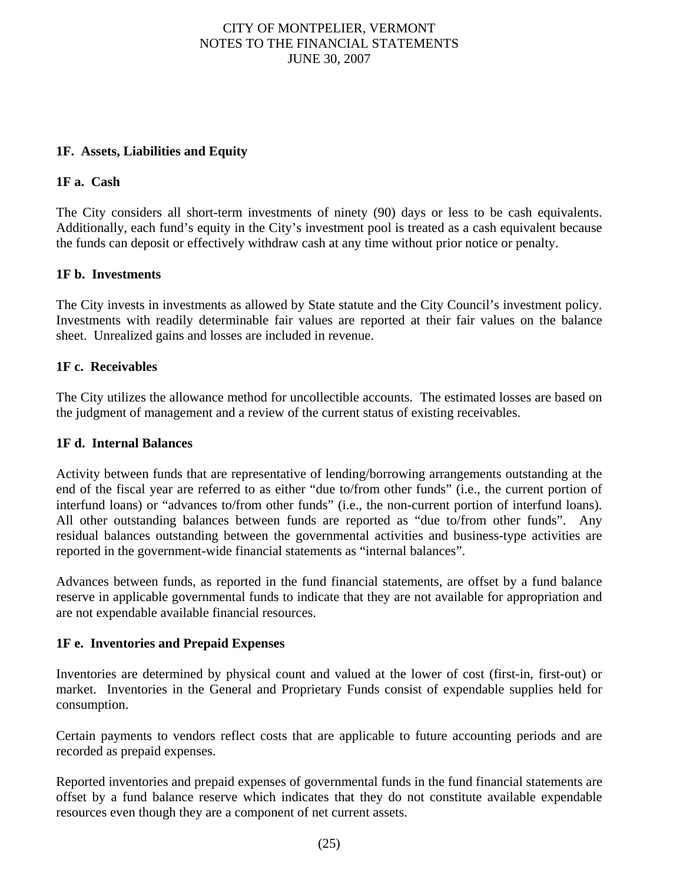# **1F. Assets, Liabilities and Equity**

#### **1F a. Cash**

The City considers all short-term investments of ninety (90) days or less to be cash equivalents. Additionally, each fund's equity in the City's investment pool is treated as a cash equivalent because the funds can deposit or effectively withdraw cash at any time without prior notice or penalty.

#### **1F b. Investments**

The City invests in investments as allowed by State statute and the City Council's investment policy. Investments with readily determinable fair values are reported at their fair values on the balance sheet. Unrealized gains and losses are included in revenue.

#### **1F c. Receivables**

The City utilizes the allowance method for uncollectible accounts. The estimated losses are based on the judgment of management and a review of the current status of existing receivables.

#### **1F d. Internal Balances**

Activity between funds that are representative of lending/borrowing arrangements outstanding at the end of the fiscal year are referred to as either "due to/from other funds" (i.e., the current portion of interfund loans) or "advances to/from other funds" (i.e., the non-current portion of interfund loans). All other outstanding balances between funds are reported as "due to/from other funds". Any residual balances outstanding between the governmental activities and business-type activities are reported in the government-wide financial statements as "internal balances".

Advances between funds, as reported in the fund financial statements, are offset by a fund balance reserve in applicable governmental funds to indicate that they are not available for appropriation and are not expendable available financial resources.

# **1F e. Inventories and Prepaid Expenses**

Inventories are determined by physical count and valued at the lower of cost (first-in, first-out) or market. Inventories in the General and Proprietary Funds consist of expendable supplies held for consumption.

Certain payments to vendors reflect costs that are applicable to future accounting periods and are recorded as prepaid expenses.

Reported inventories and prepaid expenses of governmental funds in the fund financial statements are offset by a fund balance reserve which indicates that they do not constitute available expendable resources even though they are a component of net current assets.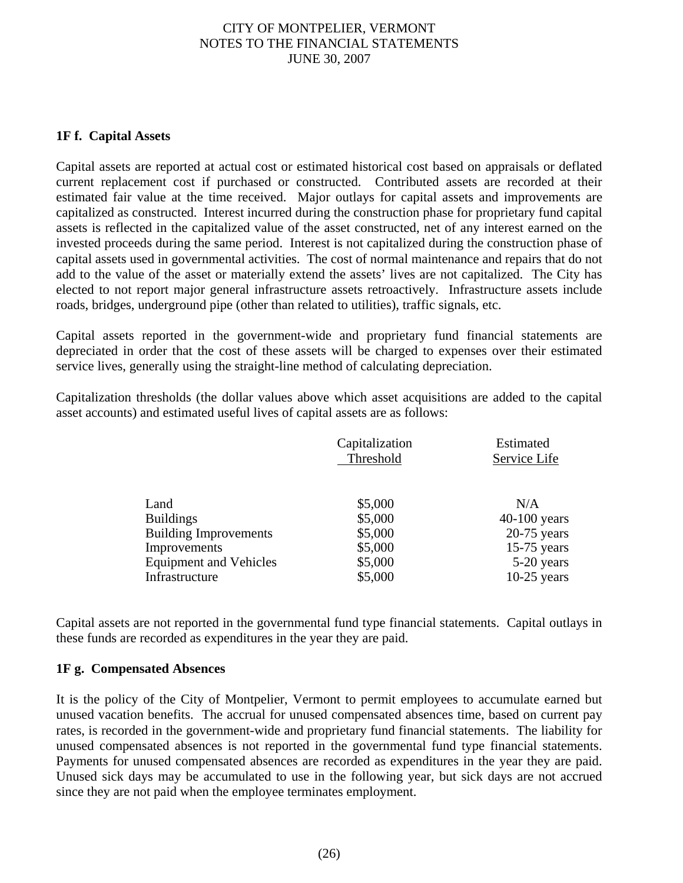#### **1F f. Capital Assets**

Capital assets are reported at actual cost or estimated historical cost based on appraisals or deflated current replacement cost if purchased or constructed. Contributed assets are recorded at their estimated fair value at the time received. Major outlays for capital assets and improvements are capitalized as constructed. Interest incurred during the construction phase for proprietary fund capital assets is reflected in the capitalized value of the asset constructed, net of any interest earned on the invested proceeds during the same period. Interest is not capitalized during the construction phase of capital assets used in governmental activities. The cost of normal maintenance and repairs that do not add to the value of the asset or materially extend the assets' lives are not capitalized. The City has elected to not report major general infrastructure assets retroactively. Infrastructure assets include roads, bridges, underground pipe (other than related to utilities), traffic signals, etc.

Capital assets reported in the government-wide and proprietary fund financial statements are depreciated in order that the cost of these assets will be charged to expenses over their estimated service lives, generally using the straight-line method of calculating depreciation.

Capitalization thresholds (the dollar values above which asset acquisitions are added to the capital asset accounts) and estimated useful lives of capital assets are as follows:

|                               | Capitalization | Estimated      |
|-------------------------------|----------------|----------------|
|                               | Threshold      | Service Life   |
|                               |                |                |
| Land                          | \$5,000        | N/A            |
| <b>Buildings</b>              | \$5,000        | $40-100$ years |
| <b>Building Improvements</b>  | \$5,000        | $20-75$ years  |
| Improvements                  | \$5,000        | $15-75$ years  |
| <b>Equipment and Vehicles</b> | \$5,000        | 5-20 years     |
| Infrastructure                | \$5,000        | $10-25$ years  |
|                               |                |                |

Capital assets are not reported in the governmental fund type financial statements. Capital outlays in these funds are recorded as expenditures in the year they are paid.

#### **1F g. Compensated Absences**

It is the policy of the City of Montpelier, Vermont to permit employees to accumulate earned but unused vacation benefits. The accrual for unused compensated absences time, based on current pay rates, is recorded in the government-wide and proprietary fund financial statements. The liability for unused compensated absences is not reported in the governmental fund type financial statements. Payments for unused compensated absences are recorded as expenditures in the year they are paid. Unused sick days may be accumulated to use in the following year, but sick days are not accrued since they are not paid when the employee terminates employment.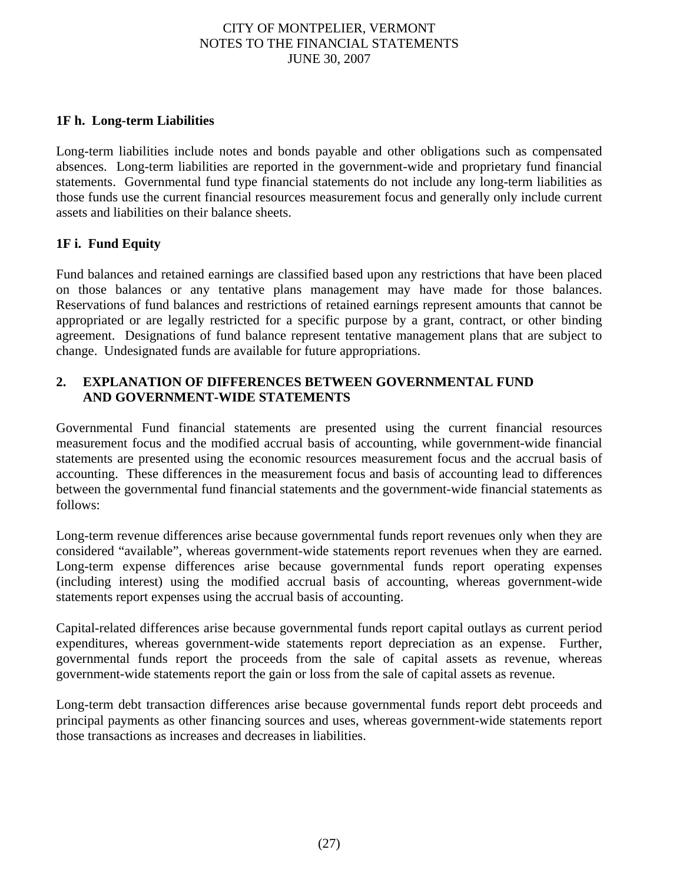# **1F h. Long-term Liabilities**

Long-term liabilities include notes and bonds payable and other obligations such as compensated absences. Long-term liabilities are reported in the government-wide and proprietary fund financial statements. Governmental fund type financial statements do not include any long-term liabilities as those funds use the current financial resources measurement focus and generally only include current assets and liabilities on their balance sheets.

# **1F i. Fund Equity**

Fund balances and retained earnings are classified based upon any restrictions that have been placed on those balances or any tentative plans management may have made for those balances. Reservations of fund balances and restrictions of retained earnings represent amounts that cannot be appropriated or are legally restricted for a specific purpose by a grant, contract, or other binding agreement. Designations of fund balance represent tentative management plans that are subject to change. Undesignated funds are available for future appropriations.

#### **2. EXPLANATION OF DIFFERENCES BETWEEN GOVERNMENTAL FUND AND GOVERNMENT-WIDE STATEMENTS**

Governmental Fund financial statements are presented using the current financial resources measurement focus and the modified accrual basis of accounting, while government-wide financial statements are presented using the economic resources measurement focus and the accrual basis of accounting. These differences in the measurement focus and basis of accounting lead to differences between the governmental fund financial statements and the government-wide financial statements as follows:

Long-term revenue differences arise because governmental funds report revenues only when they are considered "available", whereas government-wide statements report revenues when they are earned. Long-term expense differences arise because governmental funds report operating expenses (including interest) using the modified accrual basis of accounting, whereas government-wide statements report expenses using the accrual basis of accounting.

Capital-related differences arise because governmental funds report capital outlays as current period expenditures, whereas government-wide statements report depreciation as an expense. Further, governmental funds report the proceeds from the sale of capital assets as revenue, whereas government-wide statements report the gain or loss from the sale of capital assets as revenue.

Long-term debt transaction differences arise because governmental funds report debt proceeds and principal payments as other financing sources and uses, whereas government-wide statements report those transactions as increases and decreases in liabilities.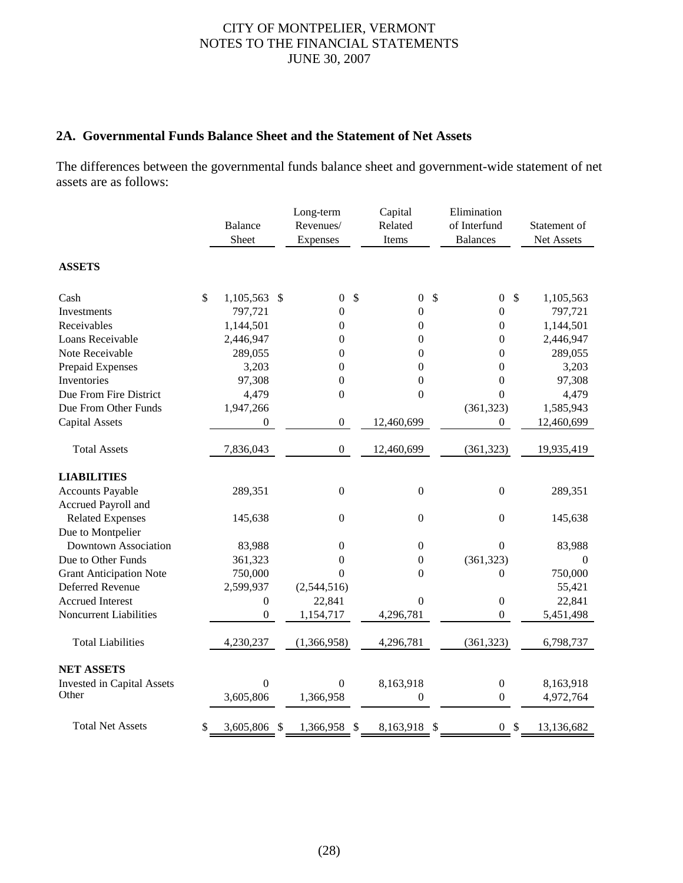# **2A. Governmental Funds Balance Sheet and the Statement of Net Assets**

The differences between the governmental funds balance sheet and government-wide statement of net assets are as follows:

|                                   |      | <b>Balance</b><br>Sheet | Long-term<br>Revenues/<br>Expenses |        | Capital<br>Related<br>Items |                           | Elimination<br>of Interfund<br><b>Balances</b> | Statement of<br>Net Assets |
|-----------------------------------|------|-------------------------|------------------------------------|--------|-----------------------------|---------------------------|------------------------------------------------|----------------------------|
| <b>ASSETS</b>                     |      |                         |                                    |        |                             |                           |                                                |                            |
| Cash                              | \$   | 1,105,563 \$            | $\boldsymbol{0}$                   | $\$\,$ | $\boldsymbol{0}$            | $\boldsymbol{\mathsf{S}}$ | $\boldsymbol{0}$<br>$\boldsymbol{\mathsf{S}}$  | 1,105,563                  |
| Investments                       |      | 797,721                 | $\boldsymbol{0}$                   |        | $\boldsymbol{0}$            |                           | $\mathbf{0}$                                   | 797,721                    |
| Receivables                       |      | 1,144,501               | $\boldsymbol{0}$                   |        | $\boldsymbol{0}$            |                           | $\boldsymbol{0}$                               | 1,144,501                  |
| Loans Receivable                  |      | 2,446,947               | $\boldsymbol{0}$                   |        | $\boldsymbol{0}$            |                           | $\boldsymbol{0}$                               | 2,446,947                  |
| Note Receivable                   |      | 289,055                 | 0                                  |        | $\boldsymbol{0}$            |                           | $\boldsymbol{0}$                               | 289,055                    |
| Prepaid Expenses                  |      | 3,203                   | $\boldsymbol{0}$                   |        | $\boldsymbol{0}$            |                           | $\boldsymbol{0}$                               | 3,203                      |
| Inventories                       |      | 97,308                  | $\boldsymbol{0}$                   |        | $\boldsymbol{0}$            |                           | $\boldsymbol{0}$                               | 97,308                     |
| Due From Fire District            |      | 4,479                   | $\boldsymbol{0}$                   |        | $\mathbf{0}$                |                           | $\Omega$                                       | 4,479                      |
| Due From Other Funds              |      | 1,947,266               |                                    |        |                             |                           | (361, 323)                                     | 1,585,943                  |
| <b>Capital Assets</b>             |      | $\theta$                | $\boldsymbol{0}$                   |        | 12,460,699                  |                           | $\mathbf{0}$                                   | 12,460,699                 |
| <b>Total Assets</b>               |      | 7,836,043               | $\boldsymbol{0}$                   |        | 12,460,699                  |                           | (361, 323)                                     | 19,935,419                 |
| <b>LIABILITIES</b>                |      |                         |                                    |        |                             |                           |                                                |                            |
| <b>Accounts Payable</b>           |      | 289,351                 | $\boldsymbol{0}$                   |        | $\boldsymbol{0}$            |                           | $\mathbf{0}$                                   | 289,351                    |
| Accrued Payroll and               |      |                         |                                    |        |                             |                           |                                                |                            |
| <b>Related Expenses</b>           |      | 145,638                 | $\theta$                           |        | $\mathbf{0}$                |                           | $\mathbf{0}$                                   | 145,638                    |
| Due to Montpelier                 |      |                         |                                    |        |                             |                           |                                                |                            |
| <b>Downtown Association</b>       |      | 83,988                  | $\boldsymbol{0}$                   |        | $\boldsymbol{0}$            |                           | $\mathbf{0}$                                   | 83,988                     |
| Due to Other Funds                |      | 361,323                 | $\overline{0}$                     |        | $\boldsymbol{0}$            |                           | (361, 323)                                     | $\boldsymbol{0}$           |
| <b>Grant Anticipation Note</b>    |      | 750,000                 | $\mathbf{0}$                       |        | $\boldsymbol{0}$            |                           | $\boldsymbol{0}$                               | 750,000                    |
| Deferred Revenue                  |      | 2,599,937               | (2,544,516)                        |        |                             |                           |                                                | 55,421                     |
| <b>Accrued Interest</b>           |      | 0                       | 22,841                             |        | $\overline{0}$              |                           | $\boldsymbol{0}$                               | 22,841                     |
| <b>Noncurrent Liabilities</b>     |      | $\boldsymbol{0}$        | 1,154,717                          |        | 4,296,781                   |                           | $\boldsymbol{0}$                               | 5,451,498                  |
| <b>Total Liabilities</b>          |      | 4,230,237               | (1,366,958)                        |        | 4,296,781                   |                           | (361, 323)                                     | 6,798,737                  |
| <b>NET ASSETS</b>                 |      |                         |                                    |        |                             |                           |                                                |                            |
| <b>Invested in Capital Assets</b> |      | $\boldsymbol{0}$        | $\boldsymbol{0}$                   |        | 8,163,918                   |                           | $\boldsymbol{0}$                               | 8,163,918                  |
| Other                             |      | 3,605,806               | 1,366,958                          |        | $\mathbf{0}$                |                           | $\mathbf{0}$                                   | 4,972,764                  |
| <b>Total Net Assets</b>           | $\$$ | 3,605,806 \$            | 1,366,958 \$                       |        | 8,163,918                   | <sup>\$</sup>             | $\mathcal{S}$<br>$\mathbf{0}$                  | 13,136,682                 |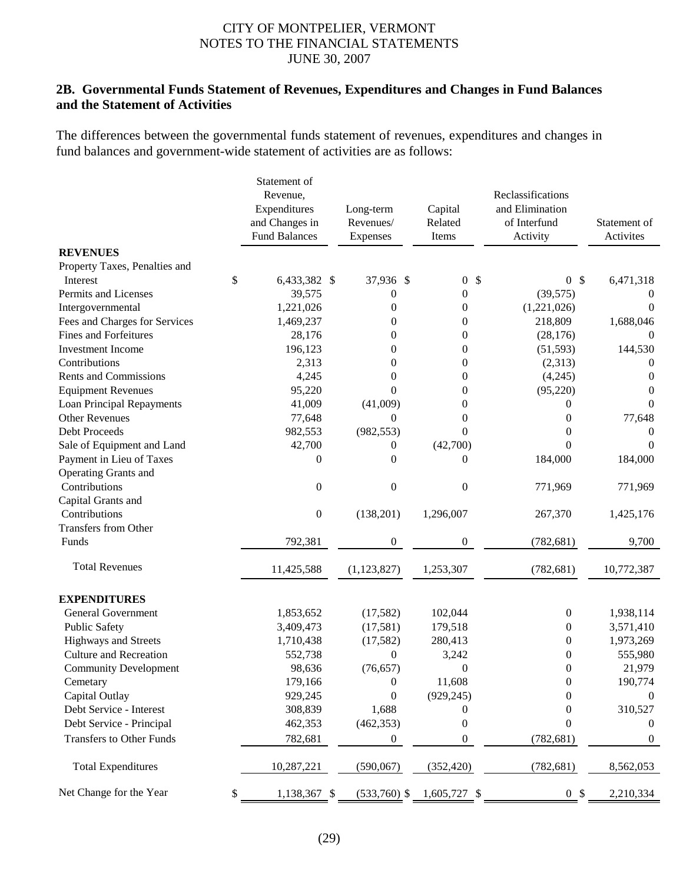# **2B. Governmental Funds Statement of Revenues, Expenditures and Changes in Fund Balances and the Statement of Activities**

The differences between the governmental funds statement of revenues, expenditures and changes in fund balances and government-wide statement of activities are as follows:

|                                  | Statement of         |                  |                                   |                   |                |
|----------------------------------|----------------------|------------------|-----------------------------------|-------------------|----------------|
|                                  | Revenue,             |                  |                                   | Reclassifications |                |
|                                  | Expenditures         | Long-term        | Capital                           | and Elimination   |                |
|                                  | and Changes in       | Revenues/        | Related                           | of Interfund      | Statement of   |
|                                  | <b>Fund Balances</b> | Expenses         | Items                             | Activity          | Activites      |
| <b>REVENUES</b>                  |                      |                  |                                   |                   |                |
| Property Taxes, Penalties and    |                      |                  |                                   |                   |                |
| Interest                         | \$<br>6,433,382 \$   | 37,936 \$        | $\mathcal{S}$<br>$\boldsymbol{0}$ | 0 <sup>5</sup>    | 6,471,318      |
| Permits and Licenses             | 39,575               | $\boldsymbol{0}$ | $\boldsymbol{0}$                  | (39, 575)         | $\theta$       |
| Intergovernmental                | 1,221,026            | $\boldsymbol{0}$ | $\boldsymbol{0}$                  | (1,221,026)       | $\Omega$       |
| Fees and Charges for Services    | 1,469,237            | 0                | $\boldsymbol{0}$                  | 218,809           | 1,688,046      |
| <b>Fines and Forfeitures</b>     | 28,176               | 0                | $\boldsymbol{0}$                  | (28, 176)         | $\theta$       |
| <b>Investment Income</b>         | 196,123              | 0                | $\boldsymbol{0}$                  |                   | 144,530        |
| Contributions                    | 2,313                | 0                | $\boldsymbol{0}$                  | (51, 593)         |                |
| <b>Rents and Commissions</b>     |                      | 0                |                                   | (2,313)           | 0              |
|                                  | 4,245                | 0                | $\boldsymbol{0}$                  | (4,245)           | $\theta$       |
| <b>Equipment Revenues</b>        | 95,220               |                  | $\theta$                          | (95, 220)         | $\theta$       |
| <b>Loan Principal Repayments</b> | 41,009               | (41,009)         | 0                                 | 0                 | $\Omega$       |
| <b>Other Revenues</b>            | 77,648               | $\theta$         | 0                                 | 0                 | 77,648         |
| <b>Debt Proceeds</b>             | 982,553              | (982, 553)       | $\Omega$                          | 0                 | $\theta$       |
| Sale of Equipment and Land       | 42,700               | $\theta$         | (42,700)                          | 0                 | $\Omega$       |
| Payment in Lieu of Taxes         | $\theta$             | $\Omega$         | $\mathbf{0}$                      | 184,000           | 184,000        |
| Operating Grants and             |                      |                  |                                   |                   |                |
| Contributions                    | $\boldsymbol{0}$     | $\overline{0}$   | $\boldsymbol{0}$                  | 771,969           | 771,969        |
| Capital Grants and               |                      |                  |                                   |                   |                |
| Contributions                    | $\boldsymbol{0}$     | (138,201)        | 1,296,007                         | 267,370           | 1,425,176      |
| <b>Transfers from Other</b>      |                      |                  |                                   |                   |                |
| Funds                            | 792,381              | $\overline{0}$   | $\boldsymbol{0}$                  | (782, 681)        | 9,700          |
| <b>Total Revenues</b>            | 11,425,588           | (1, 123, 827)    | 1,253,307                         | (782, 681)        | 10,772,387     |
| <b>EXPENDITURES</b>              |                      |                  |                                   |                   |                |
| <b>General Government</b>        | 1,853,652            | (17, 582)        | 102,044                           | 0                 | 1,938,114      |
| <b>Public Safety</b>             | 3,409,473            | (17,581)         | 179,518                           | 0                 | 3,571,410      |
| <b>Highways and Streets</b>      | 1,710,438            | (17, 582)        | 280,413                           | 0                 | 1,973,269      |
| <b>Culture and Recreation</b>    | 552,738              | 0                | 3,242                             | 0                 | 555,980        |
| <b>Community Development</b>     | 98,636               | (76, 657)        | $\boldsymbol{0}$                  | $\overline{0}$    | 21,979         |
| Cemetary                         | 179,166              | $\boldsymbol{0}$ | 11,608                            | $\boldsymbol{0}$  | 190,774        |
| Capital Outlay                   | 929,245              | $\overline{0}$   | (929, 245)                        | 0                 | $\theta$       |
| Debt Service - Interest          | 308,839              | 1,688            | $\boldsymbol{0}$                  | 0                 | 310,527        |
| Debt Service - Principal         | 462,353              | (462, 353)       | $\boldsymbol{0}$                  | $\Omega$          | $\theta$       |
| <b>Transfers to Other Funds</b>  | 782,681              | $\boldsymbol{0}$ | $\boldsymbol{0}$                  | (782, 681)        | $\overline{0}$ |
| <b>Total Expenditures</b>        | 10,287,221           | (590,067)        | (352, 420)                        | (782, 681)        | 8,562,053      |
|                                  |                      |                  |                                   |                   |                |
| Net Change for the Year          | \$<br>1,138,367 \$   | $(533,760)$ \$   | 1,605,727 \$                      | 0 <sup>5</sup>    | 2,210,334      |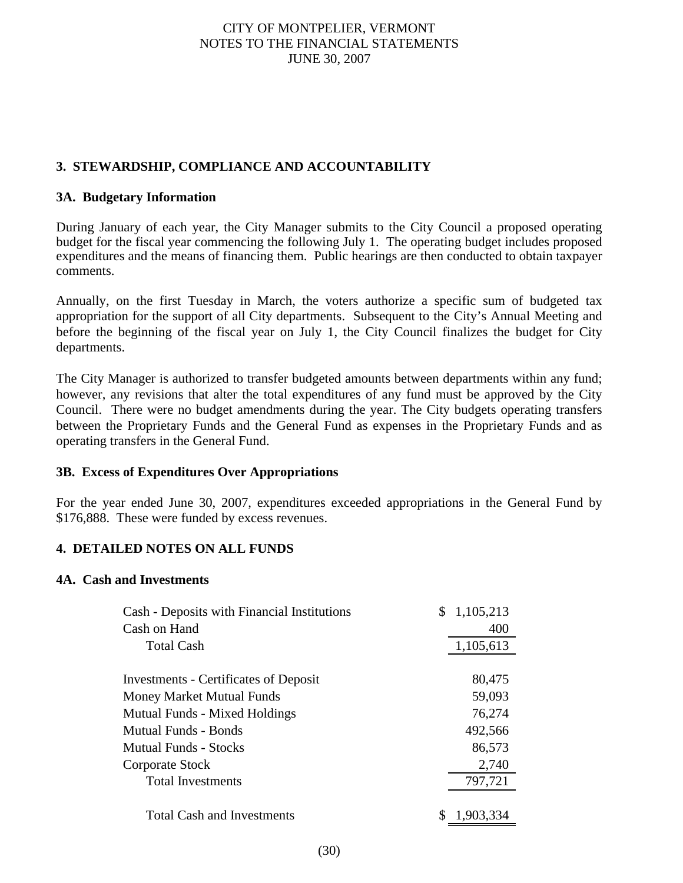# **3. STEWARDSHIP, COMPLIANCE AND ACCOUNTABILITY**

#### **3A. Budgetary Information**

During January of each year, the City Manager submits to the City Council a proposed operating budget for the fiscal year commencing the following July 1. The operating budget includes proposed expenditures and the means of financing them. Public hearings are then conducted to obtain taxpayer comments.

Annually, on the first Tuesday in March, the voters authorize a specific sum of budgeted tax appropriation for the support of all City departments. Subsequent to the City's Annual Meeting and before the beginning of the fiscal year on July 1, the City Council finalizes the budget for City departments.

The City Manager is authorized to transfer budgeted amounts between departments within any fund; however, any revisions that alter the total expenditures of any fund must be approved by the City Council. There were no budget amendments during the year. The City budgets operating transfers between the Proprietary Funds and the General Fund as expenses in the Proprietary Funds and as operating transfers in the General Fund.

# **3B. Excess of Expenditures Over Appropriations**

For the year ended June 30, 2007, expenditures exceeded appropriations in the General Fund by \$176,888. These were funded by excess revenues.

# **4. DETAILED NOTES ON ALL FUNDS**

#### **4A. Cash and Investments**

| Cash - Deposits with Financial Institutions  | 1,105,213<br>\$ |
|----------------------------------------------|-----------------|
| Cash on Hand                                 | 400             |
| <b>Total Cash</b>                            | 1,105,613       |
|                                              |                 |
| <b>Investments - Certificates of Deposit</b> | 80,475          |
| <b>Money Market Mutual Funds</b>             | 59,093          |
| Mutual Funds - Mixed Holdings                | 76,274          |
| Mutual Funds - Bonds                         | 492,566         |
| <b>Mutual Funds - Stocks</b>                 | 86,573          |
| Corporate Stock                              | 2,740           |
| <b>Total Investments</b>                     | 797,721         |
| <b>Total Cash and Investments</b>            | 1,903,334       |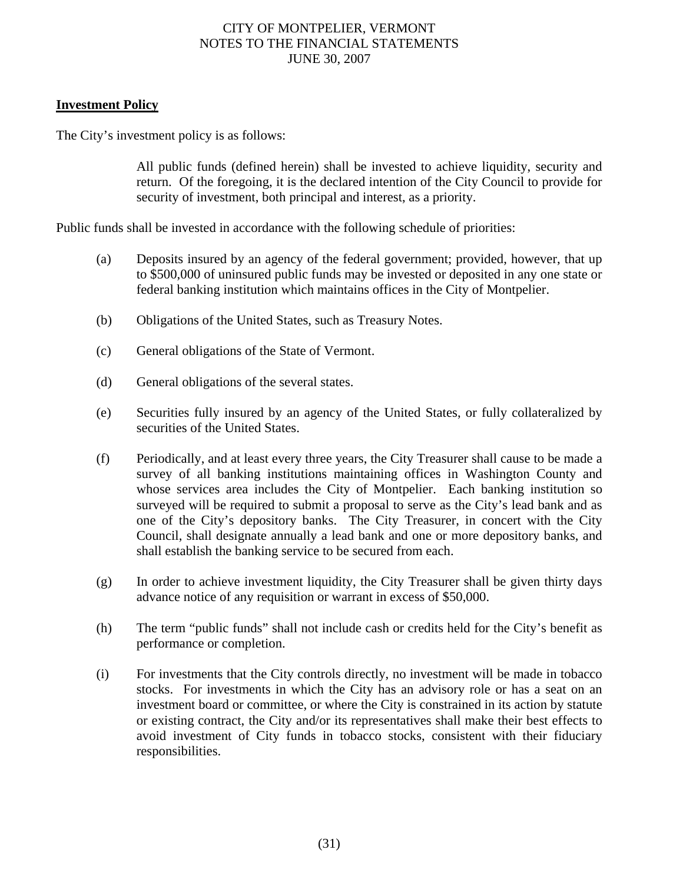#### **Investment Policy**

The City's investment policy is as follows:

All public funds (defined herein) shall be invested to achieve liquidity, security and return. Of the foregoing, it is the declared intention of the City Council to provide for security of investment, both principal and interest, as a priority.

Public funds shall be invested in accordance with the following schedule of priorities:

- to \$500,000 of uninsured public funds may be invested or deposited in any one state or (a) Deposits insured by an agency of the federal government; provided, however, that up federal banking institution which maintains offices in the City of Montpelier.
- (b) Obligations of the United States, such as Treasury Notes.
- General obligations of the State of Vermont. (c)
- (d) General obligations of the several states.
- (e) Securities fully insured by an agency of the United States, or fully collateralized by securities of the United States.
- (f) Periodically, and at least every three years, the City Treasurer shall cause to be made a survey of all banking institutions maintaining offices in Washington County and whose services area includes the City of Montpelier. Each banking institution so one of the City's depository banks. The City Treasurer, in concert with the City Council, shall designate annually a lead bank and one or more depository banks, and shall establish the banking service to be secured from each. surveyed will be required to submit a proposal to serve as the City's lead bank and as
- (g) In order to achieve investment liquidity, the City Treasurer shall be given thirty days advance notice of any requisition or warrant in excess of \$50,000.
- (h) The term "public funds" shall not include cash or credits held for the City's benefit as performance or completion.
- (i) For investments that the City controls directly, no investment will be made in tobacco stocks. For investments in which the City has an advisory role or has a seat on an investment board or committee, or where the City is constrained in its action by statute or existing contract, the City and/or its representatives shall make their best effects to avoid investment of City funds in tobacco stocks, consistent with their fiduciary responsibilities.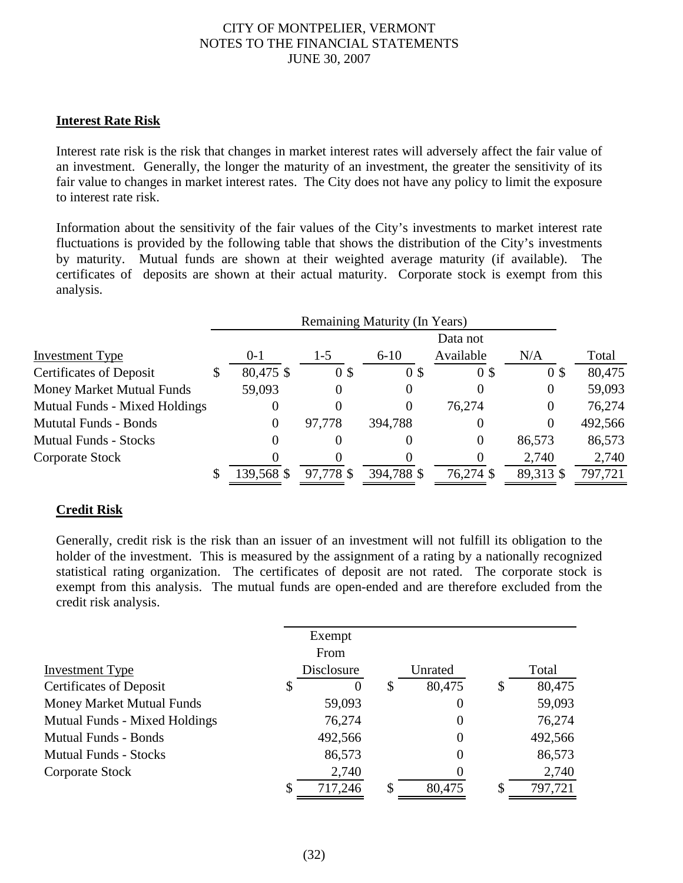#### **Interest Rate Risk**

Interest rate risk is the risk that changes in market interest rates will adversely affect the fair value of an investment. Generally, the longer the maturity of an investment, the greater the sensitivity of its fair value to changes in market interest rates. The City does not have any policy to limit the exposure to interest rate risk.

Information about the sensitivity of the fair values of the City's investments to market interest rate fluctuations is provided by the following table that shows the distribution of the City's investments certifi cates of deposits are shown at their actual maturity. Corporate stock is exempt from this analys is. by maturity. Mutual funds are shown at their weighted average maturity (if available). The

|                                  |                   |                |            | Data not       |                |         |
|----------------------------------|-------------------|----------------|------------|----------------|----------------|---------|
| <b>Investment Type</b>           | $0-1$             | $1-5$          | $6 - 10$   | Available      | N/A            | Total   |
| <b>Certificates of Deposit</b>   | 80,475 \$         | 0 <sup>3</sup> | 0\$        | 0 <sup>3</sup> | 0 <sup>3</sup> | 80,475  |
| <b>Money Market Mutual Funds</b> | 59,093            | 0              |            | 0              | 0              | 59,093  |
| Mutual Funds - Mixed Holdings    | 0                 | 0              |            | 76,274         | $\overline{0}$ | 76,274  |
| <b>Mututal Funds - Bonds</b>     | $\boldsymbol{0}$  | 97,778         | 394,788    | 0              | 0              | 492,566 |
| <b>Mutual Funds - Stocks</b>     | 0                 | 0              |            | $\theta$       | 86,573         | 86,573  |
| Corporate Stock                  | $\mathbf{\Omega}$ | 0              |            |                | 2,740          | 2,740   |
|                                  | 139,568 \$        | 97,778 \$      | 394,788 \$ | 76,274 \$      | 89,313 \$      | 797,721 |

#### **Credit Risk**

Generally, credit risk is the risk than an issuer of an investment will not fulfill its obligation to the holder of the investment. This is measured by the assignment of a rating by a nationally recognized statistical rating organization. The certificates of deposit are not rated. The corporate stock is exempt from this analysis. The mutual funds are open-ended and are therefore excluded from the credit risk analysis.

|                                | Exempt<br>From |              |               |
|--------------------------------|----------------|--------------|---------------|
| <b>Investment Type</b>         | Disclosure     | Unrated      | Total         |
| <b>Certificates of Deposit</b> | \$<br>$\theta$ | \$<br>80,475 | \$<br>80,475  |
| Money Market Mutual Funds      | 59,093         | $\theta$     | 59,093        |
| Mutual Funds - Mixed Holdings  | 76,274         | $\theta$     | 76,274        |
| <b>Mutual Funds - Bonds</b>    | 492,566        | $\theta$     | 492,566       |
| <b>Mutual Funds - Stocks</b>   | 86,573         | $\theta$     | 86,573        |
| Corporate Stock                | 2,740          | $\theta$     | 2,740         |
|                                | \$<br>717,246  | \$<br>80,475 | \$<br>797,721 |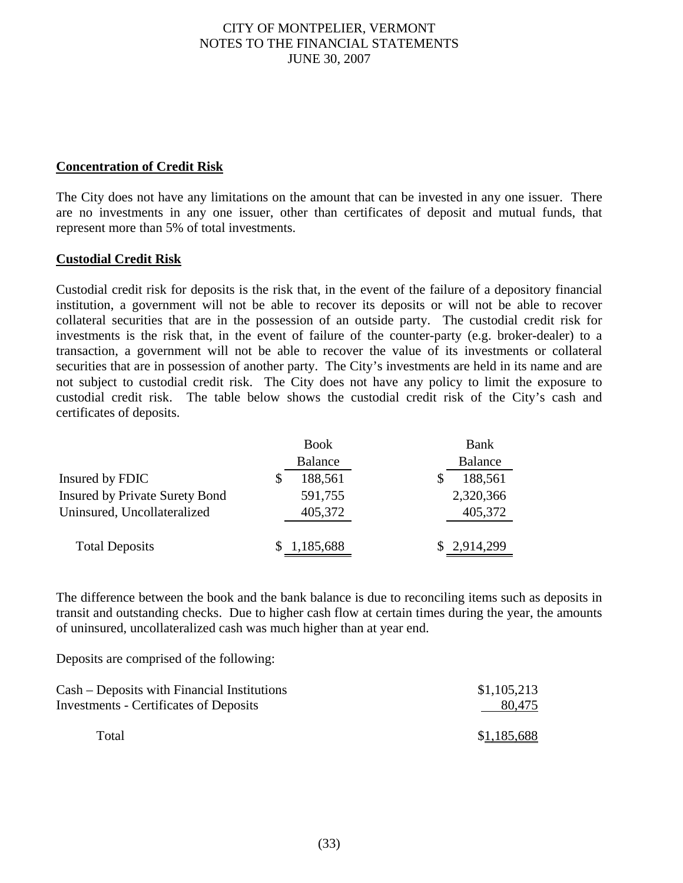#### **Concentration of Credit Risk**

The City does not have any limitations on the amount that can be invested in any one issuer. There are no investments in any one issuer, other than certificates of deposit and mutual funds, that represent more than 5% of total investments.

#### **Custodial Credit Risk**

Custodial credit risk for deposits is the risk that, in the event of the failure of a depository financial institution, a government will not be able to recover its deposits or will not be able to recover collateral securities that are in the possession of an outside party. The custodial credit risk for investments is the risk that, in the event of failure of the counter-party (e.g. broker-dealer) to a transaction, a government will not be able to recover the value of its investments or collateral securities that are in possession of another party. The City's investments are held in its name and are not subject to custodial credit risk. The City does not have any policy to limit the exposure to custodial credit risk. The table below shows the custodial credit risk of the City's cash and certificates of deposits.

|                                       | <b>Book</b>  | <b>Bank</b>    |
|---------------------------------------|--------------|----------------|
|                                       | Balance      | <b>Balance</b> |
| Insured by FDIC                       | 188,561<br>S | 188,561<br>S   |
| <b>Insured by Private Surety Bond</b> | 591,755      | 2,320,366      |
| Uninsured, Uncollateralized           | 405,372      | 405,372        |
| <b>Total Deposits</b>                 | \$1,185,688  | 2,914,299      |

The difference between the book and the bank balance is due to reconciling items such as deposits in transit and outstanding checks. Due to higher cash flow at certain times during the year, the amounts of uninsured, uncollateralized cash was much higher than at year end.

Deposits are comprised of the following:

| Cash – Deposits with Financial Institutions   | \$1,105,213 |
|-----------------------------------------------|-------------|
| <b>Investments - Certificates of Deposits</b> | 80.475      |
| Total                                         | \$1,185,688 |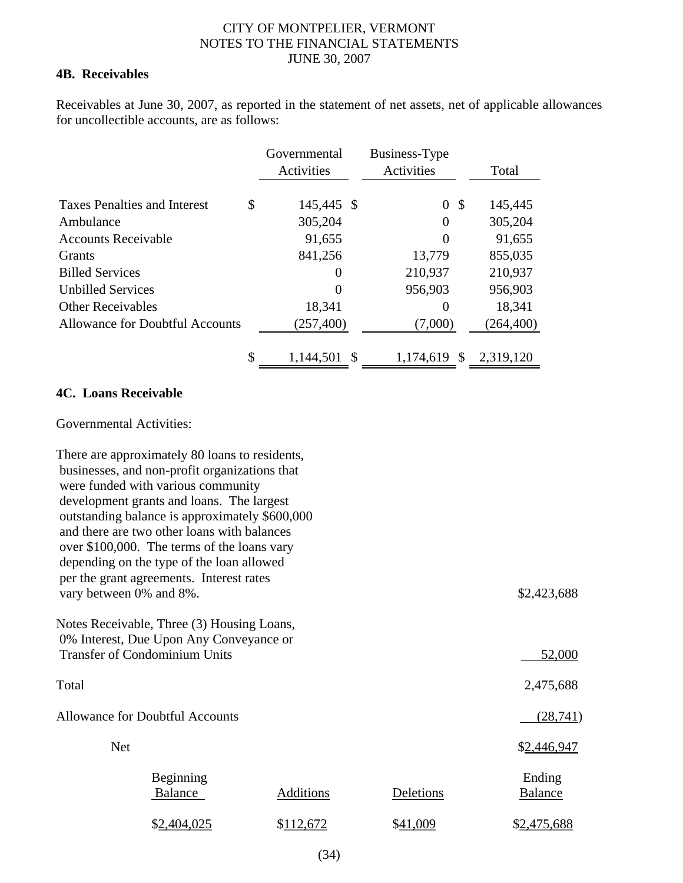#### **4B. Receivables**

Receivables at June 30, 2007, as reported in the statement of net assets, net of applicable allowances for uncollectible accounts, are as follows:

|                                           | Governmental | Business-Type        |            |
|-------------------------------------------|--------------|----------------------|------------|
|                                           | Activities   | Activities           | Total      |
|                                           |              |                      |            |
| \$<br><b>Taxes Penalties and Interest</b> | 145,445 \$   | $\overline{0}$<br>\$ | 145,445    |
| Ambulance                                 | 305,204      | $\theta$             | 305,204    |
| <b>Accounts Receivable</b>                | 91,655       | $\theta$             | 91,655     |
| <b>Grants</b>                             | 841,256      | 13,779               | 855,035    |
| <b>Billed Services</b>                    | $\theta$     | 210,937              | 210,937    |
| <b>Unbilled Services</b>                  | $\Omega$     | 956,903              | 956,903    |
| <b>Other Receivables</b>                  | 18,341       | $\theta$             | 18,341     |
| <b>Allowance for Doubtful Accounts</b>    | (257, 400)   | (7,000)              | (264, 400) |
|                                           |              |                      |            |
| \$                                        | 1,144,501 \$ | 1,174,619 \$         | 2,319,120  |

#### **4C. Loans Receivable**

Governmental Activities:

There are approximately 80 loans to residents, businesses, and non-profit organizations that were funded with various community development grants and loans. The largest outstanding balance is approximately \$600,000 and there are two other loans with balances over \$100,000. The terms of the loans vary depending on the type of the loan allowed per the grant agreements. Interest rates vary between  $0\%$  and  $8\%$ .  $$2,423,688$  52,000 Notes Receivable, Three (3) Housing Loans, 0% Interest, Due Upon Any Conveyance or Transfer of Condominium Units 2,475,688  $(28,741)$ Total Allowance for Doubtful Accounts Net \$2,446,947 Beginning Ending Balance Additions Deletions Balance \$2,404,025 \$112,672 \$41,009 \$2,475,688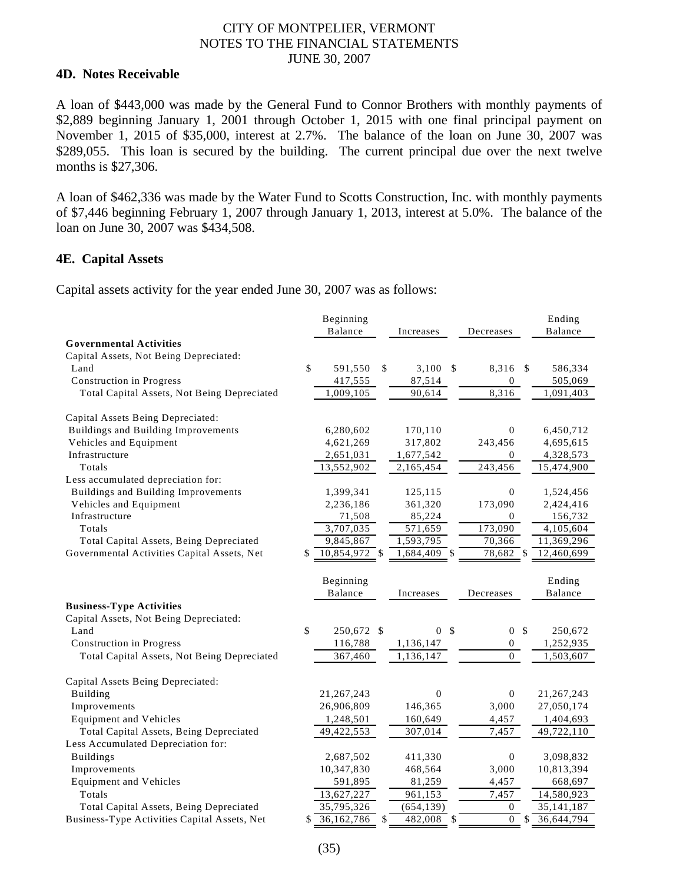#### **4D. Notes Receivable**

A loan of \$443,000 was made by the General Fund to Connor Brothers with monthly payments of \$2,889 beginning January 1, 2001 through October 1, 2015 with one final principal payment on November 1, 2015 of \$35,000, interest at 2.7%. The balance of the loan on June 30, 2007 was \$289,055. This loan is secured by the building. The current principal due over the next twelve months is \$27,306.

A loan of \$462,336 was made by the Water Fund to Scotts Construction, Inc. with monthly payments of \$7,446 beginning February 1, 2007 through January 1, 2013, interest at 5.0%. The balance of the loan on June 30, 2007 was \$434,508.

#### **4E. Capital Assets**

Capital assets activity for the year ended June 30, 2007 was as follows:

|                                                    | Beginning        |               |                |               |                  |                           | Ending                  |
|----------------------------------------------------|------------------|---------------|----------------|---------------|------------------|---------------------------|-------------------------|
|                                                    | Balance          |               | Increases      |               | Decreases        |                           | Balance                 |
| <b>Governmental Activities</b>                     |                  |               |                |               |                  |                           |                         |
| Capital Assets, Not Being Depreciated:             |                  |               |                |               |                  |                           |                         |
| Land                                               | \$<br>591,550    | \$            | 3,100          | -S            | 8,316            | - \$                      | 586,334                 |
| <b>Construction in Progress</b>                    | 417,555          |               | 87,514         |               | $\mathbf{0}$     |                           | 505,069                 |
| Total Capital Assets, Not Being Depreciated        | 1,009,105        |               | 90,614         |               | 8,316            |                           | 1,091,403               |
| Capital Assets Being Depreciated:                  |                  |               |                |               |                  |                           |                         |
| Buildings and Building Improvements                | 6,280,602        |               | 170,110        |               | $\mathbf{0}$     |                           | 6,450,712               |
| Vehicles and Equipment                             | 4,621,269        |               | 317,802        |               | 243,456          |                           | 4,695,615               |
| Infrastructure                                     | 2,651,031        |               | 1,677,542      |               | $\Omega$         |                           | 4,328,573               |
| Totals                                             | 13,552,902       |               | 2,165,454      |               | 243,456          |                           | 15,474,900              |
| Less accumulated depreciation for:                 |                  |               |                |               |                  |                           |                         |
| Buildings and Building Improvements                | 1,399,341        |               | 125,115        |               | $\overline{0}$   |                           | 1,524,456               |
| Vehicles and Equipment                             | 2,236,186        |               | 361,320        |               | 173,090          |                           | 2,424,416               |
| Infrastructure                                     | 71,508           |               | 85,224         |               | $\mathbf{0}$     |                           | 156,732                 |
| Totals                                             | 3,707,035        |               | 571,659        |               | 173,090          |                           | 4,105,604               |
| Total Capital Assets, Being Depreciated            | 9,845,867        |               | 1,593,795      |               | 70,366           |                           | 11,369,296              |
| Governmental Activities Capital Assets, Net        | \$<br>10,854,972 | <sup>\$</sup> | 1,684,409      | <sup>\$</sup> | 78,682           | \$                        | 12,460,699              |
|                                                    |                  |               |                |               |                  |                           |                         |
|                                                    | Beginning        |               |                |               |                  |                           | Ending                  |
|                                                    | Balance          |               | Increases      |               | Decreases        |                           | Balance                 |
| <b>Business-Type Activities</b>                    |                  |               |                |               |                  |                           |                         |
| Capital Assets, Not Being Depreciated:             |                  |               |                |               |                  |                           |                         |
| Land                                               | \$<br>250,672 \$ |               | $\overline{0}$ | -\$           | $\boldsymbol{0}$ | $\boldsymbol{\mathsf{S}}$ | 250,672                 |
| <b>Construction in Progress</b>                    | 116,788          |               | 1,136,147      |               | $\boldsymbol{0}$ |                           | 1,252,935               |
| <b>Total Capital Assets, Not Being Depreciated</b> | 367,460          |               | 1,136,147      |               | $\overline{0}$   |                           | 1,503,607               |
|                                                    |                  |               |                |               |                  |                           |                         |
| Capital Assets Being Depreciated:                  |                  |               |                |               |                  |                           |                         |
| Building                                           | 21, 267, 243     |               | $\mathbf{0}$   |               | $\boldsymbol{0}$ |                           | 21,267,243              |
| Improvements                                       | 26,906,809       |               | 146,365        |               | 3,000            |                           | 27,050,174              |
| <b>Equipment and Vehicles</b>                      | 1,248,501        |               | 160,649        |               | 4,457            |                           | 1,404,693               |
| <b>Total Capital Assets, Being Depreciated</b>     | 49,422,553       |               | 307,014        |               | 7,457            |                           | $\overline{49,722,110}$ |
| Less Accumulated Depreciation for:                 |                  |               |                |               |                  |                           |                         |
| <b>Buildings</b>                                   | 2,687,502        |               | 411,330        |               | $\boldsymbol{0}$ |                           | 3,098,832               |
| Improvements                                       | 10,347,830       |               | 468,564        |               | 3,000            |                           | 10,813,394              |
| <b>Equipment and Vehicles</b>                      | 591,895          |               | 81,259         |               | 4,457            |                           | 668,697                 |
| Totals                                             | 13,627,227       |               | 961,153        |               | 7,457            |                           | 14,580,923              |
| Total Capital Assets, Being Depreciated            | 35,795,326       |               | (654, 139)     |               | $\Omega$         |                           | 35, 141, 187            |
| Business-Type Activities Capital Assets, Net       | \$<br>36,162,786 | \$            | 482,008        |               | $\overline{0}$   | \$                        | 36,644,794              |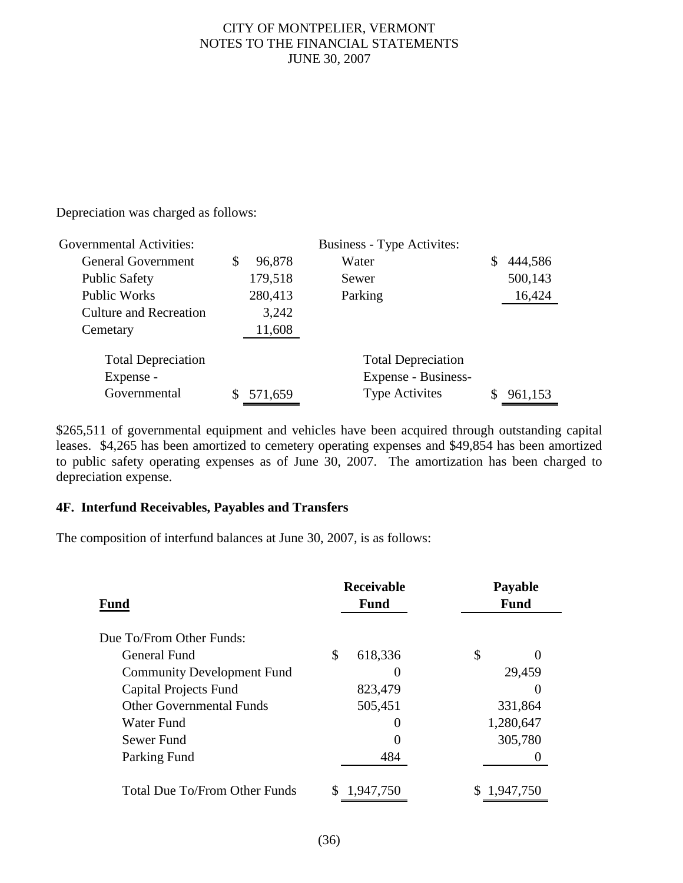Depreciation was charged as follows:

| <b>Governmental Activities:</b> |              | <b>Business - Type Activites:</b> |               |
|---------------------------------|--------------|-----------------------------------|---------------|
| <b>General Government</b>       | 96,878<br>\$ | Water                             | 444,586<br>\$ |
| <b>Public Safety</b>            | 179,518      | Sewer                             | 500,143       |
| <b>Public Works</b>             | 280,413      | Parking                           | 16,424        |
| <b>Culture and Recreation</b>   | 3,242        |                                   |               |
| Cemetary                        | 11,608       |                                   |               |
| <b>Total Depreciation</b>       |              | <b>Total Depreciation</b>         |               |
| Expense -                       |              | Expense - Business-               |               |
| Governmental                    | 571,659      | <b>Type Activites</b>             | 961,153       |

\$265,511 of governmental equipment and vehicles have been acquired through outstanding capital leases. \$4,265 has been amortized to cemetery operating expenses and \$49,854 has been amortized to public safety operating expenses as of June 30, 2007. The amortization has been charged to depreciation expense.

#### **4F. Interfund Receivables, Payables and Transfers**

The composition of interfund balances at June 30, 2007, is as follows:

| <b>Fund</b>                          | <b>Receivable</b><br><b>Fund</b> | Payable<br><b>Fund</b> |
|--------------------------------------|----------------------------------|------------------------|
|                                      |                                  |                        |
| Due To/From Other Funds:             |                                  |                        |
| General Fund                         | \$<br>618,336                    | \$                     |
| <b>Community Development Fund</b>    | O                                | 29,459                 |
| <b>Capital Projects Fund</b>         | 823,479                          |                        |
| <b>Other Governmental Funds</b>      | 505,451                          | 331,864                |
| Water Fund                           | $\theta$                         | 1,280,647              |
| Sewer Fund                           | $\mathcal{O}$                    | 305,780                |
| Parking Fund                         | 484                              |                        |
| <b>Total Due To/From Other Funds</b> | 1,947,750                        | \$1,947,750            |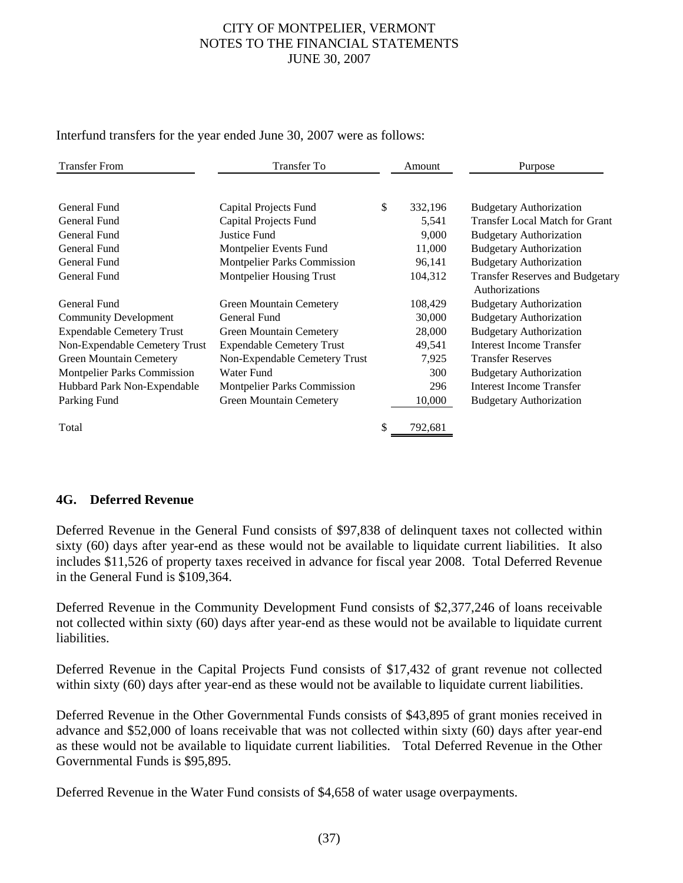Interfund transfers for the year ended June 30, 2007 were as follows:

| <b>Transfer From</b>               | <b>Transfer To</b>                 | Amount        | Purpose                                |
|------------------------------------|------------------------------------|---------------|----------------------------------------|
| General Fund                       | Capital Projects Fund              | \$<br>332,196 | <b>Budgetary Authorization</b>         |
| General Fund                       | Capital Projects Fund              | 5,541         | <b>Transfer Local Match for Grant</b>  |
| General Fund                       | <b>Justice Fund</b>                | 9,000         | <b>Budgetary Authorization</b>         |
| General Fund                       | Montpelier Events Fund             | 11,000        | <b>Budgetary Authorization</b>         |
| General Fund                       | Montpelier Parks Commission        | 96,141        | <b>Budgetary Authorization</b>         |
| General Fund                       | <b>Montpelier Housing Trust</b>    | 104,312       | <b>Transfer Reserves and Budgetary</b> |
|                                    |                                    |               | Authorizations                         |
| General Fund                       | <b>Green Mountain Cemetery</b>     | 108,429       | <b>Budgetary Authorization</b>         |
| <b>Community Development</b>       | General Fund                       | 30,000        | <b>Budgetary Authorization</b>         |
| <b>Expendable Cemetery Trust</b>   | <b>Green Mountain Cemetery</b>     | 28,000        | <b>Budgetary Authorization</b>         |
| Non-Expendable Cemetery Trust      | <b>Expendable Cemetery Trust</b>   | 49,541        | Interest Income Transfer               |
| <b>Green Mountain Cemetery</b>     | Non-Expendable Cemetery Trust      | 7,925         | <b>Transfer Reserves</b>               |
| <b>Montpelier Parks Commission</b> | Water Fund                         | 300           | <b>Budgetary Authorization</b>         |
| Hubbard Park Non-Expendable        | <b>Montpelier Parks Commission</b> | 296           | Interest Income Transfer               |
| Parking Fund                       | <b>Green Mountain Cemetery</b>     | 10,000        | <b>Budgetary Authorization</b>         |
| Total                              |                                    | \$<br>792,681 |                                        |

# **4G. Deferred Revenue**

Deferred Revenue in the General Fund consists of \$97,838 of delinquent taxes not collected within sixty (60) days after year-end as these would not be available to liquidate current liabilities. It also includes \$11,526 of property taxes received in advance for fiscal year 2008. Total Deferred Revenue in the General Fund is \$109,364.

Deferred Revenue in the Community Development Fund consists of \$2,377,246 of loans receivable not collected within sixty (60) days after year-end as these would not be available to liquidate current liabilities.

Deferred Revenue in the Capital Projects Fund consists of \$17,432 of grant revenue not collected within sixty (60) days after year-end as these would not be available to liquidate current liabilities.

Deferred Revenue in the Other Governmental Funds consists of \$43,895 of grant monies received in advance and \$52,000 of loans receivable that was not collected within sixty (60) days after year-end as these would not be available to liquidate current liabilities. Total Deferred Revenue in the Other Governmental Funds is \$95,895.

Deferred Revenue in the Water Fund consists of \$4,658 of water usage overpayments.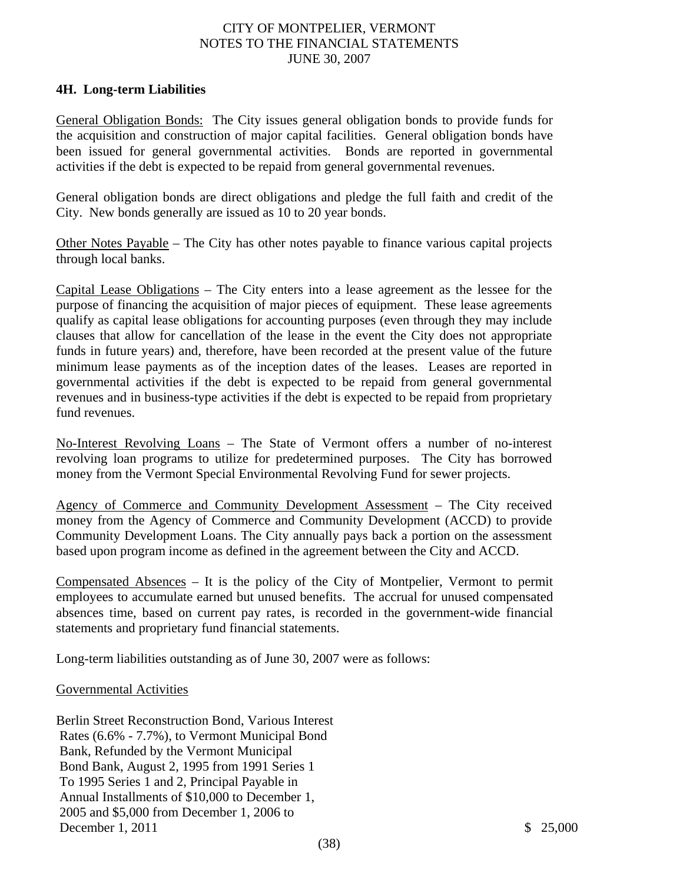#### **4H. Long-term Liabilities**

General Obligation Bonds: The City issues general obligation bonds to provide funds for the acquisition and construction of major capital facilities. General obligation bonds have been issued for general governmental activities. Bonds are reported in governmental activities if the debt is expected to be repaid from general governmental revenues.

General obligation bonds are direct obligations and pledge the full faith and credit of the City. New bonds generally are issued as 10 to 20 year bonds.

Other Notes Payable – The City has other notes payable to finance various capital projects through local banks.

Capital Lease Obligations – The City enters into a lease agreement as the lessee for the purpose of financing the acquisition of major pieces of equipment. These lease agreements qualify as capital lease obligations for accounting purposes (even through they may include clauses that allow for cancellation of the lease in the event the City does not appropriate funds in future years) and, therefore, have been recorded at the present value of the future minimum lease payments as of the inception dates of the leases. Leases are reported in governmental activities if the debt is expected to be repaid from general governmental revenues and in business-type activities if the debt is expected to be repaid from proprietary fund revenues.

No-Interest Revolving Loans – The State of Vermont offers a number of no-interest revolving loan programs to utilize for predetermined purposes. The City has borrowed money from the Vermont Special Environmental Revolving Fund for sewer projects.

Agency of Commerce and Community Development Assessment – The City received money from the Agency of Commerce and Community Development (ACCD) to provide Community Development Loans. The City annually pays back a portion on the assessment based upon program income as defined in the agreement between the City and ACCD.

Compensated Absences – It is the policy of the City of Montpelier, Vermont to permit employees to accumulate earned but unused benefits. The accrual for unused compensated absences time, based on current pay rates, is recorded in the government-wide financial statements and proprietary fund financial statements.

Long-term liabilities outstanding as of June 30, 2007 were as follows:

#### Governmental Activities

Berlin Street Reconstruction Bond, Various Interest Rates (6.6% - 7.7%), to Vermont Municipal Bond Bank, Refunded by the Vermont Municipal Bond Bank, August 2, 1995 from 1991 Series 1 To 1995 Series 1 and 2, Principal Payable in Annual Installments of \$10,000 to December 1, 2005 and \$5,000 from December 1, 2006 to December 1, 2011  $\frac{1}{2}$  25,000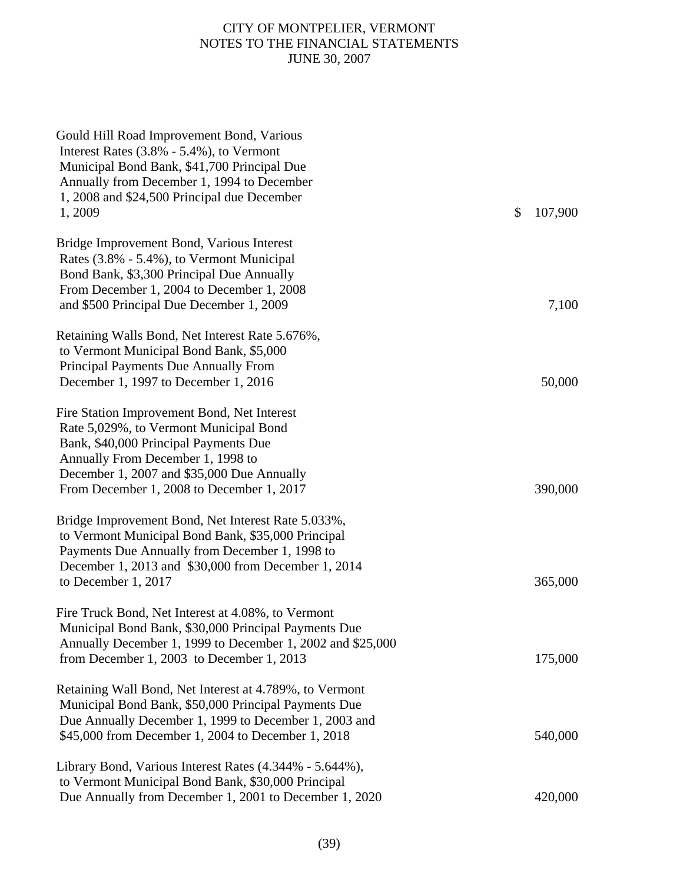| Gould Hill Road Improvement Bond, Various<br>Interest Rates $(3.8\% - 5.4\%)$ , to Vermont<br>Municipal Bond Bank, \$41,700 Principal Due<br>Annually from December 1, 1994 to December<br>1, 2008 and \$24,500 Principal due December<br>1,2009               | \$<br>107,900 |
|----------------------------------------------------------------------------------------------------------------------------------------------------------------------------------------------------------------------------------------------------------------|---------------|
| Bridge Improvement Bond, Various Interest<br>Rates (3.8% - 5.4%), to Vermont Municipal<br>Bond Bank, \$3,300 Principal Due Annually<br>From December 1, 2004 to December 1, 2008<br>and \$500 Principal Due December 1, 2009                                   | 7,100         |
| Retaining Walls Bond, Net Interest Rate 5.676%,<br>to Vermont Municipal Bond Bank, \$5,000<br>Principal Payments Due Annually From<br>December 1, 1997 to December 1, 2016                                                                                     | 50,000        |
| Fire Station Improvement Bond, Net Interest<br>Rate 5,029%, to Vermont Municipal Bond<br>Bank, \$40,000 Principal Payments Due<br>Annually From December 1, 1998 to<br>December 1, 2007 and \$35,000 Due Annually<br>From December 1, 2008 to December 1, 2017 | 390,000       |
| Bridge Improvement Bond, Net Interest Rate 5.033%,<br>to Vermont Municipal Bond Bank, \$35,000 Principal<br>Payments Due Annually from December 1, 1998 to<br>December 1, 2013 and \$30,000 from December 1, 2014<br>to December 1, 2017                       | 365,000       |
| Fire Truck Bond, Net Interest at 4.08%, to Vermont<br>Municipal Bond Bank, \$30,000 Principal Payments Due<br>Annually December 1, 1999 to December 1, 2002 and \$25,000<br>from December 1, 2003 to December 1, 2013                                          | 175,000       |
| Retaining Wall Bond, Net Interest at 4.789%, to Vermont<br>Municipal Bond Bank, \$50,000 Principal Payments Due<br>Due Annually December 1, 1999 to December 1, 2003 and<br>\$45,000 from December 1, 2004 to December 1, 2018                                 | 540,000       |
| Library Bond, Various Interest Rates (4.344% - 5.644%),<br>to Vermont Municipal Bond Bank, \$30,000 Principal<br>Due Annually from December 1, 2001 to December 1, 2020                                                                                        | 420,000       |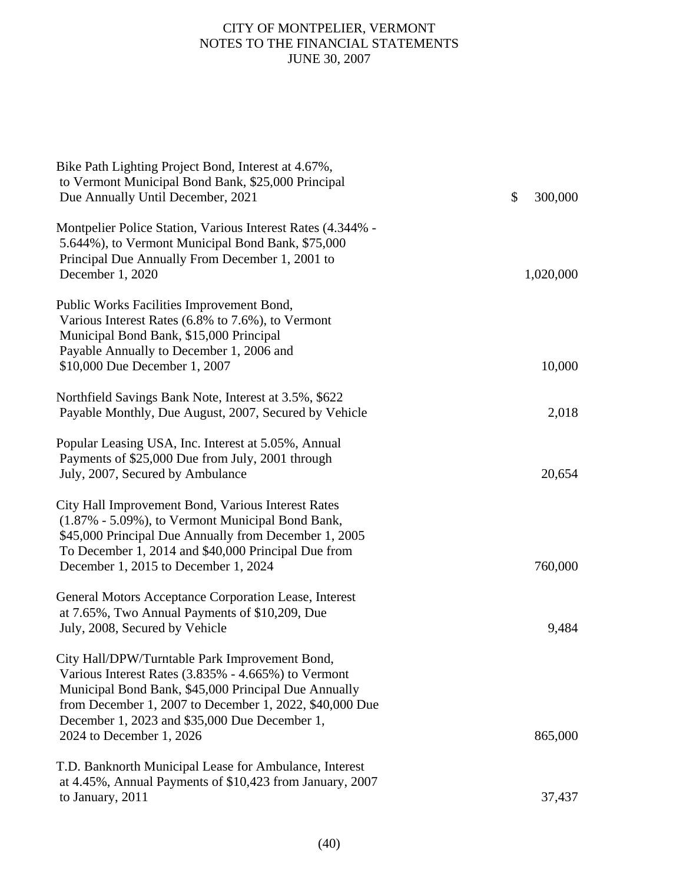| Bike Path Lighting Project Bond, Interest at 4.67%,<br>to Vermont Municipal Bond Bank, \$25,000 Principal<br>Due Annually Until December, 2021                                                                                                                                                        | \$<br>300,000 |
|-------------------------------------------------------------------------------------------------------------------------------------------------------------------------------------------------------------------------------------------------------------------------------------------------------|---------------|
| <b>Montpelier Police Station, Various Interest Rates (4.344% -</b><br>5.644%), to Vermont Municipal Bond Bank, \$75,000<br>Principal Due Annually From December 1, 2001 to<br>December 1, 2020                                                                                                        | 1,020,000     |
| Public Works Facilities Improvement Bond,<br>Various Interest Rates (6.8% to 7.6%), to Vermont<br>Municipal Bond Bank, \$15,000 Principal<br>Payable Annually to December 1, 2006 and<br>\$10,000 Due December 1, 2007                                                                                | 10,000        |
| Northfield Savings Bank Note, Interest at 3.5%, \$622<br>Payable Monthly, Due August, 2007, Secured by Vehicle                                                                                                                                                                                        | 2,018         |
| Popular Leasing USA, Inc. Interest at 5.05%, Annual<br>Payments of \$25,000 Due from July, 2001 through<br>July, 2007, Secured by Ambulance                                                                                                                                                           | 20,654        |
| City Hall Improvement Bond, Various Interest Rates<br>(1.87% - 5.09%), to Vermont Municipal Bond Bank,<br>\$45,000 Principal Due Annually from December 1, 2005<br>To December 1, 2014 and \$40,000 Principal Due from<br>December 1, 2015 to December 1, 2024                                        | 760,000       |
| General Motors Acceptance Corporation Lease, Interest<br>at 7.65%, Two Annual Payments of \$10,209, Due<br>July, 2008, Secured by Vehicle                                                                                                                                                             | 9,484         |
| City Hall/DPW/Turntable Park Improvement Bond,<br>Various Interest Rates (3.835% - 4.665%) to Vermont<br>Municipal Bond Bank, \$45,000 Principal Due Annually<br>from December 1, 2007 to December 1, 2022, \$40,000 Due<br>December 1, 2023 and \$35,000 Due December 1,<br>2024 to December 1, 2026 | 865,000       |
| T.D. Banknorth Municipal Lease for Ambulance, Interest<br>at 4.45%, Annual Payments of \$10,423 from January, 2007                                                                                                                                                                                    |               |
| to January, 2011                                                                                                                                                                                                                                                                                      | 37,437        |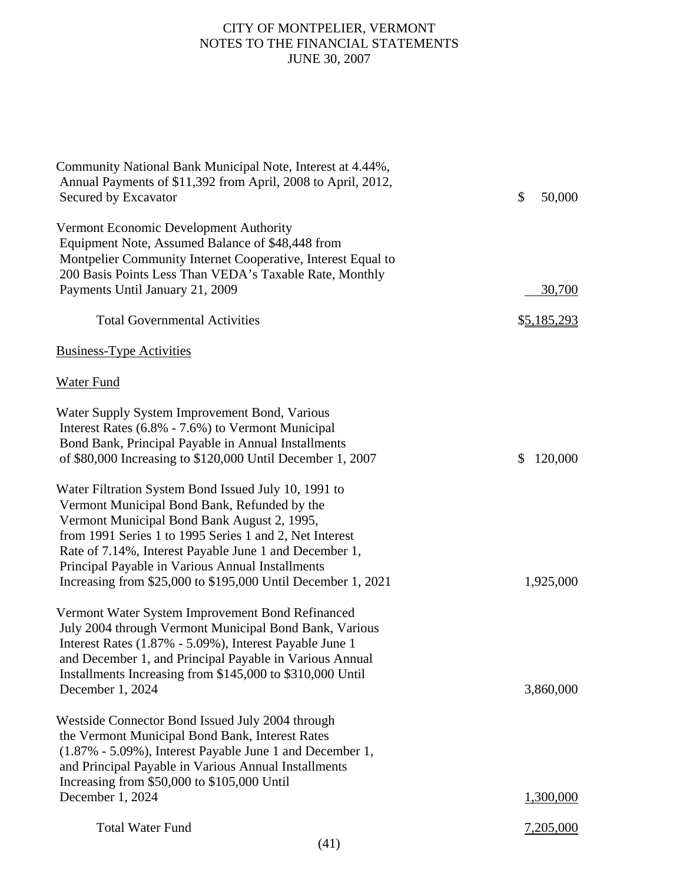| Community National Bank Municipal Note, Interest at 4.44%,<br>Annual Payments of \$11,392 from April, 2008 to April, 2012,<br>Secured by Excavator                                                                                                                                                                                                                                           | \$<br>50,000  |
|----------------------------------------------------------------------------------------------------------------------------------------------------------------------------------------------------------------------------------------------------------------------------------------------------------------------------------------------------------------------------------------------|---------------|
| Vermont Economic Development Authority<br>Equipment Note, Assumed Balance of \$48,448 from<br>Montpelier Community Internet Cooperative, Interest Equal to<br>200 Basis Points Less Than VEDA's Taxable Rate, Monthly<br>Payments Until January 21, 2009                                                                                                                                     | 30,700        |
| <b>Total Governmental Activities</b>                                                                                                                                                                                                                                                                                                                                                         | \$5,185,293   |
| <b>Business-Type Activities</b>                                                                                                                                                                                                                                                                                                                                                              |               |
| <b>Water Fund</b>                                                                                                                                                                                                                                                                                                                                                                            |               |
| Water Supply System Improvement Bond, Various<br>Interest Rates (6.8% - 7.6%) to Vermont Municipal<br>Bond Bank, Principal Payable in Annual Installments<br>of \$80,000 Increasing to \$120,000 Until December 1, 2007                                                                                                                                                                      | \$<br>120,000 |
| Water Filtration System Bond Issued July 10, 1991 to<br>Vermont Municipal Bond Bank, Refunded by the<br>Vermont Municipal Bond Bank August 2, 1995,<br>from 1991 Series 1 to 1995 Series 1 and 2, Net Interest<br>Rate of 7.14%, Interest Payable June 1 and December 1,<br>Principal Payable in Various Annual Installments<br>Increasing from \$25,000 to \$195,000 Until December 1, 2021 | 1,925,000     |
| Vermont Water System Improvement Bond Refinanced<br>July 2004 through Vermont Municipal Bond Bank, Various<br>Interest Rates (1.87% - 5.09%), Interest Payable June 1<br>and December 1, and Principal Payable in Various Annual<br>Installments Increasing from \$145,000 to \$310,000 Until<br>December 1, 2024                                                                            | 3,860,000     |
| Westside Connector Bond Issued July 2004 through<br>the Vermont Municipal Bond Bank, Interest Rates<br>(1.87% - 5.09%), Interest Payable June 1 and December 1,<br>and Principal Payable in Various Annual Installments<br>Increasing from \$50,000 to \$105,000 Until                                                                                                                       |               |
| December 1, 2024                                                                                                                                                                                                                                                                                                                                                                             | 1,300,000     |
| <b>Total Water Fund</b>                                                                                                                                                                                                                                                                                                                                                                      | 7,205,000     |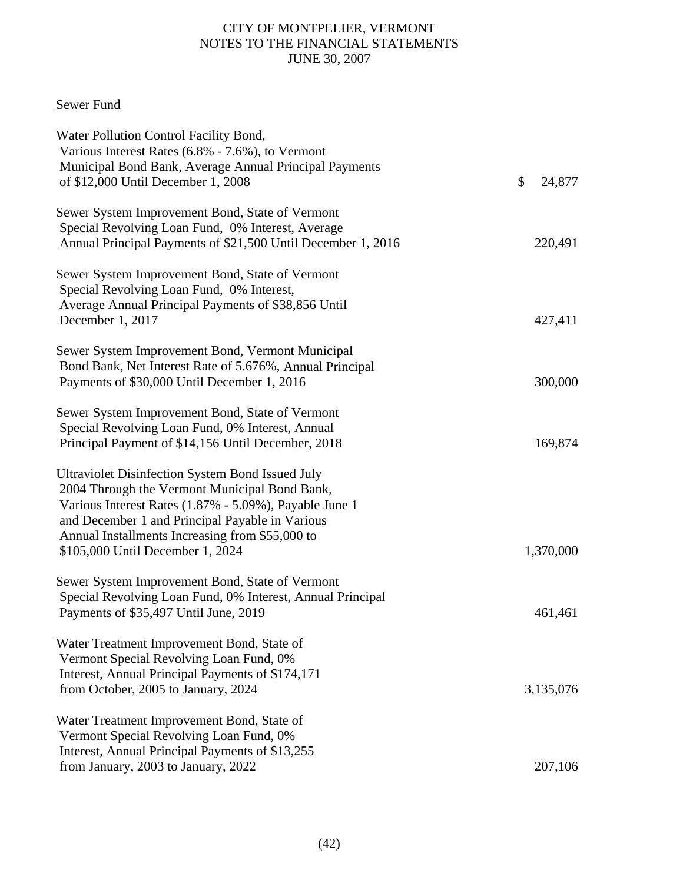# Sewer Fund

| Water Pollution Control Facility Bond,<br>Various Interest Rates (6.8% - 7.6%), to Vermont<br>Municipal Bond Bank, Average Annual Principal Payments<br>of \$12,000 Until December 1, 2008                                                                                                                   | \$<br>24,877 |
|--------------------------------------------------------------------------------------------------------------------------------------------------------------------------------------------------------------------------------------------------------------------------------------------------------------|--------------|
| Sewer System Improvement Bond, State of Vermont<br>Special Revolving Loan Fund, 0% Interest, Average<br>Annual Principal Payments of \$21,500 Until December 1, 2016                                                                                                                                         | 220,491      |
| Sewer System Improvement Bond, State of Vermont<br>Special Revolving Loan Fund, 0% Interest,<br>Average Annual Principal Payments of \$38,856 Until<br>December 1, 2017                                                                                                                                      | 427,411      |
| Sewer System Improvement Bond, Vermont Municipal<br>Bond Bank, Net Interest Rate of 5.676%, Annual Principal<br>Payments of \$30,000 Until December 1, 2016                                                                                                                                                  | 300,000      |
| Sewer System Improvement Bond, State of Vermont<br>Special Revolving Loan Fund, 0% Interest, Annual<br>Principal Payment of \$14,156 Until December, 2018                                                                                                                                                    | 169,874      |
| <b>Ultraviolet Disinfection System Bond Issued July</b><br>2004 Through the Vermont Municipal Bond Bank,<br>Various Interest Rates (1.87% - 5.09%), Payable June 1<br>and December 1 and Principal Payable in Various<br>Annual Installments Increasing from \$55,000 to<br>\$105,000 Until December 1, 2024 | 1,370,000    |
| Sewer System Improvement Bond, State of Vermont<br>Special Revolving Loan Fund, 0% Interest, Annual Principal<br>Payments of \$35,497 Until June, 2019                                                                                                                                                       | 461,461      |
| Water Treatment Improvement Bond, State of<br>Vermont Special Revolving Loan Fund, 0%<br>Interest, Annual Principal Payments of \$174,171<br>from October, 2005 to January, 2024                                                                                                                             | 3,135,076    |
| Water Treatment Improvement Bond, State of<br>Vermont Special Revolving Loan Fund, 0%<br>Interest, Annual Principal Payments of \$13,255<br>from January, 2003 to January, 2022                                                                                                                              | 207,106      |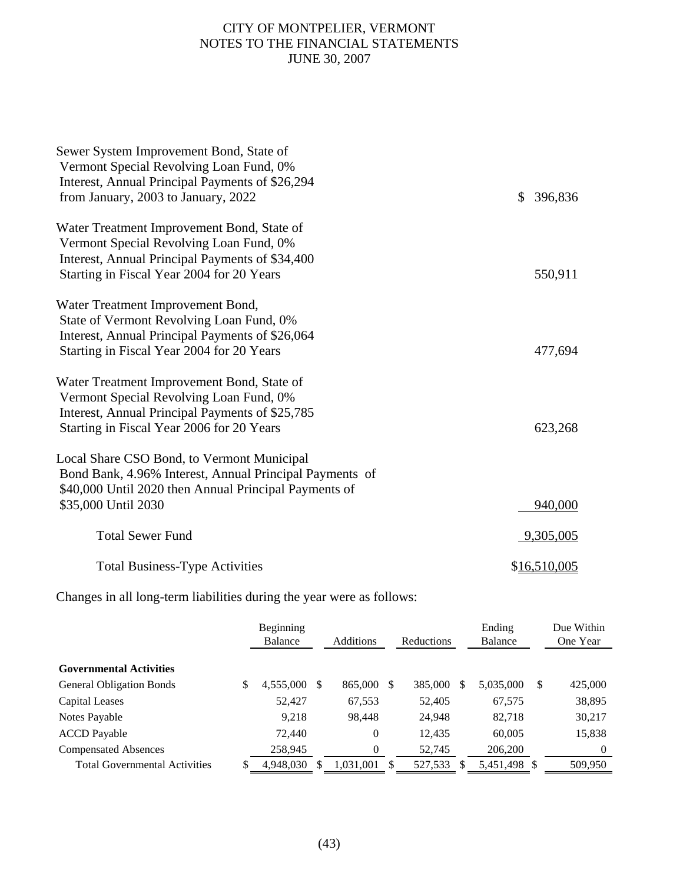| Sewer System Improvement Bond, State of<br>Vermont Special Revolving Loan Fund, 0%<br>Interest, Annual Principal Payments of \$26,294<br>from January, 2003 to January, 2022          | $\mathbb{S}$<br>396,836 |
|---------------------------------------------------------------------------------------------------------------------------------------------------------------------------------------|-------------------------|
| Water Treatment Improvement Bond, State of<br>Vermont Special Revolving Loan Fund, 0%<br>Interest, Annual Principal Payments of \$34,400<br>Starting in Fiscal Year 2004 for 20 Years | 550,911                 |
| Water Treatment Improvement Bond,<br>State of Vermont Revolving Loan Fund, 0%<br>Interest, Annual Principal Payments of \$26,064<br>Starting in Fiscal Year 2004 for 20 Years         | 477,694                 |
| Water Treatment Improvement Bond, State of<br>Vermont Special Revolving Loan Fund, 0%<br>Interest, Annual Principal Payments of \$25,785<br>Starting in Fiscal Year 2006 for 20 Years | 623,268                 |
| Local Share CSO Bond, to Vermont Municipal<br>Bond Bank, 4.96% Interest, Annual Principal Payments of<br>\$40,000 Until 2020 then Annual Principal Payments of<br>\$35,000 Until 2030 | 940,000                 |
| <b>Total Sewer Fund</b>                                                                                                                                                               | 9,305,005               |
| <b>Total Business-Type Activities</b>                                                                                                                                                 | \$16,510,005            |

Changes in all long-term liabilities during the year were as follows:

|                                      | Beginning<br>Balance |     | Additions  | Reductions |     | Ending<br>Balance |     | Due Within<br>One Year |
|--------------------------------------|----------------------|-----|------------|------------|-----|-------------------|-----|------------------------|
| <b>Governmental Activities</b>       |                      |     |            |            |     |                   |     |                        |
| <b>General Obligation Bonds</b>      | \$<br>4,555,000      | \$. | 865,000 \$ | 385,000    | \$. | 5,035,000         | \$. | 425,000                |
| Capital Leases                       | 52.427               |     | 67,553     | 52,405     |     | 67,575            |     | 38,895                 |
| Notes Payable                        | 9,218                |     | 98.448     | 24,948     |     | 82.718            |     | 30,217                 |
| <b>ACCD</b> Payable                  | 72,440               |     | $\theta$   | 12,435     |     | 60,005            |     | 15,838                 |
| <b>Compensated Absences</b>          | 258,945              |     | $\Omega$   | 52,745     |     | 206,200           |     | $\theta$               |
| <b>Total Governmental Activities</b> | 4,948,030            |     | 1.031.001  | 527,533    | £.  | 5,451,498 \$      |     | 509,950                |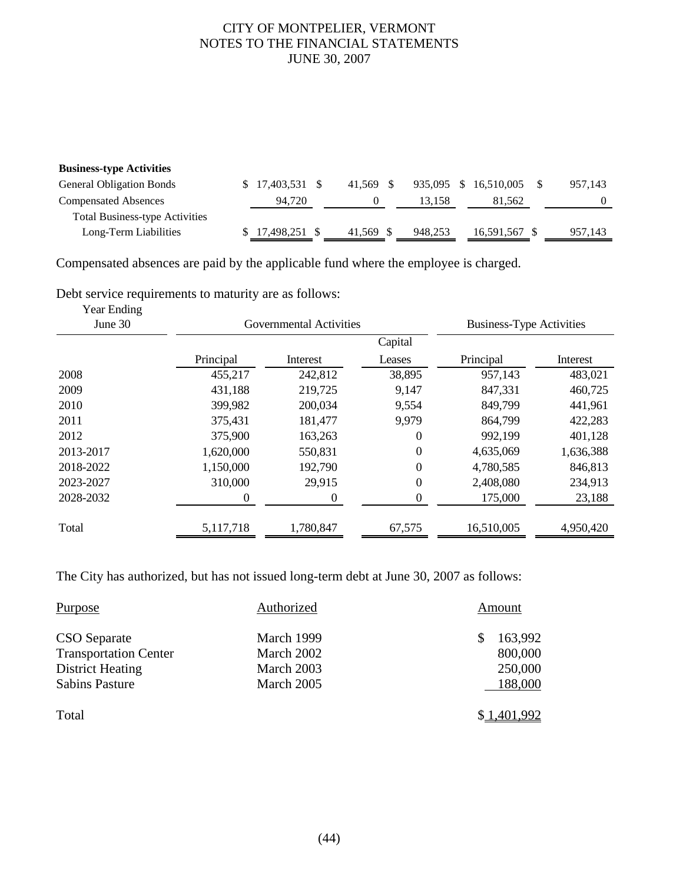| <b>Business-type Activities</b>       |                   |           |            |               |         |
|---------------------------------------|-------------------|-----------|------------|---------------|---------|
| <b>General Obligation Bonds</b>       | $$17,403,531$ \;  | 41.569 \$ | 935,095 \$ | 16.510.005    | 957.143 |
| <b>Compensated Absences</b>           | 94.720            |           | 13.158     | 81.562        |         |
| <b>Total Business-type Activities</b> |                   |           |            |               |         |
| Long-Term Liabilities                 | $$17,498,251$ \\$ | 41,569 \$ | 948.253    | 16,591,567 \$ | 957,143 |

Compensated absences are paid by the applicable fund where the employee is charged.

Debt service requirements to maturity are as follows:

| <b>Year Ending</b><br>June 30 |           | Governmental Activities |                  | <b>Business-Type Activities</b> |           |
|-------------------------------|-----------|-------------------------|------------------|---------------------------------|-----------|
|                               |           |                         | Capital          |                                 |           |
|                               | Principal | Interest                | Leases           | Principal                       | Interest  |
| 2008                          | 455,217   | 242,812                 | 38,895           | 957,143                         | 483,021   |
| 2009                          | 431,188   | 219,725                 | 9,147            | 847,331                         | 460,725   |
| 2010                          | 399,982   | 200,034                 | 9,554            | 849,799                         | 441,961   |
| 2011                          | 375,431   | 181,477                 | 9,979            | 864,799                         | 422,283   |
| 2012                          | 375,900   | 163,263                 | 0                | 992,199                         | 401,128   |
| 2013-2017                     | 1,620,000 | 550,831                 | 0                | 4,635,069                       | 1,636,388 |
| 2018-2022                     | 1,150,000 | 192,790                 | $\boldsymbol{0}$ | 4,780,585                       | 846,813   |
| 2023-2027                     | 310,000   | 29,915                  | $\theta$         | 2,408,080                       | 234,913   |
| 2028-2032                     | 0         |                         | 0                | 175,000                         | 23,188    |
| Total                         | 5,117,718 | 1,780,847               | 67,575           | 16,510,005                      | 4,950,420 |

The City has authorized, but has not issued long-term debt at June 30, 2007 as follows:

| Purpose                      | Authorized | Amount   |
|------------------------------|------------|----------|
| CSO Separate                 | March 1999 | 163,992  |
| <b>Transportation Center</b> | March 2002 | 800,000  |
| <b>District Heating</b>      | March 2003 | 250,000  |
| <b>Sabins Pasture</b>        | March 2005 | 188,000  |
| Total                        |            | .401,992 |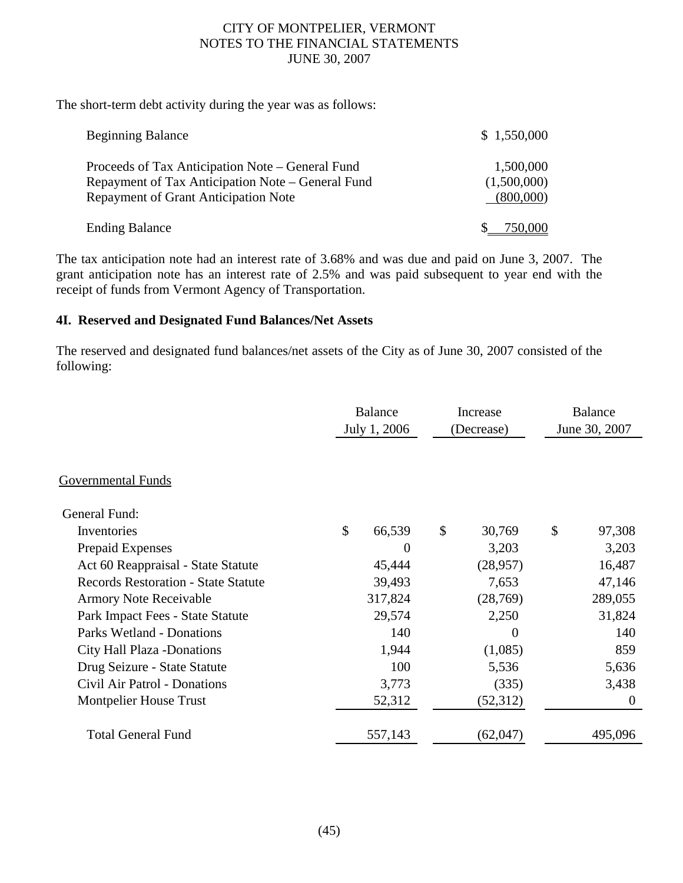The short-term debt activity during the year was as follows:

| <b>Beginning Balance</b>                          | \$1,550,000 |
|---------------------------------------------------|-------------|
| Proceeds of Tax Anticipation Note – General Fund  | 1,500,000   |
| Repayment of Tax Anticipation Note – General Fund | (1,500,000) |
| <b>Repayment of Grant Anticipation Note</b>       | (800,000)   |
| <b>Ending Balance</b>                             |             |

The tax anticipation note had an interest rate of 3.68% and was due and paid on June 3, 2007. The grant anticipation note has an interest rate of 2.5% and was paid subsequent to year end with the receipt of funds from Vermont Agency of Transportation.

#### **4I. Reserved and Designated Fund Balances/Net Assets**

The reserved and designated fund balances/net assets of the City as of June 30, 2007 consisted of the following:

|                                            | <b>Balance</b><br>July 1, 2006 |          | Increase<br>(Decrease) |    | <b>Balance</b><br>June 30, 2007 |  |
|--------------------------------------------|--------------------------------|----------|------------------------|----|---------------------------------|--|
| <b>Governmental Funds</b>                  |                                |          |                        |    |                                 |  |
| General Fund:                              |                                |          |                        |    |                                 |  |
| Inventories                                | \$                             | 66,539   | \$<br>30,769           | \$ | 97,308                          |  |
| Prepaid Expenses                           |                                | $\theta$ | 3,203                  |    | 3,203                           |  |
| Act 60 Reappraisal - State Statute         |                                | 45,444   | (28,957)               |    | 16,487                          |  |
| <b>Records Restoration - State Statute</b> |                                | 39,493   | 7,653                  |    | 47,146                          |  |
| <b>Armory Note Receivable</b>              |                                | 317,824  | (28, 769)              |    | 289,055                         |  |
| Park Impact Fees - State Statute           |                                | 29,574   | 2,250                  |    | 31,824                          |  |
| <b>Parks Wetland - Donations</b>           |                                | 140      | $\theta$               |    | 140                             |  |
| <b>City Hall Plaza -Donations</b>          |                                | 1,944    | (1,085)                |    | 859                             |  |
| Drug Seizure - State Statute               |                                | 100      | 5,536                  |    | 5,636                           |  |
| Civil Air Patrol - Donations               |                                | 3,773    | (335)                  |    | 3,438                           |  |
| Montpelier House Trust                     |                                | 52,312   | (52,312)               |    | $\theta$                        |  |
| <b>Total General Fund</b>                  |                                | 557,143  | (62,047)               |    | 495,096                         |  |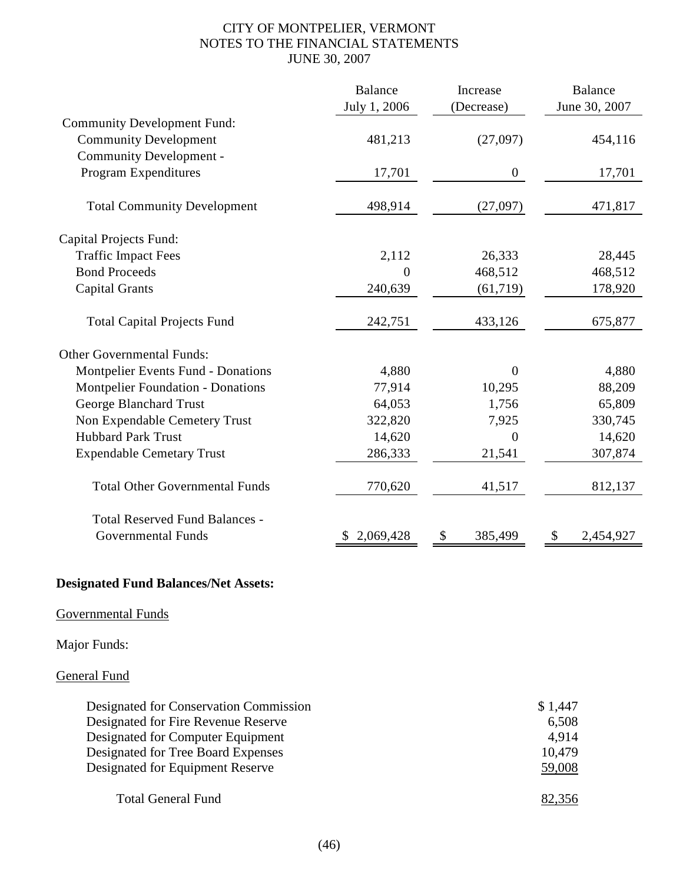|                                          | <b>Balance</b> | Increase         | <b>Balance</b> |
|------------------------------------------|----------------|------------------|----------------|
|                                          | July 1, 2006   | (Decrease)       | June 30, 2007  |
| <b>Community Development Fund:</b>       |                |                  |                |
| <b>Community Development</b>             | 481,213        | (27,097)         | 454,116        |
| Community Development -                  |                |                  |                |
| Program Expenditures                     | 17,701         | $\boldsymbol{0}$ | 17,701         |
| <b>Total Community Development</b>       | 498,914        | (27,097)         | 471,817        |
| <b>Capital Projects Fund:</b>            |                |                  |                |
| <b>Traffic Impact Fees</b>               | 2,112          | 26,333           | 28,445         |
| <b>Bond Proceeds</b>                     | $\theta$       | 468,512          | 468,512        |
| <b>Capital Grants</b>                    | 240,639        | (61, 719)        | 178,920        |
| <b>Total Capital Projects Fund</b>       | 242,751        | 433,126          | 675,877        |
| <b>Other Governmental Funds:</b>         |                |                  |                |
| Montpelier Events Fund - Donations       | 4,880          | $\overline{0}$   | 4,880          |
| <b>Montpelier Foundation - Donations</b> | 77,914         | 10,295           | 88,209         |
| George Blanchard Trust                   | 64,053         | 1,756            | 65,809         |
| Non Expendable Cemetery Trust            | 322,820        | 7,925            | 330,745        |
| <b>Hubbard Park Trust</b>                | 14,620         | $\overline{0}$   | 14,620         |
| <b>Expendable Cemetary Trust</b>         | 286,333        | 21,541           | 307,874        |
| <b>Total Other Governmental Funds</b>    | 770,620        | 41,517           | 812,137        |
| <b>Total Reserved Fund Balances -</b>    |                |                  |                |
| <b>Governmental Funds</b>                | 2,069,428      | 385,499<br>\$    | 2,454,927<br>S |
|                                          |                |                  |                |

# **Designated Fund Balances/Net Assets:**

# Governmental Funds

# Major Funds:

# General Fund

| Designated for Conservation Commission | \$1,447 |
|----------------------------------------|---------|
| Designated for Fire Revenue Reserve    | 6,508   |
| Designated for Computer Equipment      | 4.914   |
| Designated for Tree Board Expenses     | 10,479  |
| Designated for Equipment Reserve       | 59,008  |
| <b>Total General Fund</b>              |         |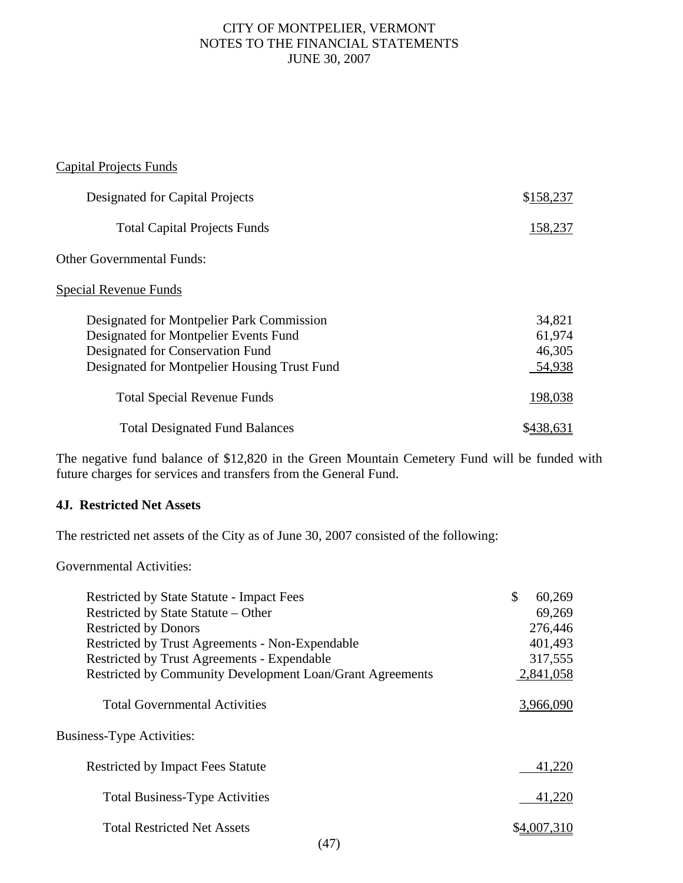# Capital Projects Funds

| Designated for Capital Projects                                                                                                                                        | \$158,237                            |
|------------------------------------------------------------------------------------------------------------------------------------------------------------------------|--------------------------------------|
| <b>Total Capital Projects Funds</b>                                                                                                                                    | 158,237                              |
| <b>Other Governmental Funds:</b>                                                                                                                                       |                                      |
| Special Revenue Funds                                                                                                                                                  |                                      |
| Designated for Montpelier Park Commission<br>Designated for Montpelier Events Fund<br>Designated for Conservation Fund<br>Designated for Montpelier Housing Trust Fund | 34,821<br>61,974<br>46,305<br>54,938 |
| <b>Total Special Revenue Funds</b>                                                                                                                                     | 198,038                              |
| <b>Total Designated Fund Balances</b>                                                                                                                                  | \$438,631                            |

The negative fund balance of \$12,820 in the Green Mountain Cemetery Fund will be funded with future charges for services and transfers from the General Fund.

#### **4J. Restricted Net Assets**

The restricted net assets of the City as of June 30, 2007 consisted of the following:

Governmental Activities:

| <b>Restricted by State Statute - Impact Fees</b>          | $\mathcal{S}$<br>60,269 |
|-----------------------------------------------------------|-------------------------|
| Restricted by State Statute – Other                       | 69,269                  |
| <b>Restricted by Donors</b>                               | 276,446                 |
| Restricted by Trust Agreements - Non-Expendable           | 401,493                 |
| <b>Restricted by Trust Agreements - Expendable</b>        | 317,555                 |
| Restricted by Community Development Loan/Grant Agreements | 2,841,058               |
|                                                           |                         |
| <b>Total Governmental Activities</b>                      | 3,966,090               |
| <b>Business-Type Activities:</b>                          |                         |
| <b>Restricted by Impact Fees Statute</b>                  | 41,220                  |
| <b>Total Business-Type Activities</b>                     | 41,220                  |
| <b>Total Restricted Net Assets</b><br>(47)                | \$4,007.310             |
|                                                           |                         |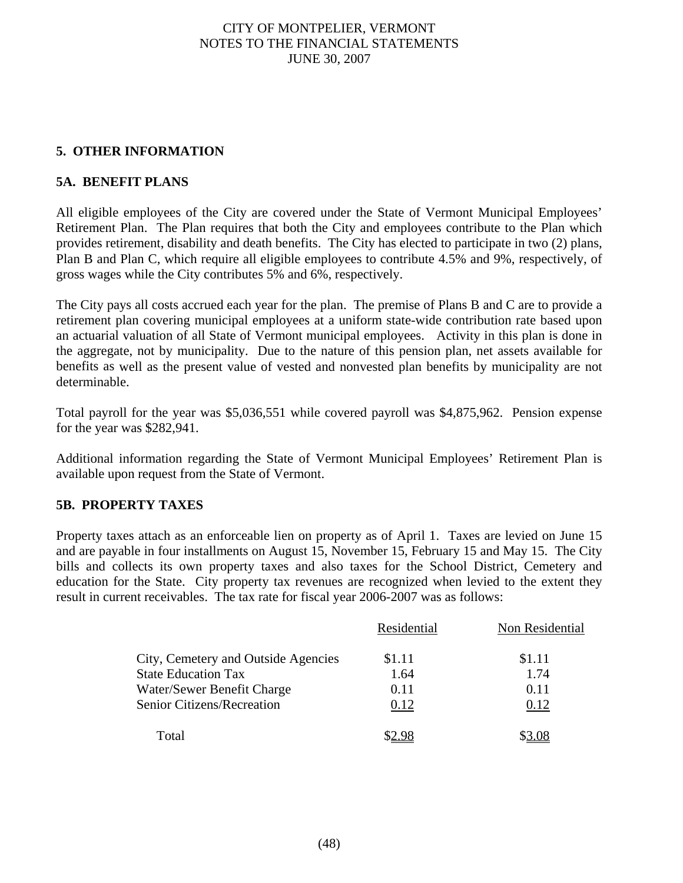# **. OTHER INFORMATION 5**

## **5A. BENEFIT PLANS**

All eligible employees of the City are covered under the State of Vermont Municipal Employees' Retirement Plan. The Plan requires that both the City and employees contribute to the Plan which provides retirement, disability and death benefits. The City has elected to participate in two (2) plans, Plan B and Plan C, which require all eligible employees to contribute 4.5% and 9%, respectively, of gross wages while the City contributes 5% and 6%, respectively.

The City pays all costs accrued each year for the plan. The premise of Plans B and C are to provide a retirement plan covering municipal employees at a uniform state-wide contribution rate based upon an actuarial valuation of all State of Vermont municipal employees. Activity in this plan is done in benefits as well as the present value of vested and nonvested plan benefits by municipality are not determinable. the aggregate, not by municipality. Due to the nature of this pension plan, net assets available for

Total payroll for the year was \$5,036,551 while covered payroll was \$4,875,962. Pension expense for the year was \$282,941.

Additional information regarding the State of Vermont Municipal Employees' Retirement Plan is available upon request from the State of Vermont.

#### **5B. PROPERTY TAXES**

Property taxes attach as an enforceable lien on property as of April 1. Taxes are levied on June 15 and are payable in four installments on August 15, November 15, February 15 and May 15. The City bills and collects its own property taxes and also taxes for the School District, Cemetery and education for the State. City property tax revenues are recognized when levied to the extent they result in current receivables. The tax rate for fiscal year 2006-2007 was as follows:

|                                     | Residential | Non Residential |
|-------------------------------------|-------------|-----------------|
| City, Cemetery and Outside Agencies | \$1.11      | \$1.11          |
| <b>State Education Tax</b>          | 1.64        | 1.74            |
| Water/Sewer Benefit Charge          | 0.11        | 0.11            |
| Senior Citizens/Recreation          | 0.12        | 0.12            |
| Total                               | \$2.98      | \$3.08          |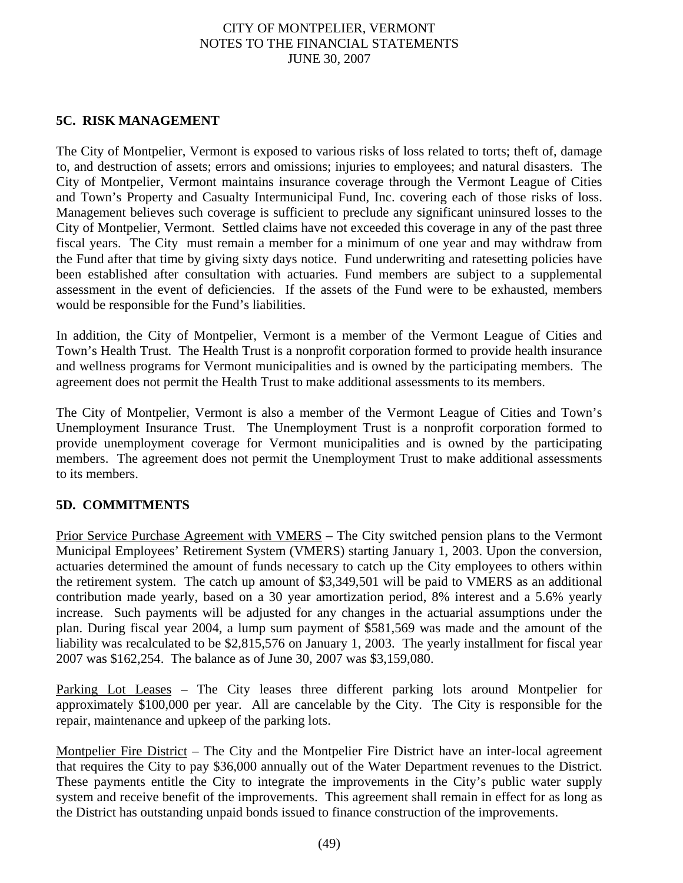# **5C. RISK MANAGEMENT**

The City of Montpelier, Vermont is exposed to various risks of loss related to torts; theft of, damage to, and destruction of assets; errors and omissions; injuries to employees; and natural disasters. The City of Montpelier, Vermont maintains insurance coverage through the Vermont League of Cities and Town's Property and Casualty Intermunicipal Fund, Inc. covering each of those risks of loss. Management believes such coverage is sufficient to preclude any significant uninsured losses to the City of Montpelier, Vermont. Settled claims have not exceeded this coverage in any of the past three fiscal years. The City must remain a member for a minimum of one year and may withdraw from the Fund after that time by giving sixty days notice. Fund underwriting and ratesetting policies have been established after consultation with actuaries. Fund members are subject to a supplemental assessment in the event of deficiencies. If the assets of the Fund were to be exhausted, members would be responsible for the Fund's liabilities.

In addition, the City of Montpelier, Vermont is a member of the Vermont League of Cities and Town's Health Trust. The Health Trust is a nonprofit corporation formed to provide health insurance and wellness programs for Vermont municipalities and is owned by the participating members. The agreement does not permit the Health Trust to make additional assessments to its members.

The City of Montpelier, Vermont is also a member of the Vermont League of Cities and Town's Unemployment Insurance Trust. The Unemployment Trust is a nonprofit corporation formed to provide unemployment coverage for Vermont municipalities and is owned by the participating members. The agreement does not permit the Unemployment Trust to make additional assessments to its members.

# **5D. COMMITMENTS**

Prior Service Purchase Agreement with VMERS – The City switched pension plans to the Vermont Municipal Employees' Retirement System (VMERS) starting January 1, 2003. Upon the conversion, actuaries determined the amount of funds necessary to catch up the City employees to others within the retirement system. The catch up amount of \$3,349,501 will be paid to VMERS as an additional contribution made yearly, based on a 30 year amortization period, 8% interest and a 5.6% yearly increase. Such payments will be adjusted for any changes in the actuarial assumptions under the plan. During fiscal year 2004, a lump sum payment of \$581,569 was made and the amount of the liability was recalculated to be \$2,815,576 on January 1, 2003. The yearly installment for fiscal year 2007 was \$162,254. The balance as of June 30, 2007 was \$3,159,080.

Parking Lot Leases - The City leases three different parking lots around Montpelier for approximately \$100,000 per year. All are cancelable by the City. The City is responsible for the repair, maintenance and upkeep of the parking lots.

Montpelier Fire District - The City and the Montpelier Fire District have an inter-local agreement that requires the City to pay \$36,000 annually out of the Water Department revenues to the District. These payments entitle the City to integrate the improvements in the City's public water supply system and receive benefit of the improvements. This agreement shall remain in effect for as long as the District has outstanding unpaid bonds issued to finance construction of the improvements.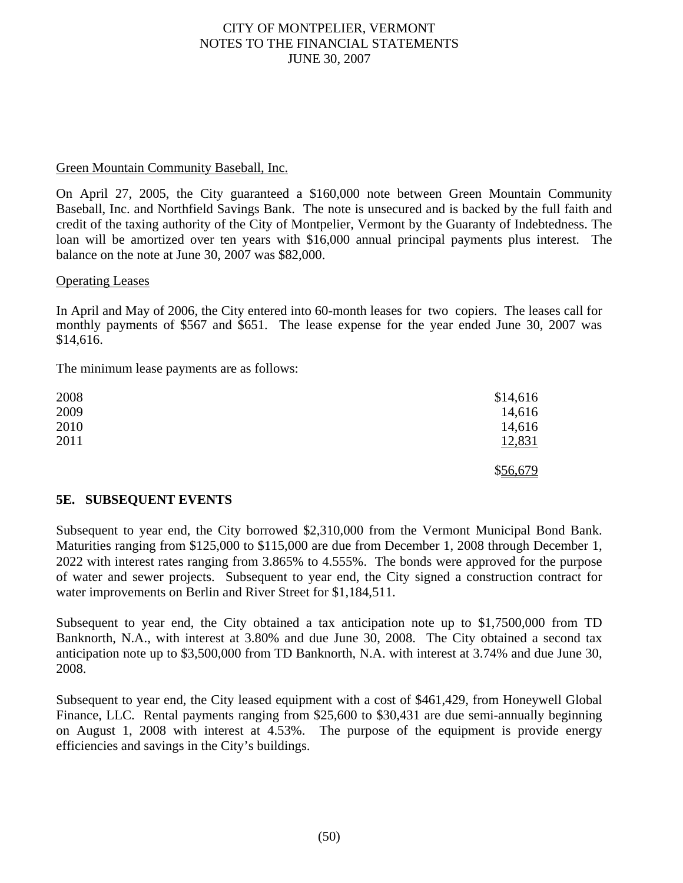#### Green Mountain Community Baseball, Inc.

On April 27, 2005, the City guaranteed a \$160,000 note between Green Mountain Community Baseball, Inc. and Northfield Savings Bank. The note is unsecured and is backed by the full faith and credit of the taxing authority of the City of Montpelier, Vermont by the Guaranty of Indebtedness. The loan will be amortized over ten years with \$16,000 annual principal payments plus interest. The balance on the note at June 30, 2007 was \$82,000.

#### Operating Leases

In April and May of 2006, the City entered into 60-month leases for two copiers. The leases call for monthly payments of \$567 and \$651. The lease expense for the year ended June 30, 2007 was \$14,616.

The minimum lease payments are as follows:

| 2008 | \$14,616 |
|------|----------|
| 2009 | 14,616   |
| 2010 | 14,616   |
| 2011 | 12,831   |
|      |          |
|      | \$56,679 |

# **5E. SUBSEQUENT EVENTS**

Subsequent to year end, the City borrowed \$2,310,000 from the Vermont Municipal Bond Bank. Maturities ranging from \$125,000 to \$115,000 are due from December 1, 2008 through December 1, 2022 with interest rates ranging from 3.865% to 4.555%. The bonds were approved for the purpose of water and sewer projects. Subsequent to year end, the City signed a construction contract for water improvements on Berlin and River Street for \$1,184,511.

Subsequent to year end, the City obtained a tax anticipation note up to  $$1,7500,000$  from TD Banknorth, N.A., with interest at 3.80% and due June 30, 2008. The City obtained a second tax anticipation note up to \$3,500,000 from TD Banknorth, N.A. with interest at 3.74% and due June 30, 2008.

Subsequent to year end, the City leased equipment with a cost of \$461,429, from Honeywell Global Finance, LLC. Rental payments ranging from \$25,600 to \$30,431 are due semi-annually beginning on August 1, 2008 with interest at 4.53%. The purpose of the equipment is provide energy efficiencies and savings in the City's buildings.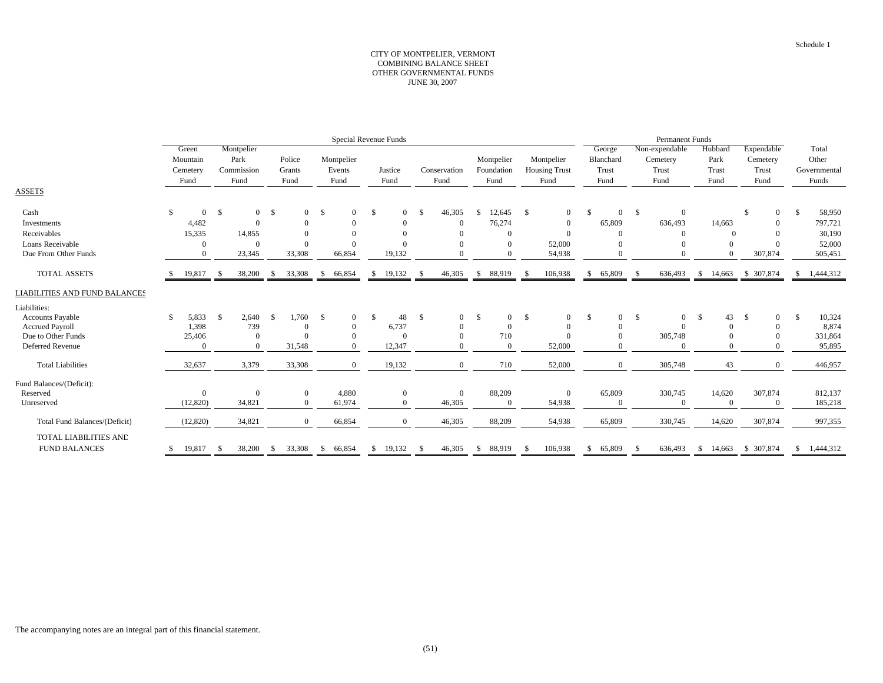#### CITY OF MONTPELIER, VERMONT COMBINING BALANCE SHEET OTHER GOVERNMENTAL FUNDS JUNE 30, 2007

|                                      | Special Revenue Funds         |                |                    |          |                  |                |                      |                |               |                |               | Permanent Funds |               |                |                      |                |               |                |          |                |                         |              |                |                |           |
|--------------------------------------|-------------------------------|----------------|--------------------|----------|------------------|----------------|----------------------|----------------|---------------|----------------|---------------|-----------------|---------------|----------------|----------------------|----------------|---------------|----------------|----------|----------------|-------------------------|--------------|----------------|----------------|-----------|
|                                      | Green<br>Mountain<br>Cemetery |                | Montpelier         |          |                  |                |                      |                |               |                |               |                 |               |                |                      |                | George        |                |          | Non-expendable | Hubbard                 |              | Expendable     |                | Total     |
|                                      |                               |                | Park<br>Commission |          | Police<br>Grants |                | Montpelier<br>Events |                | Justice       |                | Conservation  |                 |               | Montpelier     |                      | Montpelier     | Blanchard     |                | Cemetery |                | Park                    |              | Cemetery       |                | Other     |
|                                      |                               |                |                    |          |                  |                |                      |                |               |                |               |                 | Foundation    |                | <b>Housing Trust</b> |                | Trust         |                | Trust    |                | Trust                   | Trust        |                | Governmental   |           |
|                                      |                               | Fund           |                    | Fund     |                  | Fund           |                      | Fund           |               | Fund           |               | Fund            |               | Fund           |                      | Fund           | Fund          |                |          | Fund           | Fund                    |              | Fund           |                | Funds     |
| <b>ASSETS</b>                        |                               |                |                    |          |                  |                |                      |                |               |                |               |                 |               |                |                      |                |               |                |          |                |                         |              |                |                |           |
| Cash                                 | -S                            | $\overline{0}$ | -S                 |          | 0 S              | $\overline{0}$ | - \$                 | $\Omega$       | <sup>\$</sup> | $\overline{0}$ | $\mathcal{S}$ | 46,305          | <sup>\$</sup> | 12,645         | <sup>\$</sup>        | $\overline{0}$ | $\mathcal{S}$ | $\overline{0}$ | \$       | $\overline{0}$ |                         | <b>S</b>     | $\overline{0}$ | $\mathcal{S}$  | 58,950    |
| Investments                          |                               | 4,482          |                    |          |                  |                |                      |                |               |                |               | $\mathbf{0}$    |               | 76,274         |                      | $\theta$       | 65,809        |                |          | 636,493        | 14,663                  |              | $\Omega$       |                | 797,721   |
| Receivables                          |                               | 15,335         |                    | 14.855   |                  | $\Omega$       |                      |                |               | $\Omega$       |               | $\Omega$        |               | $\Omega$       |                      | $\Omega$       |               | $\Omega$       |          | $\mathbf{0}$   | $\Omega$                |              | $\Omega$       |                | 30,190    |
| Loans Receivable                     |                               | $\overline{0}$ |                    | $\Omega$ |                  | $\Omega$       |                      | $\Omega$       |               | $\Omega$       |               | $\Omega$        |               | $\Omega$       |                      | 52,000         |               | $\Omega$       |          |                | $\boldsymbol{0}$        |              | $\Omega$       |                | 52,000    |
| Due From Other Funds                 |                               | $\theta$       |                    | 23,345   |                  | 33,308         |                      | 66,854         |               | 19,132         |               | $\mathbf{0}$    |               | $\Omega$       |                      | 54,938         |               | $\Omega$       |          | $\Omega$       | $\overline{0}$          |              | 307,874        |                | 505,451   |
| <b>TOTAL ASSETS</b>                  | -S                            | 19,817         | -S                 | 38,200   | S.               | 33,308         | \$                   | 66,854         | -S            | 19,132         | -S            | 46,305          | \$            | 88,919         | -S                   | 106,938        | 65,809<br>\$  |                | -S       | 636,493        | <sup>\$</sup><br>14,663 |              | \$ 307,874     | \$             | 1,444,312 |
| <b>LIABILITIES AND FUND BALANCES</b> |                               |                |                    |          |                  |                |                      |                |               |                |               |                 |               |                |                      |                |               |                |          |                |                         |              |                |                |           |
| Liabilities:                         |                               |                |                    |          |                  |                |                      |                |               |                |               |                 |               |                |                      |                |               |                |          |                |                         |              |                |                |           |
| <b>Accounts Payable</b>              | \$                            | 5,833          | - \$               | 2.640    | S                | 1.760          | $\mathbf{s}$         | $\Omega$       |               | 48             | -S            | $\overline{0}$  | -S            | $\overline{0}$ | S                    | $\overline{0}$ | <sup>\$</sup> | $\overline{0}$ | \$       | $\overline{0}$ | 43<br>-S                | $\mathbf{s}$ | $\Omega$       | <sup>\$</sup>  | 10,324    |
| <b>Accrued Payroll</b>               |                               | 1,398          |                    | 739      |                  |                |                      |                |               | 6,737          |               | 0               |               | $\Omega$       |                      |                |               | $\Omega$       |          | $\Omega$       |                         |              | $\Omega$       |                | 8,874     |
| Due to Other Funds                   |                               | 25,406         |                    |          |                  | $\Omega$       |                      | $\theta$       |               | $\Omega$       |               | $\mathbf{0}$    |               | 710            |                      |                |               | $\Omega$       |          | 305,748        |                         |              | $\Omega$       |                | 331,864   |
| Deferred Revenue                     |                               | $\Omega$       |                    |          |                  | 31,548         |                      | $\Omega$       |               | 12,347         |               | $\mathbf{0}$    |               | $\Omega$       |                      | 52,000         |               | $\Omega$       |          | $\Omega$       |                         |              |                |                | 95,895    |
| <b>Total Liabilities</b>             |                               | 32,637         |                    | 3,379    |                  | 33,308         |                      | $\overline{0}$ |               | 19,132         |               | $\overline{0}$  |               | 710            |                      | 52,000         |               | $\mathbf{0}$   |          | 305,748        | 43                      |              | $\overline{0}$ |                | 446,957   |
| Fund Balances/(Deficit):             |                               |                |                    |          |                  |                |                      |                |               |                |               |                 |               |                |                      |                |               |                |          |                |                         |              |                |                |           |
| Reserved                             |                               | $\overline{0}$ |                    | $\Omega$ |                  | $\mathbf{0}$   |                      | 4,880          |               | $\overline{0}$ |               | $\overline{0}$  |               | 88,209         |                      | $\overline{0}$ | 65,809        |                |          | 330,745        | 14,620                  |              | 307,874        |                | 812,137   |
| Unreserved                           |                               | (12,820)       |                    | 34,821   |                  | $\Omega$       |                      | 61,974         |               | $\Omega$       |               | 46,305          |               | $\Omega$       |                      | 54,938         |               | $\Omega$       |          | $\Omega$       | $\Omega$                |              | $\Omega$       |                | 185,218   |
| Total Fund Balances/(Deficit)        |                               | (12,820)       |                    | 34,821   |                  | $\overline{0}$ |                      | 66,854         |               | $\overline{0}$ |               | 46,305          |               | 88,209         |                      | 54,938         | 65,809        |                |          | 330,745        | 14,620                  |              | 307,874        |                | 997,355   |
| TOTAL LIABILITIES AND                |                               |                |                    |          |                  |                |                      |                |               |                |               |                 |               |                |                      |                |               |                |          |                |                         |              |                |                |           |
| <b>FUND BALANCES</b>                 | -S                            | 19,817         | -S                 | 38,200   | -S               | 33,308         | <sup>\$</sup>        | 66,854         | -S            | 19,132         | -S            | 46,305          | <sup>\$</sup> | 88,919         | -S                   | 106,938        | 65,809<br>S.  |                | -S       | 636,493        | <sup>S</sup><br>14,663  |              | \$ 307,874     | $\mathbb{S}^-$ | 1,444,312 |